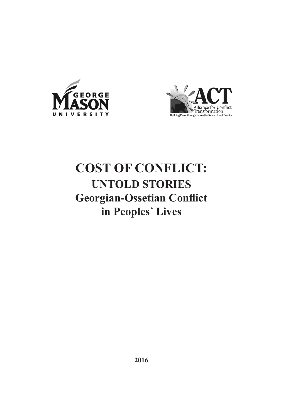



# **COST OF CONFLICT: UNTOLD STORIES Georgian-Ossetian Conflict in Peoples**' **Lives**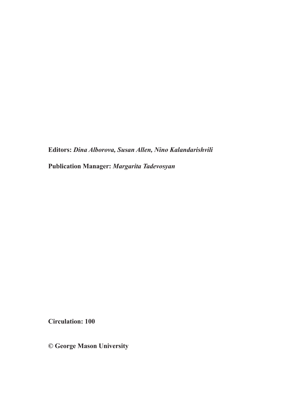**Editors:** *Dina Alborova, Susan Allen, Nino Kalandarishvili* **Publication Manager:** *Margarita Tadevosyan* 

**Circulation: 100**

**© George Mason University**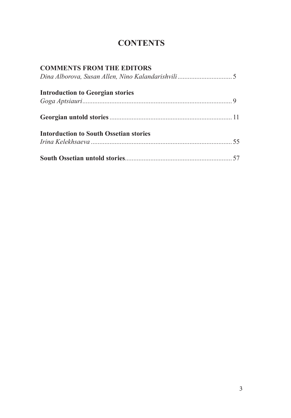## **CONTENTS**

| <b>COMMENTS FROM THE EDITORS</b>              |  |
|-----------------------------------------------|--|
|                                               |  |
| <b>Introduction to Georgian stories</b>       |  |
|                                               |  |
|                                               |  |
| <b>Intorduction to South Ossetian stories</b> |  |
|                                               |  |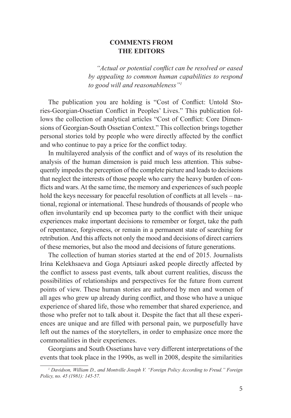#### **COMMENTS FROM THE EDITORS**

*"Actual or potential conflict can be resolved or eased by appealing to common human capabilities to respond to good will and reasonableness"1*

The publication you are holding is "Cost of Conflict: Untold Stories-Georgian-Ossetian Conflict in Peoples' Lives." This publication follows the collection of analytical articles "Cost of Conflict: Core Dimensions of Georgian-South Ossetian Context." This collection brings together personal stories told by people who were directly affected by the conflict and who continue to pay a price for the conflict today.

In multilayered analysis of the conflict and of ways of its resolution the analysis of the human dimension is paid much less attention. This subsequently impedes the perception of the complete picture and leads to decisions that neglect the interests of those people who carry the heavy burden of conflicts and wars. At the same time, the memory and experiences of such people hold the keys necessary for peaceful resolution of conflicts at all levels – national, regional or international. These hundreds of thousands of people who often involuntarily end up becomea party to the conflict with their unique experiences make important decisions to remember or forget, take the path of repentance, forgiveness, or remain in a permanent state of searching for retribution. And this affects not only the mood and decisions of direct carriers of these memories, but also the mood and decisions of future generations.

The collection of human stories started at the end of 2015. Journalists Irina Kelekhsaeva and Goga Aptsiauri asked people directly affected by the conflict to assess past events, talk about current realities, discuss the possibilities of relationships and perspectives for the future from current points of view. These human stories are authored by men and women of all ages who grew up already during conflict, and those who have a unique experience of shared life, those who remember that shared experience, and those who prefer not to talk about it. Despite the fact that all these experiences are unique and are filled with personal pain, we purposefully have left out the names of the storytellers, in order to emphasize once more the commonalities in their experiences.

Georgians and South Ossetians have very different interpretations of the events that took place in the 1990s, as well in 2008, despite the similarities

<sup>&</sup>lt;sup>1</sup> Davidson, William D., and Montville Joseph V. "Foreign Policy According to Freud." Foreign *Policy, no. 45 (1981): 145-57.*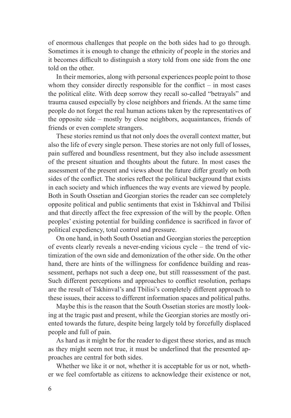of enormous challenges that people on the both sides had to go through. Sometimes it is enough to change the ethnicity of people in the stories and it becomes difficult to distinguish a story told from one side from the one told on the other.

In their memories, along with personal experiences people point to those whom they consider directly responsible for the conflict  $-$  in most cases the political elite. With deep sorrow they recall so-called "betrayals" and trauma caused especially by close neighbors and friends. At the same time people do not forget the real human actions taken by the representatives of the opposite side – mostly by close neighbors, acquaintances, friends of friends or even complete strangers.

These stories remind us that not only does the overall context matter, but also the life of every single person. These stories are not only full of losses, pain suffered and boundless resentment, but they also include assessment of the present situation and thoughts about the future. In most cases the assessment of the present and views about the future differ greatly on both sides of the conflict. The stories reflect the political background that exists in each society and which influences the way events are viewed by people. Both in South Ossetian and Georgian stories the reader can see completely opposite political and public sentiments that exist in Tskhinval and Tbilisi and that directly affect the free expression of the will by the people. Often peoples' existing potential for building confidence is sacrificed in favor of political expediency, total control and pressure.

On one hand, in both South Ossetian and Georgian stories the perception of events clearly reveals a never-ending vicious cycle – the trend of victimization of the own side and demonization of the other side. On the other hand, there are hints of the willingness for confidence building and reassessment, perhaps not such a deep one, but still reassessment of the past. Such different perceptions and approaches to conflict resolution, perhaps are the result of Tskhinval's and Tbilisi's completely different approach to these issues, their access to different information spaces and political paths.

Maybe this is the reason that the South Ossetian stories are mostly looking at the tragic past and present, while the Georgian stories are mostly oriented towards the future, despite being largely told by forcefully displaced people and full of pain.

As hard as it might be for the reader to digest these stories, and as much as they might seem not true, it must be underlined that the presented approaches are central for both sides.

Whether we like it or not, whether it is acceptable for us or not, whether we feel comfortable as citizens to acknowledge their existence or not,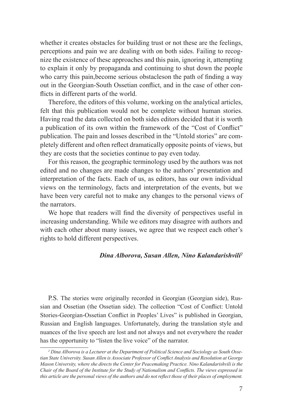whether it creates obstacles for building trust or not these are the feelings, perceptions and pain we are dealing with on both sides. Failing to recognize the existence of these approaches and this pain, ignoring it, attempting to explain it only by propaganda and continuing to shut down the people who carry this pain,become serious obstacleson the path of finding a way out in the Georgian-South Ossetian conflict, and in the case of other conflicts in different parts of the world.

Therefore, the editors of this volume, working on the analytical articles, felt that this publication would not be complete without human stories. Having read the data collected on both sides editors decided that it is worth a publication of its own within the framework of the "Cost of Conflict" publication. The pain and losses described in the "Untold stories" are completely different and often reflect dramatically opposite points of views, but they are costs that the societies continue to pay even today.

For this reason, the geographic terminology used by the authors was not edited and no changes are made changes to the authors' presentation and interpretation of the facts. Each of us, as editors, has our own individual views on the terminology, facts and interpretation of the events, but we have been very careful not to make any changes to the personal views of the narrators.

We hope that readers will find the diversity of perspectives useful in increasing understanding. While we editors may disagree with authors and with each other about many issues, we agree that we respect each other's rights to hold different perspectives.

#### *Dina Alborova, Susan Allen, Nino Kalandarishvili2*

P.S. The stories were originally recorded in Georgian (Georgian side), Russian and Ossetian (the Ossetian side). The collection "Cost of Conflict: Untold Stories-Georgian-Ossetian Conflict in Peoples' Lives" is published in Georgian, Russian and English languages. Unfortunately, during the translation style and nuances of the live speech are lost and not always and not everywhere the reader has the opportunity to "listen the live voice" of the narrator.

*<sup>2</sup> Dina Alborova is a Lecturer at the Department of Political Science and Sociology as South Ossetian State University. Susan Allen is Associate Professor of Conflict Analysis and Resolution at George Mason University, where she directs the Center for Peacemaking Practice. Nino Kalandarishvili is the Chair of the Board of the Institute for the Study of Nationalism and Conflicts. The views expressed in this article are the personal views of the authors and do not reflect those of their places of employment.*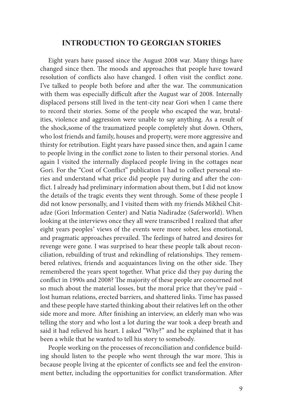### **INTRODUCTION TO GEORGIAN STORIES**

Eight years have passed since the August 2008 war. Many things have changed since then. The moods and approaches that people have toward resolution of conflicts also have changed. I often visit the conflict zone. I've talked to people both before and after the war. The communication with them was especially difficult after the August war of 2008. Internally displaced persons still lived in the tent-city near Gori when I came there to record their stories. Some of the people who escaped the war, brutalities, violence and aggression were unable to say anything. As a result of the shock,some of the traumatized people completely shut down. Others, who lost friends and family, houses and property, were more aggressive and thirsty for retribution. Eight years have passed since then, and again I came to people living in the conflict zone to listen to their personal stories. And again I visited the internally displaced people living in the cottages near Gori. For the "Cost of Conflict" publication I had to collect personal stories and understand what price did people pay during and after the conflict. I already had preliminary information about them, but I did not know the details of the tragic events they went through. Some of these people I did not know personally, and I visited them with my friends Mikheil Chitadze (Gori Information Center) and Natia Nadiradze (Saferworld). When looking at the interviews once they all were transcribed I realized that after eight years peoples' views of the events were more sober, less emotional, and pragmatic approaches prevailed. The feelings of hatred and desires for revenge were gone. I was surprised to hear these people talk about reconciliation, rebuilding of trust and rekindling of relationships. They remembered relatives, friends and acquaintances living on the other side. They remembered the years spent together. What price did they pay during the conflict in 1990s and 2008? The majority of these people are concerned not so much about the material losses, but the moral price that they've paid – lost human relations, erected barriers, and shattered links. Time has passed and these people have started thinking about their relatives left on the other side more and more. After finishing an interview, an elderly man who was telling the story and who lost a lot during the war took a deep breath and said it had relieved his heart. I asked "Why?" and he explained that it has been a while that he wanted to tell his story to somebody.

People working on the processes of reconciliation and confidence building should listen to the people who went through the war more. This is because people living at the epicenter of conflicts see and feel the environment better, including the opportunities for conflict transformation. After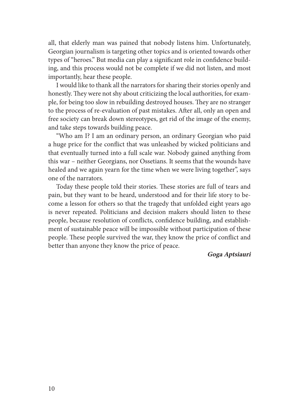all, that elderly man was pained that nobody listens him. Unfortunately, Georgian journalism is targeting other topics and is oriented towards other types of "heroes." But media can play a significant role in confidence building, and this process would not be complete if we did not listen, and most importantly, hear these people.

I would like to thank all the narrators for sharing their stories openly and honestly. They were not shy about criticizing the local authorities, for example, for being too slow in rebuilding destroyed houses. They are no stranger to the process of re-evaluation of past mistakes. After all, only an open and free society can break down stereotypes, get rid of the image of the enemy, and take steps towards building peace.

"Who am I? I am an ordinary person, an ordinary Georgian who paid a huge price for the conflict that was unleashed by wicked politicians and that eventually turned into a full scale war. Nobody gained anything from this war – neither Georgians, nor Ossetians. It seems that the wounds have healed and we again yearn for the time when we were living together", says one of the narrators.

Today these people told their stories. These stories are full of tears and pain, but they want to be heard, understood and for their life story to become a lesson for others so that the tragedy that unfolded eight years ago is never repeated. Politicians and decision makers should listen to these people, because resolution of conflicts, confidence building, and establishment of sustainable peace will be impossible without participation of these people. These people survived the war, they know the price of conflict and better than anyone they know the price of peace.

#### **Goga Aptsiauri**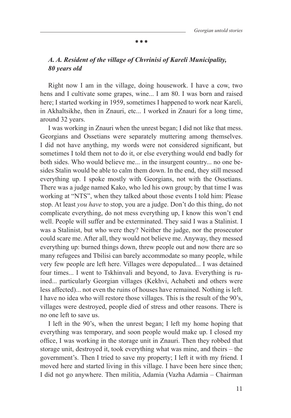#### **\* \* \***

## *A. A. Resident of the village of Chvrinisi of Kareli Municipality, 80 years old*

Right now I am in the village, doing housework. I have a cow, two hens and I cultivate some grapes, wine... I am 80. I was born and raised here; I started working in 1959, sometimes I happened to work near Kareli, in Akhaltsikhe, then in Znauri, etc... I worked in Znauri for a long time, around 32 years.

I was working in Znauri when the unrest began; I did not like that mess. Georgians and Ossetians were separately muttering among themselves. I did not have anything, my words were not considered significant, but sometimes I told them not to do it, or else everything would end badly for both sides. Who would believe me... in the insurgent country... no one besides Stalin would be able to calm them down. In the end, they still messed everything up. I spoke mostly with Georgians, not with the Ossetians. There was a judge named Kako, who led his own group; by that time I was working at "NTS", when they talked about those events I told him: Please stop. At least *you have* to stop, you are a judge. Don't do this thing, do not complicate everything, do not mess everything up, I know this won't end well. People will suffer and be exterminated. They said I was a Stalinist. I was a Stalinist, but who were they? Neither the judge, nor the prosecutor could scare me. After all, they would not believe me. Anyway, they messed everything up: burned things down, threw people out and now there are so many refugees and Tbilisi can barely accommodate so many people, while very few people are left here. Villages were depopulated... I was detained four times... I went to Tskhinvali and beyond, to Java. Everything is ruined... particularly Georgian villages (Kekhvi, Achabeti and others were less affected)... not even the ruins of houses have remained. Nothing is left. I have no idea who will restore those villages. This is the result of the 90's, villages were destroyed, people died of stress and other reasons. There is no one left to save us.

I left in the 90's, when the unrest began; I left my home hoping that everything was temporary, and soon people would make up. I closed my office, I was working in the storage unit in Znauri. Then they robbed that storage unit, destroyed it, took everything what was mine, and theirs – the government's. Then I tried to save my property; I left it with my friend. I moved here and started living in this village. I have been here since then; I did not go anywhere. Then militia, Adamia (Vazha Adamia – Chairman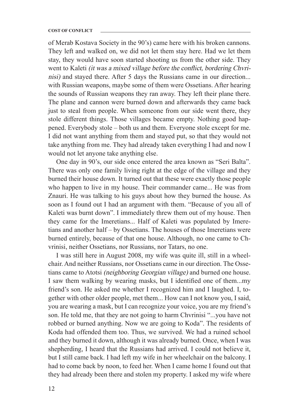of Merab Kostava Society in the 90's) came here with his broken cannons. They left and walked on, we did not let them stay here. Had we let them stay, they would have soon started shooting us from the other side. They went to Kaleti (it was a mixed village before the conflict, bordering Chvrinisi) and stayed there. After 5 days the Russians came in our direction... with Russian weapons, maybe some of them were Ossetians. After hearing the sounds of Russian weapons they ran away. They left their plane there. The plane and cannon were burned down and afterwards they came back just to steal from people. When someone from our side went there, they stole different things. Those villages became empty. Nothing good happened. Everybody stole – both us and them. Everyone stole except for me. I did not want anything from them and stayed put, so that they would not take anything from me. They had already taken everything I had and now I would not let anyone take anything else.

One day in 90's, our side once entered the area known as "Seri Balta". There was only one family living right at the edge of the village and they burned their house down. It turned out that these were exactly those people who happen to live in my house. Their commander came... He was from Znauri. He was talking to his guys about how they burned the house. As soon as I found out I had an argument with them. "Because of you all of Kaleti was burnt down". I immediately threw them out of my house. Then they came for the Imeretians... Half of Kaleti was populated by Imeretians and another half – by Ossetians. The houses of those Imeretians were burned entirely, because of that one house. Although, no one came to Chvrinisi, neither Ossetians, nor Russians, nor Tatars, no one.

I was still here in August 2008, my wife was quite ill, still in a wheelchair. And neither Russians, nor Ossetians came in our direction. The Ossetians came to Atotsi (neighboring Georgian village) and burned one house. I saw them walking by wearing masks, but I identified one of them...my friend's son. He asked me whether I recognized him and I laughed. I, together with other older people, met them... How can I not know you, I said, you are wearing a mask, but I can recognize your voice, you are my friend's son. He told me, that they are not going to harm Chvrinisi "...you have not robbed or burned anything. Now we are going to Koda". The residents of Koda had offended them too. Thus, we survived. We had a ruined school and they burned it down, although it was already burned. Once, when I was shepherding, I heard that the Russians had arrived. I could not believe it, but I still came back. I had left my wife in her wheelchair on the balcony. I had to come back by noon, to feed her. When I came home I found out that they had already been there and stolen my property. I asked my wife where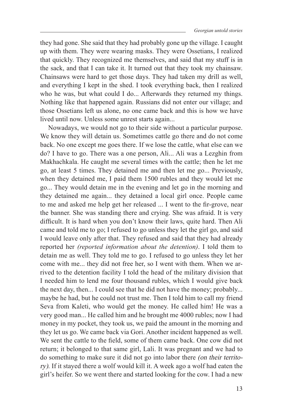they had gone. She said that they had probably gone up the village. I caught up with them. They were wearing masks. They were Ossetians, I realized that quickly. They recognized me themselves, and said that my stuff is in the sack, and that I can take it. It turned out that they took my chainsaw. Chainsaws were hard to get those days. They had taken my drill as well, and everything I kept in the shed. I took everything back, then I realized who he was, but what could I do... Afterwards they returned my things. Nothing like that happened again. Russians did not enter our village; and those Ossetians left us alone, no one came back and this is how we have lived until now. Unless some unrest starts again...

Nowadays, we would not go to their side without a particular purpose. We know they will detain us. Sometimes cattle go there and do not come back. No one except me goes there. If we lose the cattle, what else can we do? I have to go. There was a one person, Ali... Ali was a Lezghin from Makhachkala. He caught me several times with the cattle; then he let me go, at least 5 times. They detained me and then let me go... Previously, when they detained me, I paid them 1500 rubles and they would let me go... They would detain me in the evening and let go in the morning and they detained me again... they detained a local girl once. People came to me and asked me help get her released ... I went to the fir-grove, near the banner. She was standing there and crying. She was afraid. It is very difficult. It is hard when you don't know their laws, quite hard. Then Ali came and told me to go; I refused to go unless they let the girl go, and said I would leave only after that. They refused and said that they had already reported her *(reported information about the detention)*. I told them to detain me as well. They told me to go. I refused to go unless they let her come with me... they did not free her, so I went with them. When we arrived to the detention facility I told the head of the military division that I needed him to lend me four thousand rubles, which I would give back the next day, then... I could see that he did not have the money; probably... maybe he had, but he could not trust me. Then I told him to call my friend Seva from Kaleti, who would get the money. He called him! He was a very good man... He called him and he brought me 4000 rubles; now I had money in my pocket, they took us, we paid the amount in the morning and they let us go. We came back via Gori. Another incident happened as well. We sent the cattle to the field, some of them came back. One cow did not return; it belonged to that same girl, Lali. It was pregnant and we had to do something to make sure it did not go into labor there (on their territory). If it stayed there a wolf would kill it. A week ago a wolf had eaten the girl's heifer. So we went there and started looking for the cow. I had a new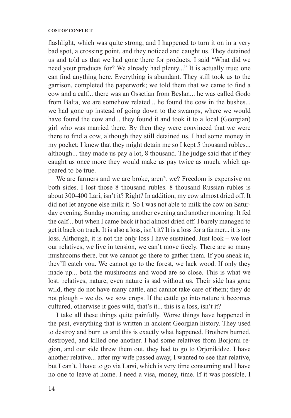flashlight, which was quite strong, and I happened to turn it on in a very bad spot, a crossing point, and they noticed and caught us. They detained us and told us that we had gone there for products. I said "What did we need your products for? We already had plenty..." It is actually true; one can find anything here. Everything is abundant. They still took us to the garrison, completed the paperwork; we told them that we came to find a cow and a calf... there was an Ossetian from Beslan... he was called Godo from Balta, we are somehow related... he found the cow in the bushes... we had gone up instead of going down to the swamps, where we would have found the cow and... they found it and took it to a local (Georgian) girl who was married there. By then they were convinced that we were there to find a cow, although they still detained us. I had some money in my pocket; I knew that they might detain me so I kept 5 thousand rubles... although... they made us pay a lot, 8 thousand. The judge said that if they caught us once more they would make us pay twice as much, which appeared to be true.

We are farmers and we are broke, aren't we? Freedom is expensive on both sides. I lost those 8 thousand rubles. 8 thousand Russian rubles is about 300-400 Lari, isn't it? Right? In addition, my cow almost dried off. It did not let anyone else milk it. So I was not able to milk the cow on Saturday evening, Sunday morning, another evening and another morning. It fed the calf... but when I came back it had almost dried off. I barely managed to get it back on track. It is also a loss, isn't it? It is a loss for a farmer... it is my loss. Although, it is not the only loss I have sustained. Just look – we lost our relatives, we live in tension, we can't move freely. There are so many mushrooms there, but we cannot go there to gather them. If you sneak in, they'll catch you. We cannot go to the forest, we lack wood. If only they made up... both the mushrooms and wood are so close. This is what we lost: relatives, nature, even nature is sad without us. Their side has gone wild, they do not have many cattle, and cannot take care of them; they do not plough – we do, we sow crops. If the cattle go into nature it becomes cultured, otherwise it goes wild, that's it... this is a loss, isn't it?

I take all these things quite painfully. Worse things have happened in the past, everything that is written in ancient Georgian history. They used to destroy and burn us and this is exactly what happened. Brothers burned, destroyed, and killed one another. I had some relatives from Borjomi region, and our side threw them out, they had to go to Orjonikidze. I have another relative... after my wife passed away, I wanted to see that relative, but I can't. I have to go via Larsi, which is very time consuming and I have no one to leave at home. I need a visa, money, time. If it was possible, I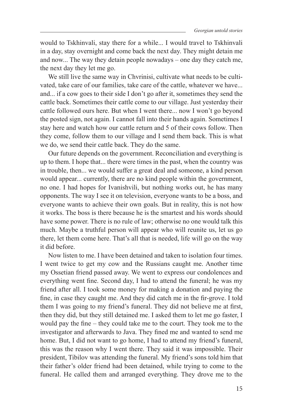would to Tskhinvali, stay there for a while... I would travel to Tskhinvali in a day, stay overnight and come back the next day. They might detain me and now... The way they detain people nowadays – one day they catch me, the next day they let me go.

We still live the same way in Chvrinisi, cultivate what needs to be cultivated, take care of our families, take care of the cattle, whatever we have... and... if a cow goes to their side I don't go after it, sometimes they send the cattle back. Sometimes their cattle come to our village. Just yesterday their cattle followed ours here. But when I went there... now I won't go beyond the posted sign, not again. I cannot fall into their hands again. Sometimes I stay here and watch how our cattle return and 5 of their cows follow. Then they come, follow them to our village and I send them back. This is what we do, we send their cattle back. They do the same.

Our future depends on the government. Reconciliation and everything is up to them. I hope that... there were times in the past, when the country was in trouble, then... we would suffer a great deal and someone, a kind person would appear... currently, there are no kind people within the government, no one. I had hopes for Ivanishvili, but nothing works out, he has many opponents. The way I see it on television, everyone wants to be a boss, and everyone wants to achieve their own goals. But in reality, this is not how it works. The boss is there because he is the smartest and his words should have some power. There is no rule of law; otherwise no one would talk this much. Maybe a truthful person will appear who will reunite us, let us go there, let them come here. That's all that is needed, life will go on the way it did before.

Now listen to me. I have been detained and taken to isolation four times. I went twice to get my cow and the Russians caught me. Another time my Ossetian friend passed away. We went to express our condolences and everything went fine. Second day, I had to attend the funeral; he was my friend after all. I took some money for making a donation and paying the fine, in case they caught me. And they did catch me in the fir-grove. I told them I was going to my friend's funeral. They did not believe me at first, then they did, but they still detained me. I asked them to let me go faster, I would pay the fine – they could take me to the court. They took me to the investigator and afterwards to Java. They fined me and wanted to send me home. But, I did not want to go home, I had to attend my friend's funeral, this was the reason why I went there. They said it was impossible. Their president, Tibilov was attending the funeral. My friend's sons told him that their father's older friend had been detained, while trying to come to the funeral. He called them and arranged everything. They drove me to the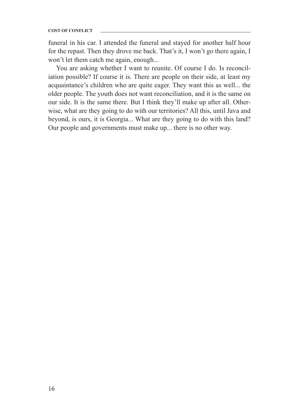funeral in his car. I attended the funeral and stayed for another half hour for the repast. Then they drove me back. That's it, I won't go there again, I won't let them catch me again, enough...

You are asking whether I want to reunite. Of course I do. Is reconciliation possible? If course it is. There are people on their side, at least my acquaintance's children who are quite eager. They want this as well... the older people. The youth does not want reconciliation, and it is the same on our side. It is the same there. But I think they'll make up after all. Otherwise, what are they going to do with our territories? All this, until Java and beyond, is ours, it is Georgia... What are they going to do with this land? Our people and governments must make up... there is no other way.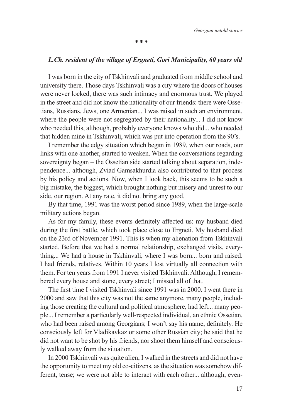**\* \* \***

#### *L.Ch. resident of the village of Ergneti, Gori Municipality, 60 years old*

I was born in the city of Tskhinvali and graduated from middle school and university there. Those days Tskhinvali was a city where the doors of houses were never locked, there was such intimacy and enormous trust. We played in the street and did not know the nationality of our friends: there were Ossetians, Russians, Jews, one Armenian... I was raised in such an environment, where the people were not segregated by their nationality... I did not know who needed this, although, probably everyone knows who did... who needed that hidden mine in Tskhinvali, which was put into operation from the 90's.

I remember the edgy situation which began in 1989, when our roads, our links with one another, started to weaken. When the conversations regarding sovereignty began – the Ossetian side started talking about separation, independence... although, Zviad Gamsakhurdia also contributed to that process by his policy and actions. Now, when I look back, this seems to be such a big mistake, the biggest, which brought nothing but misery and unrest to our side, our region. At any rate, it did not bring any good.

By that time, 1991 was the worst period since 1989, when the large-scale military actions began.

As for my family, these events definitely affected us: my husband died during the first battle, which took place close to Ergneti. My husband died on the 23rd of November 1991. This is when my alienation from Tskhinvali started. Before that we had a normal relationship, exchanged visits, everything... We had a house in Tskhinvali, where I was born... born and raised. I had friends, relatives. Within 10 years I lost virtually all connection with them. For ten years from 1991 I never visited Tskhinvali. Although, I remembered every house and stone, every street; I missed all of that.

The first time I visited Tskhinvali since 1991 was in 2000. I went there in 2000 and saw that this city was not the same anymore, many people, including those creating the cultural and political atmosphere, had left... many people... I remember a particularly well-respected individual, an ethnic Ossetian, who had been raised among Georgians; I won't say his name, definitely. He consciously left for Vladikavkaz or some other Russian city; he said that he did not want to be shot by his friends, nor shoot them himself and consciously walked away from the situation.

In 2000 Tskhinvali was quite alien; I walked in the streets and did not have the opportunity to meet my old co-citizens, as the situation was somehow different, tense; we were not able to interact with each other... although, even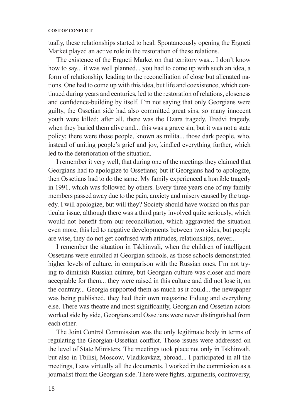tually, these relationships started to heal. Spontaneously opening the Ergneti Market played an active role in the restoration of these relations.

The existence of the Ergneti Market on that territory was... I don't know how to say... it was well planned... you had to come up with such an idea, a form of relationship, leading to the reconciliation of close but alienated nations. One had to come up with this idea, but life and coexistence, which continued during years and centuries, led to the restoration of relations, closeness and confidence-building by itself. I'm not saying that only Georgians were guilty, the Ossetian side had also committed great sins, so many innocent youth were killed; after all, there was the Dzara tragedy, Eredvi tragedy, when they buried them alive and... this was a grave sin, but it was not a state policy; there were those people, known as milita... those dark people, who, instead of uniting people's grief and joy, kindled everything further, which led to the deterioration of the situation.

I remember it very well, that during one of the meetings they claimed that Georgians had to apologize to Ossetians; but if Georgians had to apologize, then Ossetians had to do the same. My family experienced a horrible tragedy in 1991, which was followed by others. Every three years one of my family members passed away due to the pain, anxiety and misery caused by the tragedy. I will apologize, but will they? Society should have worked on this particular issue, although there was a third party involved quite seriously, which would not benefit from our reconciliation, which aggravated the situation even more, this led to negative developments between two sides; but people are wise, they do not get confused with attitudes, relationships, never...

I remember the situation in Tskhinvali, when the children of intelligent Ossetians were enrolled at Georgian schools, as those schools demonstrated higher levels of culture, in comparison with the Russian ones. I'm not trying to diminish Russian culture, but Georgian culture was closer and more acceptable for them... they were raised in this culture and did not lose it, on the contrary... Georgia supported them as much as it could... the newspaper was being published, they had their own magazine Fiduag and everything else. There was theatre and most significantly, Georgian and Ossetian actors worked side by side, Georgians and Ossetians were never distinguished from each other.

The Joint Control Commission was the only legitimate body in terms of regulating the Georgian-Ossetian conflict. Those issues were addressed on the level of State Ministers. The meetings took place not only in Tskhinvali, but also in Tbilisi, Moscow, Vladikavkaz, abroad... I participated in all the meetings, I saw virtually all the documents. I worked in the commission as a journalist from the Georgian side. There were fights, arguments, controversy,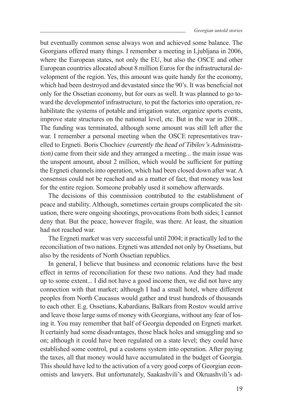but eventually common sense always won and achieved some balance. The Georgians offered many things. I remember a meeting in Ljubljana in 2006, where the European states, not only the EU, but also the OSCE and other European countries allocated about 8 million Euros for the infrastructural development of the region. Yes, this amount was quite handy for the economy, which had been destroyed and devastated since the 90's. It was beneficial not only for the Ossetian economy, but for ours as well. It was planned to go toward the developmentof infrastructure, to put the factories into operation, rehabilitate the systems of potable and irrigation water, organize sports events, improve state structures on the national level, etc. But in the war in 2008... The funding was terminated, although some amount was still left after the war. I remember a personal meeting when the OSCE representatives travelled to Ergneti. Boris Chochiev (currently the head of Tibilov's Administration) came from their side and they arranged a meeting... the main issue was the unspent amount, about 2 million, which would be sufficient for putting the Ergneti channels into operation, which had been closed down after war. A consensus could not be reached and as a matter of fact, that money was lost for the entire region. Someone probably used it somehow afterwards.

The decisions of this commission contributed to the establishment of peace and stability. Although, sometimes certain groups complicated the situation, there were ongoing shootings, provocations from both sides; I cannot deny that. But the peace, however fragile, was there. At least, the situation had not reached war.

The Ergneti market was very successful until 2004; it practically led to the reconciliation of two nations. Ergneti was attended not only by Ossetians, but also by the residents of North Ossetian republics.

In general, I believe that business and economic relations have the best effect in terms of reconciliation for these two nations. And they had made up to some extent... I did not have a good income then, we did not have any connection with that market; although I had a small hotel, where different peoples from North Caucasus would gather and trust hundreds of thousands to each other. E.g. Ossetians, Kabardians, Balkars from Rostov would arrive and leave those large sums of money with Georgians, without any fear of losing it. You may remember that half of Georgia depended on Ergneti market. It certainly had some disadvantages, those black holes and smuggling and so on; although it could have been regulated on a state level; they could have established some control, put a customs system into operation. After paying the taxes, all that money would have accumulated in the budget of Georgia. This should have led to the activation of a very good corps of Georgian economists and lawyers. But unfortunately, Saakashvili's and Okruashvili's ad-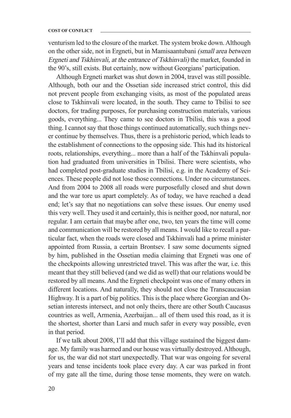venturism led to the closure of the market. The system broke down. Although on the other side, not in Ergneti, but in Mamisaantubani (small area between Ergneti and Tskhinvali, at the entrance of Tskhinvali) the market, founded in the 90's, still exists. But certainly, now without Georgians' participation.

Although Ergneti market was shut down in 2004, travel was still possible. Although, both our and the Ossetian side increased strict control, this did not prevent people from exchanging visits, as most of the populated areas close to Tskhinvali were located, in the south. They came to Tbilisi to see doctors, for trading purposes, for purchasing construction materials, various goods, everything... They came to see doctors in Tbilisi, this was a good thing. I cannot say that those things continued automatically, such things never continue by themselves. Thus, there is a prehistoric period, which leads to the establishment of connections to the opposing side. This had its historical roots, relationships, everything... more than a half of the Tskhinvali population had graduated from universities in Tbilisi. There were scientists, who had completed post-graduate studies in Tbilisi, e.g. in the Academy of Sciences. These people did not lose those connections. Under no circumstances. And from 2004 to 2008 all roads were purposefully closed and shut down and the war tore us apart completely. As of today, we have reached a dead end; let's say that no negotiations can solve these issues. Our enemy used this very well. They used it and certainly, this is neither good, nor natural, nor regular. I am certain that maybe after one, two, ten years the time will come and communication will be restored by all means. I would like to recall a particular fact, when the roads were closed and Tskhinvali had a prime minister appointed from Russia, a certain Brontsev. I saw some documents signed by him, published in the Ossetian media claiming that Ergneti was one of the checkpoints allowing unrestricted travel. This was after the war, i.e. this meant that they still believed (and we did as well) that our relations would be restored by all means. And the Ergneti checkpoint was one of many others in different locations. And naturally, they should not close the Transcaucasian Highway. It is a part of big politics. This is the place where Georgian and Ossetian interests intersect, and not only theirs, there are other South Caucasus countries as well, Armenia, Azerbaijan... all of them used this road, as it is the shortest, shorter than Larsi and much safer in every way possible, even in that period.

If we talk about 2008, I'll add that this village sustained the biggest damage. My family was harmed and our house was virtually destroyed. Although, for us, the war did not start unexpectedly. That war was ongoing for several years and tense incidents took place every day. A car was parked in front of my gate all the time, during those tense moments, they were on watch.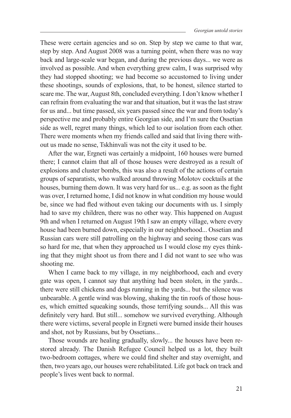These were certain agencies and so on. Step by step we came to that war, step by step. And August 2008 was a turning point, when there was no way back and large-scale war began, and during the previous days... we were as involved as possible. And when everything grew calm, I was surprised why they had stopped shooting; we had become so accustomed to living under these shootings, sounds of explosions, that, to be honest, silence started to scare me. The war, August 8th, concluded everything. I don't know whether I can refrain from evaluating the war and that situation, but it was the last straw for us and... but time passed, six years passed since the war and from today's perspective me and probably entire Georgian side, and I'm sure the Ossetian side as well, regret many things, which led to our isolation from each other. There were moments when my friends called and said that living there without us made no sense, Tskhinvali was not the city it used to be.

After the war, Ergneti was certainly a midpoint, 160 houses were burned there; I cannot claim that all of those houses were destroyed as a result of explosions and cluster bombs, this was also a result of the actions of certain groups of separatists, who walked around throwing Molotov cocktails at the houses, burning them down. It was very hard for us... e.g. as soon as the fight was over, I returned home, I did not know in what condition my house would be, since we had fled without even taking our documents with us. I simply had to save my children, there was no other way. This happened on August 9th and when I returned on August 19th I saw an empty village, where every house had been burned down, especially in our neighborhood... Ossetian and Russian cars were still patrolling on the highway and seeing those cars was so hard for me, that when they approached us I would close my eyes thinking that they might shoot us from there and I did not want to see who was shooting me.

When I came back to my village, in my neighborhood, each and every gate was open, I cannot say that anything had been stolen, in the yards... there were still chickens and dogs running in the yards... but the silence was unbearable. A gentle wind was blowing, shaking the tin roofs of those houses, which emitted squeaking sounds, those terrifying sounds... All this was definitely very hard. But still... somehow we survived everything. Although there were victims, several people in Ergneti were burned inside their houses and shot, not by Russians, but by Ossetians...

Those wounds are healing gradually, slowly... the houses have been restored already. The Danish Refugee Council helped us a lot, they built two-bedroom cottages, where we could find shelter and stay overnight, and then, two years ago, our houses were rehabilitated. Life got back on track and people's lives went back to normal.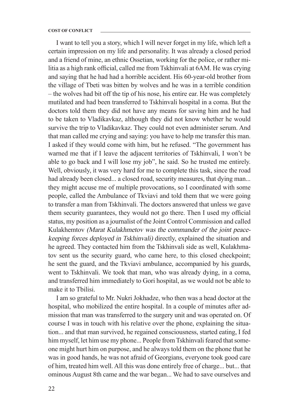I want to tell you a story, which I will never forget in my life, which left a certain impression on my life and personality. It was already a closed period and a friend of mine, an ethnic Ossetian, working for the police, or rather militia as a high rank official, called me from Tskhinvali at 6AM. He was crying and saying that he had had a horrible accident. His 60-year-old brother from the village of Tbeti was bitten by wolves and he was in a terrible condition – the wolves had bit off the tip of his nose, his entire ear. He was completely mutilated and had been transferred to Tskhinvali hospital in a coma. But the doctors told them they did not have any means for saving him and he had to be taken to Vladikavkaz, although they did not know whether he would survive the trip to Vladikavkaz. They could not even administer serum. And that man called me crying and saying: you have to help me transfer this man. I asked if they would come with him, but he refused. "The government has warned me that if I leave the adjacent territories of Tskhinvali, I won't be able to go back and I will lose my job", he said. So he trusted me entirely. Well, obviously, it was very hard for me to complete this task, since the road had already been closed... a closed road, security measures, that dying man... they might accuse me of multiple provocations, so I coordinated with some people, called the Ambulance of Tkviavi and told them that we were going to transfer a man from Tskhinvali. The doctors answered that unless we gave them security guarantees, they would not go there. Then I used my official status, my position as a journalist of the Joint Control Commission and called Kulakhemtov (Marat Kulakhmetov was the commander of the joint peacekeeping forces deployed in Tskhinvali) directly, explained the situation and he agreed. They contacted him from the Tskhinvali side as well, Kulakhmatov sent us the security guard, who came here, to this closed checkpoint; he sent the guard, and the Tkviavi ambulance, accompanied by his guards, went to Tskhinvali. We took that man, who was already dying, in a coma, and transferred him immediately to Gori hospital, as we would not be able to make it to Tbilisi.

I am so grateful to Mr. Nukri Jokhadze, who then was a head doctor at the hospital, who mobilized the entire hospital. In a couple of minutes after admission that man was transferred to the surgery unit and was operated on. Of course I was in touch with his relative over the phone, explaining the situation... and that man survived, he regained consciousness, started eating, I fed him myself, let him use my phone... People from Tskhinvali feared that someone might hurt him on purpose, and he always told them on the phone that he was in good hands, he was not afraid of Georgians, everyone took good care of him, treated him well. All this was done entirely free of charge... but... that ominous August 8th came and the war began... We had to save ourselves and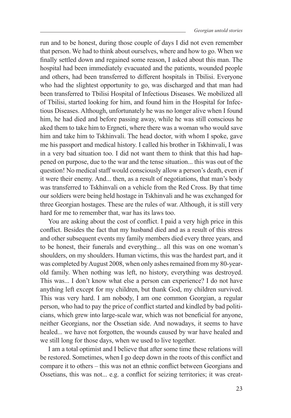run and to be honest, during those couple of days I did not even remember that person. We had to think about ourselves, where and how to go. When we finally settled down and regained some reason, I asked about this man. The hospital had been immediately evacuated and the patients, wounded people and others, had been transferred to different hospitals in Tbilisi. Everyone who had the slightest opportunity to go, was discharged and that man had been transferred to Tbilisi Hospital of Infectious Diseases. We mobilized all of Tbilisi, started looking for him, and found him in the Hospital for Infectious Diseases. Although, unfortunately he was no longer alive when I found him, he had died and before passing away, while he was still conscious he aked them to take him to Ergneti, where there was a woman who would save him and take him to Tskhinvali. The head doctor, with whom I spoke, gave me his passport and medical history. I called his brother in Tskhinvali, I was in a very bad situation too. I did not want them to think that this had happened on purpose, due to the war and the tense situation... this was out of the question! No medical staff would consciously allow a person's death, even if it were their enemy. And... then, as a result of negotiations, that man's body was transferred to Tskhinvali on a vehicle from the Red Cross. By that time our soldiers were being held hostage in Tskhinvali and he was exchanged for three Georgian hostages. These are the rules of war. Although, it is still very hard for me to remember that, war has its laws too.

You are asking about the cost of conflict. I paid a very high price in this conflict. Besides the fact that my husband died and as a result of this stress and other subsequent events my family members died every three years, and to be honest, their funerals and everything... all this was on one woman's shoulders, on my shoulders. Human victims, this was the hardest part, and it was completed by August 2008, when only ashes remained from my 80-yearold family. When nothing was left, no history, everything was destroyed. This was... I don't know what else a person can experience? I do not have anything left except for my children, but thank God, my children survived. This was very hard. I am nobody, I am one common Georgian, a regular person, who had to pay the price of conflict started and kindled by bad politicians, which grew into large-scale war, which was not beneficial for anyone, neither Georgians, nor the Ossetian side. And nowadays, it seems to have healed... we have not forgotten, the wounds caused by war have healed and we still long for those days, when we used to live together.

I am a total optimist and I believe that after some time these relations will be restored. Sometimes, when I go deep down in the roots of this conflict and compare it to others – this was not an ethnic conflict between Georgians and Ossetians, this was not... e.g. a conflict for seizing territories; it was creat-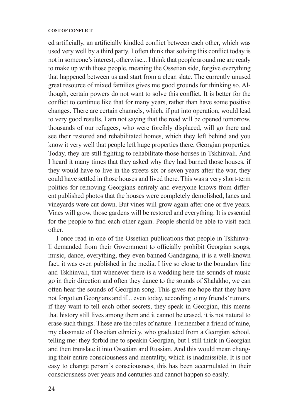ed artificially, an artificially kindled conflict between each other, which was used very well by a third party. I often think that solving this conflict today is not in someone's interest, otherwise... I think that people around me are ready to make up with those people, meaning the Ossetian side, forgive everything that happened between us and start from a clean slate. The currently unused great resource of mixed families gives me good grounds for thinking so. Although, certain powers do not want to solve this conflict. It is better for the conflict to continue like that for many years, rather than have some positive changes. There are certain channels, which, if put into operation, would lead to very good results, I am not saying that the road will be opened tomorrow, thousands of our refugees, who were forcibly displaced, will go there and see their restored and rehabilitated homes, which they left behind and you know it very well that people left huge properties there, Georgian properties. Today, they are still fighting to rehabilitate those houses in Tskhinvali. And I heard it many times that they asked why they had burned those houses, if they would have to live in the streets six or seven years after the war, they could have settled in those houses and lived there. This was a very short-term politics for removing Georgians entirely and everyone knows from different published photos that the houses were completely demolished, lanes and vineyards were cut down. But vines will grow again after one or five years. Vines will grow, those gardens will be restored and everything. It is essential for the people to find each other again. People should be able to visit each other.

I once read in one of the Ossetian publications that people in Tskhinvali demanded from their Government to officially prohibit Georgian songs, music, dance, everything, they even banned Gandagana, it is a well-known fact, it was even published in the media. I live so close to the boundary line and Tskhinvali, that whenever there is a wedding here the sounds of music go in their direction and often they dance to the sounds of Shalakho, we can often hear the sounds of Georgian song. This gives me hope that they have not forgotten Georgians and if... even today, according to my friends' rumors, if they want to tell each other secrets, they speak in Georgian, this means that history still lives among them and it cannot be erased, it is not natural to erase such things. These are the rules of nature. I remember a friend of mine, my classmate of Ossetian ethnicity, who graduated from a Georgian school, telling me: they forbid me to speakin Georgian, but I still think in Georgian and then translate it into Ossetian and Russian. And this would mean changing their entire consciousness and mentality, which is inadmissible. It is not easy to change person's consciousness, this has been accumulated in their consciousness over years and centuries and cannot happen so easily.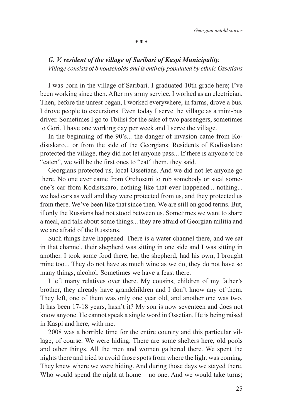**\* \* \***

## *G. V. resident of the village of Saribari of Kaspi Municipality. Village consists of 8 households and is entirely populated by ethnic Ossetians*

I was born in the village of Saribari. I graduated 10th grade here; I've been working since then. After my army service, I worked as an electrician. Then, before the unrest began, I worked everywhere, in farms, drove a bus. I drove people to excursions. Even today I serve the village as a mini-bus driver. Sometimes I go to Tbilisi for the sake of two passengers, sometimes to Gori. I have one working day per week and I serve the village.

In the beginning of the 90's... the danger of invasion came from Kodistskaro... or from the side of the Georgians. Residents of Kodistskaro protected the village, they did not let anyone pass... If there is anyone to be "eaten", we will be the first ones to "eat" them, they said.

Georgians protected us, local Ossetians. And we did not let anyone go there. No one ever came from Orchosani to rob somebody or steal someone's car from Kodistskaro, nothing like that ever happened... nothing... we had cars as well and they were protected from us, and they protected us from there. We've been like that since then. We are still on good terms. But, if only the Russians had not stood between us. Sometimes we want to share a meal, and talk about some things... they are afraid of Georgian militia and we are afraid of the Russians.

Such things have happened. There is a water channel there, and we sat in that channel, their shepherd was sitting in one side and I was sitting in another. I took some food there, he, the shepherd, had his own, I brought mine too... They do not have as much wine as we do, they do not have so many things, alcohol. Sometimes we have a feast there.

I left many relatives over there. My cousins, children of my father's brother, they already have grandchildren and I don't know any of them. They left, one of them was only one year old, and another one was two. It has been 17-18 years, hasn't it? My son is now seventeen and does not know anyone. He cannot speak a single word in Ossetian. He is being raised in Kaspi and here, with me.

2008 was a horrible time for the entire country and this particular village, of course. We were hiding. There are some shelters here, old pools and other things. All the men and women gathered there. We spent the nights there and tried to avoid those spots from where the light was coming. They knew where we were hiding. And during those days we stayed there. Who would spend the night at home – no one. And we would take turns: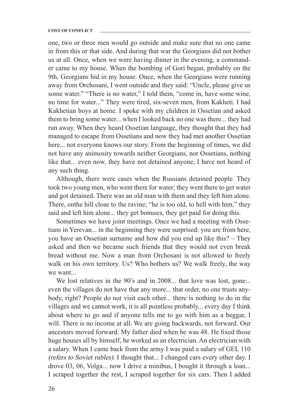one, two or three men would go outside and make sure that no one came in from this or that side. And during that war the Georgians did not bother us at all. Once, when we were having dinner in the evening, a commander came to my house. When the bombing of Gori began, probably on the 9th, Georgians hid in my house. Once, when the Georgians were running away from Orchosani, I went outside and they said: "Uncle, please give us some water." "There is no water," I told them, "come in, have some wine, no time for water..." They were tired, six-seven men, from Kakheti. I had Kakhetian boys at home. I spoke with my children in Ossetian and asked them to bring some water... when I looked back no one was there... they had run away. When they heard Ossetian language, they thought that they had managed to escape from Ossetians and now they had met another Ossetian here... not everyone knows our story. From the beginning of times, we did not have any animosity towards neither Georgians, nor Ossetians, nothing like that... even now, they have not detained anyone, I have not heard of any such thing.

Although, there were cases when the Russians detained people. They took two young men, who went there for water; they went there to get water and got detained. There was an old man with them and they left him alone. There, onthe hill close to the ravine; "he is too old, to hell with him," they said and left him alone... they get bonuses, they get paid for doing this.

Sometimes we have joint meetings. Once we had a meeting with Ossetians in Yerevan... in the beginning they were surprised: you are from here, you have an Ossetian surname and how did you end up like this? – They asked and then we became such friends that they would not even break bread without me. Now a man from Orchosani is not allowed to freely walk on his own territory. Us? Who bothers us? We walk freely, the way we want...

We lost relatives in the 90's and in 2008... that love was lost, gone... even the villages do not have that any more... that order, no one trusts anybody, right? People do not visit each other... there is nothing to do in the villages and we cannot work, it is all pointless probably... every day I think about where to go and if anyone tells me to go with him as a beggar, I will. There is no income at all. We are going backwards, not forward. Our ancestors moved forward. My father died when he was 48. He fixed those huge houses all by himself, he worked as an electrician. An electrician with a salary. When I came back from the army I was paid a salary of GEL 110 (refers to Soviet rubles). I thought that... I changed cars every other day. I drove 03, 06, Volga... now I drive a minibus, I bought it through a loan... I scraped together the rest, I scraped together for six cars. Then I added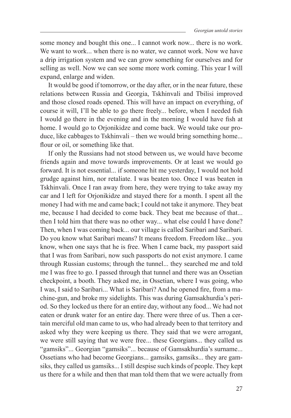some money and bought this one... I cannot work now... there is no work. We want to work... when there is no water, we cannot work. Now we have a drip irrigation system and we can grow something for ourselves and for selling as well. Now we can see some more work coming. This year I will expand, enlarge and widen.

It would be good if tomorrow, or the day after, or in the near future, these relations between Russia and Georgia, Tskhinvali and Tbilisi improved and those closed roads opened. This will have an impact on everything, of course it will, I'll be able to go there freely... before, when I needed fish I would go there in the evening and in the morning I would have fish at home. I would go to Orjonikidze and come back. We would take our produce, like cabbages to Tskhinvali – then we would bring something home... flour or oil, or something like that.

If only the Russians had not stood between us, we would have become friends again and move towards improvements. Or at least we would go forward. It is not essential... if someone hit me yesterday, I would not hold grudge against him, nor retaliate. I was beaten too. Once I was beaten in Tskhinvali. Once I ran away from here, they were trying to take away my car and I left for Orjonikidze and stayed there for a month. I spent all the money I had with me and came back; I could not take it anymore. They beat me, because I had decided to come back. They beat me because of that... then I told him that there was no other way... what else could I have done? Then, when I was coming back... our village is called Saribari and Saribari. Do you know what Saribari means? It means freedom. Freedom like... you know, when one says that he is free. When I came back, my passport said that I was from Saribari, now such passports do not exist anymore. I came through Russian customs; through the tunnel... they searched me and told me I was free to go. I passed through that tunnel and there was an Ossetian checkpoint, a booth. They asked me, in Ossetian, where I was going, who I was, I said to Saribari... What is Saribari? And he opened fire, from a machine-gun, and broke my sidelights. This was during Gamsakhurdia's period. So they locked us there for an entire day, without any food... We had not eaten or drunk water for an entire day. There were three of us. Then a certain merciful old man came to us, who had already been to that territory and asked why they were keeping us there. They said that we were arrogant, we were still saying that we were free... these Georgians... they called us "gamsiks"... Georgian "gamsiks"... because of Gamsakhurdia's surname... Ossetians who had become Georgians... gamsiks, gamsiks... they are gamsiks, they called us gamsiks... I still despise such kinds of people. They kept us there for a while and then that man told them that we were actually from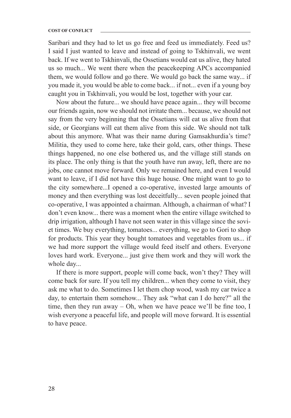Saribari and they had to let us go free and feed us immediately. Feed us? I said I just wanted to leave and instead of going to Tskhinvali, we went back. If we went to Tskhinvali, the Ossetians would eat us alive, they hated us so much... We went there when the peacekeeping APCs accompanied them, we would follow and go there. We would go back the same way... if you made it, you would be able to come back... if not... even if a young boy caught you in Tskhinvali, you would be lost, together with your car.

Now about the future... we should have peace again... they will become our friends again, now we should not irritate them... because, we should not say from the very beginning that the Ossetians will eat us alive from that side, or Georgians will eat them alive from this side. We should not talk about this anymore. What was their name during Gamsakhurdia's time? Militia, they used to come here, take their gold, cars, other things. These things happened, no one else bothered us, and the village still stands on its place. The only thing is that the youth have run away, left, there are no jobs, one cannot move forward. Only we remained here, and even I would want to leave, if I did not have this huge house. One might want to go to the city somewhere...I opened a co-operative, invested large amounts of money and then everything was lost deceitfully... seven people joined that co-operative, I was appointed a chairman. Although, a chairman of what? I don't even know... there was a moment when the entire village switched to drip irrigation, although I have not seen water in this village since the soviet times. We buy everything, tomatoes... everything, we go to Gori to shop for products. This year they bought tomatoes and vegetables from us... if we had more support the village would feed itself and others. Everyone loves hard work. Everyone... just give them work and they will work the whole day...

If there is more support, people will come back, won't they? They will come back for sure. If you tell my children... when they come to visit, they ask me what to do. Sometimes I let them chop wood, wash my car twice a day, to entertain them somehow... They ask "what can I do here?" all the time, then they run away – Oh, when we have peace we'll be fine too, I wish everyone a peaceful life, and people will move forward. It is essential to have peace.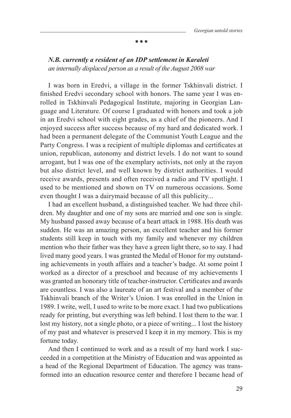#### **\* \* \***

## *N.B. currently a resident of an IDP settlement in Karaleti an internally displaced person as a result of the August 2008 war*

I was born in Eredvi, a village in the former Tskhinvali district. I finished Eredvi secondary school with honors. The same year I was enrolled in Tskhinvali Pedagogical Institute, majoring in Georgian Language and Literature. Of course I graduated with honors and took a job in an Eredvi school with eight grades, as a chief of the pioneers. And I enjoyed success after success because of my hard and dedicated work. I had been a permanent delegate of the Communist Youth League and the Party Congress. I was a recipient of multiple diplomas and certificates at union, republican, autonomy and district levels. I do not want to sound arrogant, but I was one of the exemplary activists, not only at the rayon but also district level, and well known by district authorities. I would receive awards, presents and often received a radio and TV spotlight. I used to be mentioned and shown on TV on numerous occasions. Some even thought I was a dairymaid because of all this publicity...

I had an excellent husband, a distinguished teacher. We had three children. My daughter and one of my sons are married and one son is single. My husband passed away because of a heart attack in 1988. His death was sudden. He was an amazing person, an excellent teacher and his former students still keep in touch with my family and whenever my children mention who their father was they have a green light there, so to say. I had lived many good years. I was granted the Medal of Honor for my outstanding achievements in youth affairs and a teacher's badge. At some point I worked as a director of a preschool and because of my achievements I was granted an honorary title of teacher-instructor. Certificates and awards are countless. I was also a laureate of an art festival and a member of the Tskhinvali branch of the Writer's Union. I was enrolled in the Union in 1989. I write, well, I used to write to be more exact. I had two publications ready for printing, but everything was left behind. I lost them to the war. I lost my history, not a single photo, or a piece of writing... I lost the history of my past and whatever is preserved I keep it in my memory. This is my fortune today.

And then I continued to work and as a result of my hard work I succeeded in a competition at the Ministry of Education and was appointed as a head of the Regional Department of Education. The agency was transformed into an education resource center and therefore I became head of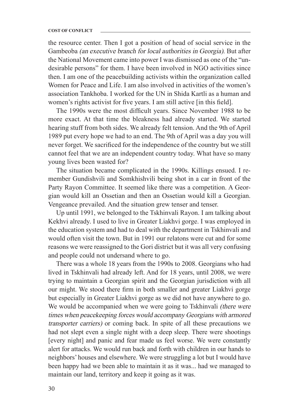the resource center. Then I got a position of head of social service in the Gambeoba (an executive branch for local authorities in Georgia). But after the National Movement came into power I was dismissed as one of the "undesirable persons" for them. I have been involved in NGO activities since then. I am one of the peacebuilding activists within the organization called Women for Peace and Life. I am also involved in activities of the women's association Tankhoba. I worked for the UN in Shida Kartli as a human and women's rights activist for five years. I am still active [in this field].

The 1990s were the most difficult years. Since November 1988 to be more exact. At that time the bleakness had already started. We started hearing stuff from both sides. We already felt tension. And the 9th of April 1989 put every hope we had to an end. The 9th of April was a day you will never forget. We sacrificed for the independence of the country but we still cannot feel that we are an independent country today. What have so many young lives been wasted for?

The situation became complicated in the 1990s. Killings ensued. I remember Gundishvili and Somkhishvili being shot in a car in front of the Party Rayon Committee. It seemed like there was a competition. A Georgian would kill an Ossetian and then an Ossetian would kill a Georgian. Vengeance prevailed. And the situation grew tenser and tenser.

Up until 1991, we belonged to the Tskhinvali Rayon. I am talking about Kekhvi already. I used to live in Greater Liakhvi gorge. I was employed in the education system and had to deal with the department in Tskhinvali and would often visit the town. But in 1991 our relatons were cut and for some reasons we were reassigned to the Gori district but it was all very confusing and people could not undersand where to go.

There was a whole 18 years from the 1990s to 2008. Georgians who had lived in Tskhinvali had already left. And for 18 years, until 2008, we were trying to maintain a Georgian spirit and the Georgian jurisdiction with all our might. We stood there firm in both smaller and greater Liakhvi gorge but especially in Greater Liakhvi gorge as we did not have anywhere to go. We would be accompanied when we were going to Tskhinvali (there were times when peacekeeping forces would accompany Georgians with armored transporter carriers) or coming back. In spite of all these precautions we had not slept even a single night with a deep sleep. There were shootings [every night] and panic and fear made us feel worse. We were constantly alert for attacks. We would run back and forth with children in our hands to neighbors' houses and elsewhere. We were struggling a lot but I would have been happy had we been able to maintain it as it was... had we managed to maintain our land, territory and keep it going as it was.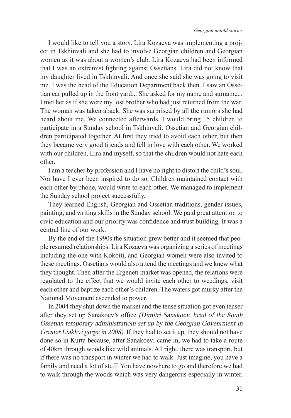I would like to tell you a story. Lira Kozaeva was implementing a project in Tskhinvali and she had to involve Georgian children and Georgian women as it was about a women's club. Lira Kozaeva had been informed that I was an extremist fighting against Ossetians. Lira did not know that my daughter lived in Tskhinvali. And once she said she was going to visit me. I was the head of the Education Department back then. I saw an Ossetian car pulled up in the front yard... She asked for my name and surname... I met her as if she were my lost brother who had just returned from the war. The woman was taken aback. She was surprised by all the rumors she had heard about me. We connected afterwards. I would bring 15 children to participate in a Sunday school in Tskhinvali. Ossetian and Georgian children participated together. At first they tried to avoid each other, but then they became very good friends and fell in love with each other. We worked with our children, Lira and myself, so that the children would not hate each other.

I am a teacher by profession and I have no right to distort the child's soul. Nor have I ever been inspired to do so. Children maintained contact with each other by phone, would write to each other. We managed to implement the Sunday school project successfully.

They learned English, Georgian and Ossetian traditions, gender issues, painting, and writing skills in the Sunday school. We paid great attention to civic education and our priority was confidence and trust building. It was a central line of our work.

By the end of the 1990s the situation grew better and it seemed that people resumed relationships. Lira Kozaeva was organizing a series of meetings including the one with Kokoiti, and Georgian women were also invited to these meetings. Ossetians would also attend the meetings and we knew what they thought. Then after the Ergeneti market was opened, the relations were regulated to the effect that we would invite each other to weedings, visit each other and baptize each other's children. The waters got murky after the National Movement ascended to power.

In 2004 they shut down the market and the tense situation got even tenser after they set up Sanakoev's office (Dimitri Sanakoev, head of the South Ossetian temporary administratioin set up by the Georgian Govenrment in Greater Liakhvi gorge in 2008). If they had to set it up, they should not have done so in Kurta because, after Sanakoevi came in, we had to take a route of 40km through woods like wild animals. All right, there was transport, but if there was no transport in winter we had to walk. Just imagine, you have a family and need a lot of stuff. You have nowhere to go and therefore we had to walk through the woods which was very dangerous especially in winter.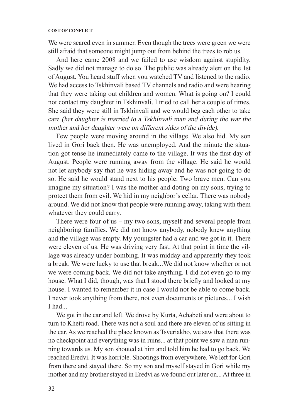#### **COST OF CONFLICT**

We were scared even in summer. Even though the trees were green we were still afraid that someone might jump out from behind the trees to rob us.

And here came 2008 and we failed to use wisdom against stupidity. Sadly we did not manage to do so. The public was already alert on the 1st of August. You heard stuff when you watched TV and listened to the radio. We had access to Tskhinvali based TV channels and radio and were hearing that they were taking out children and women. What is going on? I could not contact my daughter in Tskhinvali. I tried to call her a couple of times. She said they were still in Tskhinvali and we would beg each other to take care (her daughter is married to a Tskhinvali man and during the war the mother and her daughter were on different sides of the divide).

Few people were moving around in the village. We also hid. My son lived in Gori back then. He was unemployed. And the minute the situation got tense he immediately came to the village. It was the first day of August. People were running away from the village. He said he would not let anybody say that he was hiding away and he was not going to do so. He said he would stand next to his people. Two brave men. Can you imagine my situation? I was the mother and doting on my sons, trying to protect them from evil. We hid in my neighbor's cellar. There was nobody around. We did not know that people were running away, taking with them whatever they could carry.

There were four of us – my two sons, myself and several people from neighboring families. We did not know anybody, nobody knew anything and the village was empty. My youngster had a car and we got in it. There were eleven of us. He was driving very fast. At that point in time the village was already under bombing. It was midday and apparently they took a break. We were lucky to use that break...We did not know whether or not we were coming back. We did not take anything. I did not even go to my house. What I did, though, was that I stood there briefly and looked at my house. I wanted to remember it in case I would not be able to come back. I never took anything from there, not even documents or pictures... I wish I had...

We got in the car and left. We drove by Kurta, Achabeti and were about to turn to Kheiti road. There was not a soul and there are eleven of us sitting in the car. As we reached the place known as Tsveriakho, we saw that there was no checkpoint and everything was in ruins... at that point we saw a man running towards us. My son shouted at him and told him he had to go back. We reached Eredvi. It was horrible. Shootings from everywhere. We left for Gori from there and stayed there. So my son and myself stayed in Gori while my mother and my brother stayed in Eredvi as we found out later on... At three in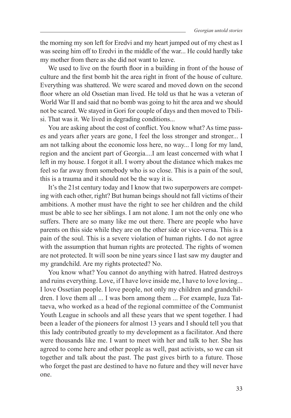the morning my son left for Eredvi and my heart jumped out of my chest as I was seeing him off to Eredvi in the middle of the war... He could hardly take my mother from there as she did not want to leave.

We used to live on the fourth floor in a building in front of the house of culture and the first bomb hit the area right in front of the house of culture. Everything was shattered. We were scared and moved down on the second floor where an old Ossetian man lived. He told us that he was a veteran of World War II and said that no bomb was going to hit the area and we should not be scared. We stayed in Gori for couple of days and then moved to Tbilisi. That was it. We lived in degrading conditions...

You are asking about the cost of conflict. You know what? As time passes and years after years are gone, I feel the loss stronger and stronger... I am not talking about the economic loss here, no way... I long for my land, region and the ancient part of Georgia....I am least concerned with what I left in my house. I forgot it all. I worry about the distance which makes me feel so far away from somebody who is so close. This is a pain of the soul, this is a trauma and it should not be the way it is.

It's the 21st century today and I know that two superpowers are competing with each other, right? But human beings should not fall victims of their ambitions. A mother must have the right to see her children and the child must be able to see her siblings. I am not alone. I am not the only one who suffers. There are so many like me out there. There are people who have parents on this side while they are on the other side or vice-versa. This is a pain of the soul. This is a severe violation of human rights. I do not agree with the assumption that human rights are protected. The rights of women are not protected. It will soon be nine years since I last saw my daugter and my grandchild. Are my rights protected? No.

You know what? You cannot do anything with hatred. Hatred destroys and ruins everything. Love, if I have love inside me, I have to love loving... I love Ossetian people. I love people, not only my children and grandchildren. I love them all ... I was born among them ... For example, Iuza Tattaeva, who worked as a head of the regional committee of the Communist Youth League in schools and all these years that we spent together. I had been a leader of the pioneers for almost 13 years and I should tell you that this lady contributed greatly to my development as a facilitator. And there were thousands like me. I want to meet with her and talk to her. She has agreed to come here and other people as well, past activists, so we can sit together and talk about the past. The past gives birth to a future. Those who forget the past are destined to have no future and they will never have one.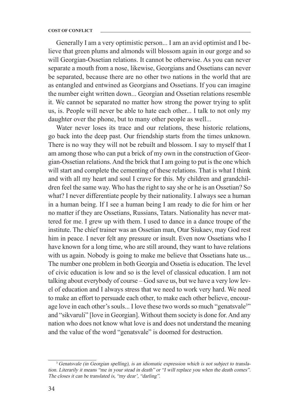Generally I am a very optimistic person... I am an avid optimist and I believe that green plums and almonds will blossom again in our gorge and so will Georgian-Ossetian relations. It cannot be otherwise. As you can never separate a mouth from a nose, likewise, Georgians and Ossetians can never be separated, because there are no other two nations in the world that are as entangled and entwined as Georgians and Ossetians. If you can imagine the number eight written down... Georgian and Ossetian relations resemble it. We cannot be separated no matter how strong the power trying to split us, is. People will never be able to hate each other... I talk to not only my daughter over the phone, but to many other people as well...

Water never loses its trace and our relations, these historic relations, go back into the deep past. Our friendship starts from the times unknown. There is no way they will not be rebuilt and blossom. I say to myself that I am among those who can put a brick of my own in the construction of Georgian-Ossetian relations. And the brick that I am going to put is the one which will start and complete the cementing of these relations. That is what I think and with all my heart and soul I crave for this. My children and grandchildren feel the same way. Who has the right to say she or he is an Ossetian? So what? I never differentiate people by their nationality. I always see a human in a human being. If I see a human being I am ready to die for him or her no matter if they are Ossetians, Russians, Tatars. Nationality has never mattered for me. I grew up with them. I used to dance in a dance troupe of the institute. The chief trainer was an Ossetian man, Otar Siukaev, may God rest him in peace. I never felt any pressure or insult. Even now Ossetians who I have known for a long time, who are still around, they want to have relations with us again. Nobody is going to make me believe that Ossetians hate us... The number one problem in both Georgia and Ossetia is education. The level of civic education is low and so is the level of classical education. I am not talking about everybody of course – God save us, but we have a very low level of education and I always stress that we need to work very hard. We need to make an effort to persuade each other, to make each other believe, encourage love in each other's souls... I love these two words so much "genatsvale<sup>3</sup>" and "sikvaruli" [love in Georgian]. Without them society is done for. And any nation who does not know what love is and does not understand the meaning and the value of the word "genatsvale" is doomed for destruction.

<sup>&</sup>lt;sup>3</sup> Genatsvale (in Georgian spelling), is an idiomatic expression which is not subject to translation. Literarily it means "me in your stead in death" or "I will replace you when the death comes". The closes it can be translated is, "my dear', "darling".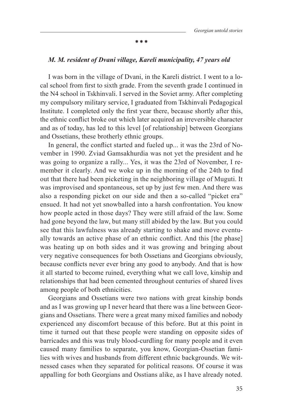#### **\* \* \***

#### *M. M. resident of Dvani village, Kareli municipality, 47 years old*

I was born in the village of Dvani, in the Kareli district. I went to a local school from first to sixth grade. From the seventh grade I continued in the N4 school in Tskhinvali. I served in the Soviet army. After completing my compulsory military service, I graduated from Tskhinvali Pedagogical Institute. I completed only the first year there, because shortly after this, the ethnic conflict broke out which later acquired an irreversible character and as of today, has led to this level [of relationship] between Georgians and Ossetians, these brotherly ethnic groups.

In general, the conflict started and fueled up... it was the 23rd of November in 1990. Zviad Gamsakhurdia was not yet the president and he was going to organize a rally... Yes, it was the 23rd of November, I remember it clearly. And we woke up in the morning of the 24th to find out that there had been picketing in the neighboring village of Muguti. It was improvised and spontaneous, set up by just few men. And there was also a responding picket on our side and then a so-called "picket era" ensued. It had not yet snowballed into a harsh confrontation. You know how people acted in those days? They were still afraid of the law. Some had gone beyond the law, but many still abided by the law. But you could see that this lawfulness was already starting to shake and move eventually towards an active phase of an ethnic conflict. And this [the phase] was heating up on both sides and it was growing and bringing about very negative consequences for both Ossetians and Georgians obviously, because conflicts never ever bring any good to anybody. And that is how it all started to become ruined, everything what we call love, kinship and relationships that had been cemented throughout centuries of shared lives among people of both ethnicities.

Georgians and Ossetians were two nations with great kinship bonds and as I was growing up I never heard that there was a line between Georgians and Ossetians. There were a great many mixed families and nobody experienced any discomfort because of this before. But at this point in time it turned out that these people were standing on opposite sides of barricades and this was truly blood-curdling for many people and it even caused many families to separate, you know, Georgian-Ossetian families with wives and husbands from different ethnic backgrounds. We witnessed cases when they separated for political reasons. Of course it was appalling for both Georgians and Osstians alike, as I have already noted.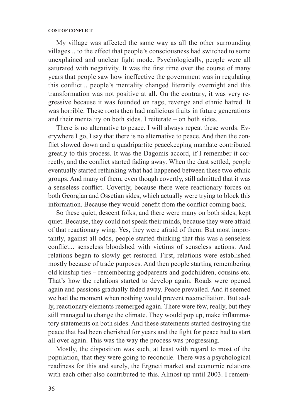My village was affected the same way as all the other surrounding villages... to the effect that people's consciousness had switched to some unexplained and unclear fight mode. Psychologically, people were all saturated with negativity. It was the first time over the course of many years that people saw how ineffective the government was in regulating this conflict... people's mentality changed literarily overnight and this transformation was not positive at all. On the contrary, it was very regressive because it was founded on rage, revenge and ethnic hatred. It was horrible. These roots then had malicious fruits in future generations and their mentality on both sides. I reiterate – on both sides.

There is no alternative to peace. I will always repeat these words. Everywhere I go, I say that there is no alternative to peace. And then the conflict slowed down and a quadripartite peacekeeping mandate contributed greatly to this process. It was the Dagomis accord, if I remember it correctly, and the conflict started fading away. When the dust settled, people eventually started rethinking what had happened between these two ethnic groups. And many of them, even though covertly, still admitted that it was a senseless conflict. Covertly, because there were reactionary forces on both Georgian and Ossetian sides, which actually were trying to block this information. Because they would benefit from the conflict coming back.

So these quiet, descent folks, and there were many on both sides, kept quiet. Because, they could not speak their minds, because they were afraid of that reactionary wing. Yes, they were afraid of them. But most importantly, against all odds, people started thinking that this was a senseless conflict... senseless bloodshed with victims of senseless actions. And relations began to slowly get restored. First, relations were established mostly because of trade purposes. And then people starting remembering old kinship ties – remembering godparents and godchildren, cousins etc. That's how the relations started to develop again. Roads were opened again and passions gradually faded away. Peace prevailed. And it seemed we had the moment when nothing would prevent reconciliation. But sadly, reactionary elements reemerged again. There were few, really, but they still managed to change the climate. They would pop up, make inflammatory statements on both sides. And these statements started destroying the peace that had been cherished for years and the fight for peace had to start all over again. This was the way the process was progressing.

Mostly, the disposition was such, at least with regard to most of the population, that they were going to reconcile. There was a psychological readiness for this and surely, the Ergneti market and economic relations with each other also contributed to this. Almost up until 2003. I remem-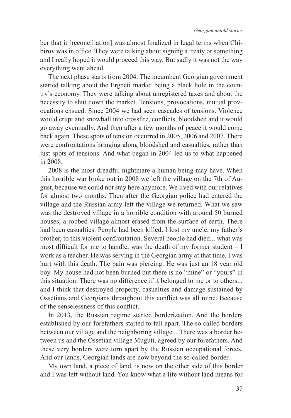ber that it [reconciliation] was almost finalized in legal terms when Chibirov was in office. They were talking about signing a treaty or something and I really hoped it would proceed this way. But sadly it was not the way everything went ahead.

The next phase starts from 2004. The incumbent Georgian government started talking about the Ergneti market being a black hole in the country's economy. They were talking about unregistered taxes and about the necessity to shut down the market. Tensions, provocations, mutual provocations ensued. Since 2004 we had seen cascades of tensions. Violence would erupt and snowball into crossfire, conflicts, bloodshed and it would go away eventually. And then after a few months of peace it would come back again. These spots of tension occurred in 2005, 2006 and 2007. There were confrontations bringing along bloodshed and casualties, rather than just spots of tensions. And what began in 2004 led us to what happened in 2008.

2008 is the most dreadful nightmare a human being may have. When this horrible war broke out in 2008 we left the village on the 7th of August, because we could not stay here anymore. We lived with our relatives for almost two months. Then after the Georgian police had entered the village and the Russian army left the village we returned. What we saw was the destroyed village in a horrible condition with around 50 burned houses, a robbed village almost erased from the surface of earth. There had been casualties. People had been killed. I lost my uncle, my father's brother, to this violent confrontation. Several people had died... what was most difficult for me to handle, was the death of my former student – I work as a teacher. He was serving in the Georgian army at that time. I was hurt with this death. The pain was piercing. He was just an 18 year old boy. My house had not been burned but there is no "mine" or "yours" in this situation. There was no difference if it belonged to me or to others... and I think that destroyed property, casualties and damage sustained by Ossetians and Georgians throughout this conflict was all mine. Because of the senselessness of this conflict.

In 2013, the Russian regime started borderization. And the borders established by our forefathers started to fall apart. The so called borders between our village and the neighboring village... There was a border between us and the Ossetian village Muguti, agreed by our forefathers. And these very borders were torn apart by the Russian occupational forces. And our lands, Georgian lands are now beyond the so-called border.

My own land, a piece of land, is now on the other side of this border and I was left without land. You know what a life without land means for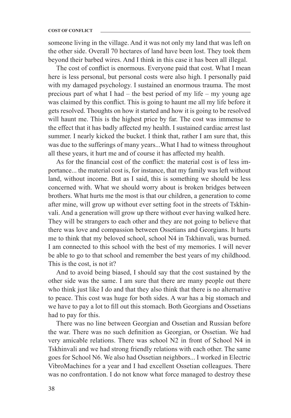someone living in the village. And it was not only my land that was left on the other side. Overall 70 hectares of land have been lost. They took them beyond their barbed wires. And I think in this case it has been all illegal.

The cost of conflict is enormous. Everyone paid that cost. What I mean here is less personal, but personal costs were also high. I personally paid with my damaged psychology. I sustained an enormous trauma. The most precious part of what I had – the best period of my life – my young age was claimed by this conflict. This is going to haunt me all my life before it gets resolved. Thoughts on how it started and how it is going to be resolved will haunt me. This is the highest price by far. The cost was immense to the effect that it has badly affected my health. I sustained cardiac arrest last summer. I nearly kicked the bucket. I think that, rather I am sure that, this was due to the sufferings of many years...What I had to witness throughout all these years, it hurt me and of course it has affected my health.

As for the financial cost of the conflict: the material cost is of less importance... the material cost is, for instance, that my family was left without land, without income. But as I said, this is something we should be less concerned with. What we should worry about is broken bridges between brothers. What hurts me the most is that our children, a generation to come after mine, will grow up without ever setting foot in the streets of Tskhinvali. And a generation will grow up there without ever having walked here. They will be strangers to each other and they are not going to believe that there was love and compassion between Ossetians and Georgians. It hurts me to think that my beloved school, school N4 in Tskhinvali, was burned. I am connected to this school with the best of my memories. I will never be able to go to that school and remember the best years of my childhood. This is the cost, is not it?

And to avoid being biased, I should say that the cost sustained by the other side was the same. I am sure that there are many people out there who think just like I do and that they also think that there is no alternative to peace. This cost was huge for both sides. A war has a big stomach and we have to pay a lot to fill out this stomach. Both Georgians and Ossetians had to pay for this.

There was no line between Georgian and Ossetian and Russian before the war. There was no such definition as Georgian, or Ossetian. We had very amicable relations. There was school N2 in front of School N4 in Tskhinvali and we had strong friendly relations with each other. The same goes for School N6. We also had Ossetian neighbors... I worked in Electric VibroMachines for a year and I had excellent Ossetian colleagues. There was no confrontation. I do not know what force managed to destroy these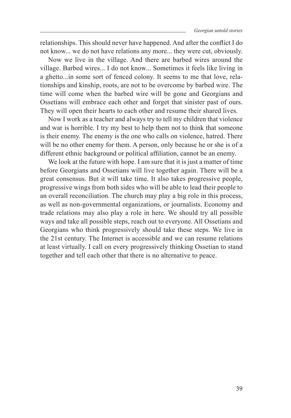relationships. This should never have happened. And after the conflict I do not know... we do not have relations any more... they were cut, obviously.

Now we live in the village. And there are barbed wires around the village. Barbed wires... I do not know... Sometimes it feels like living in a ghetto...in some sort of fenced colony. It seems to me that love, relationships and kinship, roots, are not to be overcome by barbed wire. The time will come when the barbed wire will be gone and Georgians and Ossetians will embrace each other and forget that sinister past of ours. They will open their hearts to each other and resume their shared lives.

Now I work as a teacher and always try to tell my children that violence and war is horrible. I try my best to help them not to think that someone is their enemy. The enemy is the one who calls on violence, hatred. There will be no other enemy for them. A person, only because he or she is of a different ethnic background or political affiliation, cannot be an enemy.

We look at the future with hope. I am sure that it is just a matter of time before Georgians and Ossetians will live together again. There will be a great consensus. But it will take time. It also takes progressive people, progressive wings from both sides who will be able to lead their people to an overall reconciliation. The church may play a big role in this process, as well as non-governmental organizations, or journalists. Economy and trade relations may also play a role in here. We should try all possible ways and take all possible steps, reach out to everyone. All Ossetians and Georgians who think progressively should take these steps. We live in the 21st century. The Internet is accessible and we can resume relations at least virtually. I call on every progressively thinking Ossetian to stand together and tell each other that there is no alternative to peace.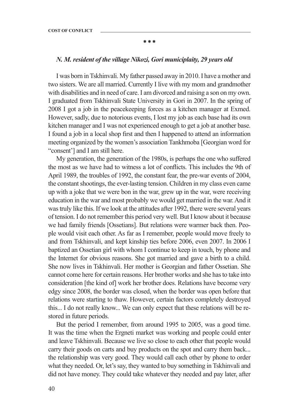### **\* \* \***

## *N. M. resident of the village Nikozi, Gori municiplaity, 29 years old*

I was born in Tskhinvali. My father passed away in 2010. I have a mother and two sisters. We are all married. Currently I live with my mom and grandmother with disabilities and in need of care. I am divorced and raising a son on my own. I graduated from Tskhinvali State University in Gori in 2007. In the spring of 2008 I got a job in the peacekeeping forces as a kitchen manager at Exmed. However, sadly, due to notorious events, I lost my job as each base had its own kitchen manager and I was not experienced enough to get a job at another base. I found a job in a local shop first and then I happened to attend an information meeting organized by the women's association Tankhmoba [Georgian word for "consent'] and I am still here.

My generation, the generation of the 1980s, is perhaps the one who suffered the most as we have had to witness a lot of conflicts. This includes the 9th of April 1989, the troubles of 1992, the constant fear, the pre-war events of 2004, the constant shootings, the ever-lasting tension. Children in my class even came up with a joke that we were bon in the war, grew up in the war, were receiving education in the war and most probably we would get married in the war. And it was truly like this. If we look at the attitudes after 1992, there were several years of tension. I do not remember this period very well. But I know about it because we had family friends [Ossetians]. But relations were warmer back then. People would visit each other. As far as I remember, people would move freely to and from Tskhinvali, and kept kinship ties before 2006, even 2007. In 2006 I baptized an Ossetian girl with whom I continue to keep in touch, by phone and the Internet for obvious reasons. She got married and gave a birth to a child. She now lives in Tskhinvali. Her mother is Georgian and father Ossetian. She cannot come here for certain reasons. Her brother works and she has to take into consideration [the kind of] work her brother does. Relations have become very edgy since 2008, the border was closed, when the border was open before that relations were starting to thaw. However, certain factors completely destroyed this... I do not really know... We can only expect that these relations will be restored in future periods.

But the period I remember, from around 1995 to 2005, was a good time. It was the time when the Ergneti market was working and people could enter and leave Tskhinvali. Because we live so close to each other that people would carry their goods on carts and buy products on the spot and carry them back... the relationship was very good. They would call each other by phone to order what they needed. Or, let's say, they wanted to buy something in Tskhinvali and did not have money. They could take whatever they needed and pay later, after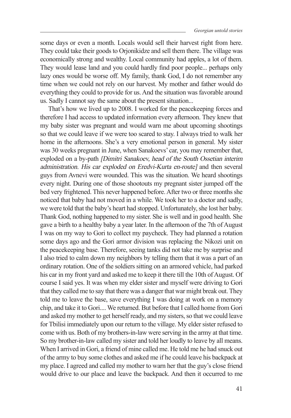some days or even a month. Locals would sell their harvest right from here. They could take their goods to Orjonikidze and sell them there. The village was economically strong and wealthy. Local community had apples, a lot of them. They would lease land and you could hardly find poor people... perhaps only lazy ones would be worse off. My family, thank God, I do not remember any time when we could not rely on our harvest. My mother and father would do everything they could to provide for us. And the situation was favorable around us. Sadly I cannot say the same about the present situation...

That's how we lived up to 2008. I worked for the peacekeeping forces and therefore I had access to updated information every afternoon. They knew that my baby sister was pregnant and would warn me about upcoming shootings so that we could leave if we were too scared to stay. I always tried to walk her home in the afternoons. She's a very emotional person in general. My sister was 30 weeks pregnant in June, when Sanakoevs' car, you may remember that, exploded on a by-path [Dimitri Sanakoev, head of the South Ossetian interim administration. His car exploded on Eredvi-Kurta en-route] and then several guys from Avnevi were wounded. This was the situation. We heard shootings every night. During one of those shootouts my pregnant sister jumped off the bed very frightened. This never happened before. After two or three months she noticed that baby had not moved in a while. We took her to a doctor and sadly, we were told that the baby's heart had stopped. Unfortunately, she lost her baby. Thank God, nothing happened to my sister. She is well and in good health. She gave a birth to a healthy baby a year later. In the afternoon of the 7th of August I was on my way to Gori to collect my paycheck. They had planned a rotation some days ago and the Gori armor division was replacing the Nikozi unit on the peacekeeping base. Therefore, seeing tanks did not take me by surprise and I also tried to calm down my neighbors by telling them that it was a part of an ordinary rotation. One of the soldiers sitting on an armored vehicle, had parked his car in my front yard and asked me to keep it there till the 10th of August. Of course I said yes. It was when my elder sister and myself were driving to Gori that they called me to say that there was a danger that war might break out. They told me to leave the base, save everything I was doing at work on a memory chip, and take it to Gori.... We returned. But before that I called home from Gori and asked my mother to get herself ready, and my sisters, so that we could leave for Tbilisi immediately upon our return to the village. My elder sister refused to come with us. Both of my brothers-in-law were serving in the army at that time. So my brother-in-law called my sister and told her loudly to leave by all means. When I arrived in Gori, a friend of mine called me. He told me he had snuck out of the army to buy some clothes and asked me if he could leave his backpack at my place. I agreed and called my mother to warn her that the guy's close friend would drive to our place and leave the backpack. And then it occurred to me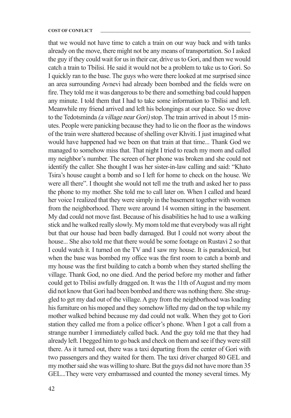### **COST OF CONFLICT**

that we would not have time to catch a train on our way back and with tanks already on the move, there might not be any means of transportation. So I asked the guy if they could wait for us in their car, drive us to Gori, and then we would catch a train to Tbilisi. He said it would not be a problem to take us to Gori. So I quickly ran to the base. The guys who were there looked at me surprised since an area surrounding Avnevi had already been bombed and the fields were on fire. They told me it was dangerous to be there and something bad could happen any minute. I told them that I had to take some information to Tbilisi and left. Meanwhile my friend arrived and left his belongings at our place. So we drove to the Tedotsminda (a village near Gori) stop. The train arrived in about 15 minutes. People were panicking because they had to lie on the floor as the windows of the train were shattered because of shelling over Khviti. I just imagined what would have happened had we been on that train at that time... Thank God we managed to somehow miss that. That night I tried to reach my mom and called my neighbor's number. The screen of her phone was broken and she could not identify the caller. She thought I was her sister-in-law calling and said: "Khato Tsira's house caught a bomb and so I left for home to check on the house. We were all there". I thought she would not tell me the truth and asked her to pass the phone to my mother. She told me to call later on. When I called and heard her voice I realized that they were simply in the basement together with women from the neighborhood. There were around 14 women sitting in the basement. My dad could not move fast. Because of his disabilities he had to use a walking stick and he walked really slowly. My mom told me that everybody was all right but that our house had been badly damaged. But I could not worry about the house... She also told me that there would be some footage on Rustavi 2 so that I could watch it. I turned on the TV and I saw my house. It is paradoxical, but when the base was bombed my office was the first room to catch a bomb and my house was the first building to catch a bomb when they started shelling the village. Thank God, no one died. And the period before my mother and father could get to Tbilisi awfully dragged on. It was the 11th of August and my mom did not know that Gori had been bombed and there was nothing there. She struggled to get my dad out of the village. A guy from the neighborhood was loading his furniture on his moped and they somehow lifted my dad on the top while my mother walked behind because my dad could not walk. When they got to Gori station they called me from a police officer's phone. When I got a call from a strange number I immediately called back. And the guy told me that they had already left. I begged him to go back and check on them and see if they were still there. As it turned out, there was a taxi departing from the center of Gori with two passengers and they waited for them. The taxi driver charged 80 GEL and my mother said she was willing to share. But the guys did not have more than 35 GEL...They were very embarrassed and counted the money several times. My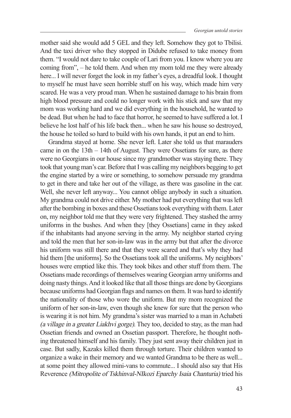mother said she would add 5 GEL and they left. Somehow they got to Tbilisi. And the taxi driver who they stopped in Didube refused to take money from them. "I would not dare to take couple of Lari from you. I know where you are coming from", – he told them. And when my mom told me they were already here... I will never forget the look in my father's eyes, a dreadful look. I thought to myself he must have seen horrible stuff on his way, which made him very scared. He was a very proud man. When he sustained damage to his brain from high blood pressure and could no longer work with his stick and saw that my mom was working hard and we did everything in the household, he wanted to be dead. But when he had to face that horror, he seemed to have suffered a lot. I believe he lost half of his life back then... when he saw his house so destroyed, the house he toiled so hard to build with his own hands, it put an end to him.

Grandma stayed at home. She never left. Later she told us that marauders came in on the 13th – 14th of August. They were Ossetians for sure, as there were no Georgians in our house since my grandmother was staying there. They took that young man's car. Before that I was calling my neighbors begging to get the engine started by a wire or something, to somehow persuade my grandma to get in there and take her out of the village, as there was gasoline in the car. Well, she never left anyway... You cannot oblige anybody in such a situation. My grandma could not drive either. My mother had put everything that was left after the bombing in boxes and these Ossetians took everything with them. Later on, my neighbor told me that they were very frightened. They stashed the army uniforms in the bushes. And when they [they Ossetians] came in they asked if the inhabitants had anyone serving in the army. My neighbor started crying and told the men that her son-in-law was in the army but that after the divorce his uniform was still there and that they were scared and that's why they had hid them [the uniforms]. So the Ossetians took all the uniforms. My neighbors' houses were emptied like this. They took bikes and other stuff from them. The Ossetians made recordings of themselves wearing Georgian army uniforms and doing nasty things. And it looked like that all those things are done by Georgians because uniforms had Georgian flags and names on them. It was hard to identify the nationality of those who wore the uniform. But my mom recognized the uniform of her son-in-law, even though she knew for sure that the person who is wearing it is not him. My grandma's sister was married to a man in Achabeti (a village in a greater Liakhvi gorge). They too, decided to stay, as the man had Ossetian friends and owned an Ossetian passport. Therefore, he thought nothing threatened himself and his family. They just sent away their children just in case. But sadly, Kazaks killed them through torture. Their children wanted to organize a wake in their memory and we wanted Grandma to be there as well... at some point they allowed mini-vans to commute... I should also say that His Reverence (Mitropolite of Tskhinval-NIkozi Eparchy Isaia Chanturia) tried his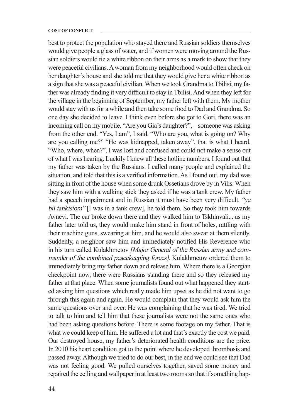best to protect the population who stayed there and Russian soldiers themselves would give people a glass of water, and if women were moving around the Russian soldiers would tie a white ribbon on their arms as a mark to show that they were peaceful civilians. A woman from my neighborhood would often check on her daughter's house and she told me that they would give her a white ribbon as a sign that she was a peaceful civilian. When we took Grandma to Tbilisi, my father was already finding it very difficult to stay in Tbilisi. And when they left for the village in the beginning of September, my father left with them. My mother would stay with us for a while and then take some food to Dad and Grandma. So one day she decided to leave. I think even before she got to Gori, there was an incoming call on my mobile. "Are you Gia's daughter?", – someone was asking from the other end. "Yes, I am", I said. "Who are you, what is going on? Why are you calling me?" "He was kidnapped, taken away", that is what I heard. "Who, where, when?", I was lost and confused and could not make a sense out of what I was hearing. Luckily I knew all these hotline numbers. I found out that my father was taken by the Russians. I called many people and explained the situation, and told that this is a verified information. As I found out, my dad was sitting in front of the house when some drunk Ossetians drove by in Vilis. When they saw him with a walking stick they asked if he was a tank crew. My father had a speech impairment and in Russian it must have been very difficult. "ya bil tankistom" [I was in a tank crew], he told them. So they took him towards Avnevi. The car broke down there and they walked him to Tskhinvali... as my father later told us, they would make him stand in front of holes, rattling with their machine guns, swearing at him, and he would also swear at them silently. Suddenly, a neighbor saw him and immediately notified His Reverence who in his turn called Kulakhmetov [Major General of the Russian army and commander of the combined peacekeeping forces]. Kulakhmetov ordered them to immediately bring my father down and release him. Where there is a Georgian checkpoint now, there were Russians standing there and so they released my father at that place. When some journalists found out what happened they started asking him questions which really made him upset as he did not want to go through this again and again. He would complain that they would ask him the same questions over and over. He was complaining that he was tired. We tried to talk to him and tell him that these journalists were not the same ones who had been asking questions before. There is some footage on my father. That is what we could keep of him. He suffered a lot and that's exactly the cost we paid. Our destroyed house, my father's deteriorated health conditions are the price. In 2010 his heart condition got to the point where he developed thrombosis and passed away. Although we tried to do our best, in the end we could see that Dad was not feeling good. We pulled ourselves together, saved some money and repaired the ceiling and wallpaper in at least two rooms so that if something hap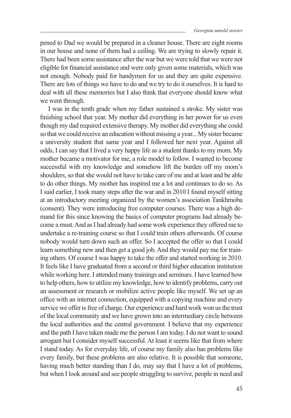pened to Dad we would be prepared in a cleaner house. There are eight rooms in our house and none of them had a ceiling. We are trying to slowly repair it. There had been some assistance after the war but we were told that we were not eligible for financial assistance and were only given some materials, which was not enough. Nobody paid for handymen for us and they are quite expensive. There are lots of things we have to do and we try to do it ourselves. It is hard to deal with all these memories but I also think that everyone should know what we went through.

I was in the tenth grade when my father sustained a stroke. My sister was finishing school that year. My mother did everything in her power for us even though my dad required extensive therapy. My mother did everything she could so that we could receive an education without missing a year... My sister became a university student that same year and I followed her next year. Against all odds, I can say that I lived a very happy life as a student thanks to my mom. My mother became a motivator for me, a role model to follow. I wanted to become successful with my knowledge and somehow lift the burden off my mom's shoulders, so that she would not have to take care of me and at least and be able to do other things. My mother has inspired me a lot and continues to do so. As I said earlier, I took many steps after the war and in 2010 I found myself sitting at an introductory meeting organized by the women's association Tankhmoba (consent). They were introducing free computer courses. There was a high demand for this since knowing the basics of computer programs had already become a must. And as I had already had some work experience they offered me to undertake a re-training course so that I could train others afterwards. Of course nobody would turn down such an offer. So I accepted the offer so that I could learn something new and then get a good job. And they would pay me for training others. Of course I was happy to take the offer and started working in 2010. It feels like I have graduated from a second or third higher education institution while working here. I attended many trainings and seminars. I have learned how to help others, how to utilize my knowledge, how to identify problems, carry out an assessment or research or mobilize active people like myself. We set up an office with an internet connection, equipped with a copying machine and every service we offer is free of charge. Our experience and hard work won us the trust of the local community and we have grown into an intermediary circle between the local authorities and the central government. I believe that my experience and the path I have taken made me the person I am today. I do not want to sound arrogant but I consider myself successful. At least it seems like that from where I stand today. As for everyday life, of course my family also has problems like every family, but these problems are also relative. It is possible that someone, having much better standing than I do, may say that I have a lot of problems, but when I look around and see people struggling to survive, people in need and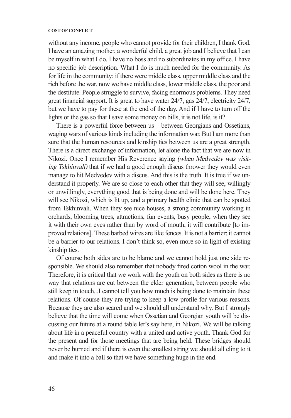without any income, people who cannot provide for their children, I thank God. I have an amazing mother, a wonderful child, a great job and I believe that I can be myself in what I do. I have no boss and no subordinates in my office. I have no specific job description. What I do is much needed for the community. As for life in the community: if there were middle class, upper middle class and the rich before the war, now we have middle class, lower middle class, the poor and the destitute. People struggle to survive, facing enormous problems. They need great financial support. It is great to have water 24/7, gas 24/7, electricity 24/7, but we have to pay for these at the end of the day. And if I have to turn off the lights or the gas so that I save some money on bills, it is not life, is it?

There is a powerful force between us – between Georgians and Ossetians, waging wars of various kinds including the information war. But I am more than sure that the human resources and kinship ties between us are a great strength. There is a direct exchange of information, let alone the fact that we are now in Nikozi. Once I remember His Reverence saying (when Medvedev was visiting Tskhinvali) that if we had a good enough discus thrower they would even manage to hit Medvedev with a discus. And this is the truth. It is true if we understand it properly. We are so close to each other that they will see, willingly or unwillingly, everything good that is being done and will be done here. They will see Nikozi, which is lit up, and a primary health clinic that can be spotted from Tskhinvali. When they see nice houses, a strong community working in orchards, blooming trees, attractions, fun events, busy people; when they see it with their own eyes rather than by word of mouth, it will contribute [to improved relations]. These barbed wires are like fences. It is not a barrier; it cannot be a barrier to our relations. I don't think so, even more so in light of existing kinship ties.

Of course both sides are to be blame and we cannot hold just one side responsible. We should also remember that nobody fired cotton wool in the war. Therefore, it is critical that we work with the youth on both sides as there is no way that relations are cut between the elder generation, between people who still keep in touch...I cannot tell you how much is being done to maintain these relations. Of course they are trying to keep a low profile for various reasons. Because they are also scared and we should all understand why. But I strongly believe that the time will come when Ossetian and Georgian youth will be discussing our future at a round table let's say here, in Nikozi. We will be talking about life in a peaceful country with a united and active youth. Thank God for the present and for those meetings that are being held. These bridges should never be burned and if there is even the smallest string we should all cling to it and make it into a ball so that we have something huge in the end.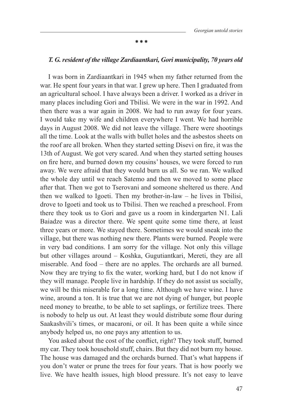**\* \* \***

### *T. G. resident of the village Zardiaantkari, Gori municipality, 70 years old*

I was born in Zardiaantkari in 1945 when my father returned from the war. He spent four years in that war. I grew up here. Then I graduated from an agricultural school. I have always been a driver. I worked as a driver in many places including Gori and Tbilisi. We were in the war in 1992. And then there was a war again in 2008. We had to run away for four years. I would take my wife and children everywhere I went. We had horrible days in August 2008. We did not leave the village. There were shootings all the time. Look at the walls with bullet holes and the asbestos sheets on the roof are all broken. When they started setting Disevi on fire, it was the 13th of August. We got very scared. And when they started setting houses on fire here, and burned down my cousins' houses, we were forced to run away. We were afraid that they would burn us all. So we ran. We walked the whole day until we reach Satemo and then we moved to some place after that. Then we got to Tserovani and someone sheltered us there. And then we walked to Igoeti. Then my brother-in-law – he lives in Tbilisi, drove to Igoeti and took us to Tbilisi. Then we reached a preschool. From there they took us to Gori and gave us a room in kindergarten N1. Lali Baiadze was a director there. We spent quite some time there, at least three years or more. We stayed there. Sometimes we would sneak into the village, but there was nothing new there. Plants were burned. People were in very bad conditions. I am sorry for the village. Not only this village but other villages around – Koshka, Gugutiantkari, Mereti, they are all miserable. And food – there are no apples. The orchards are all burned. Now they are trying to fix the water, working hard, but I do not know if they will manage. People live in hardship. If they do not assist us socially, we will be this miserable for a long time. Although we have wine. I have wine, around a ton. It is true that we are not dying of hunger, but people need money to breathe, to be able to set saplings, or fertilize trees. There is nobody to help us out. At least they would distribute some flour during Saakashvili's times, or macaroni, or oil. It has been quite a while since anybody helped us, no one pays any attention to us.

You asked about the cost of the conflict, right? They took stuff, burned my car. They took household stuff, chairs. But they did not burn my house. The house was damaged and the orchards burned. That's what happens if you don't water or prune the trees for four years. That is how poorly we live. We have health issues, high blood pressure. It's not easy to leave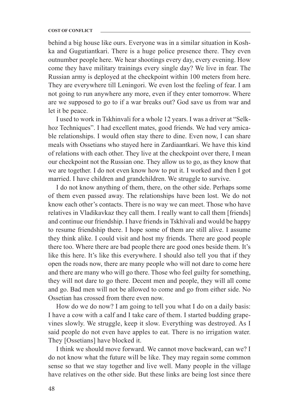### **COST OF CONFLICT**

behind a big house like ours. Everyone was in a similar situation in Koshka and Gugutiantkari. There is a huge police presence there. They even outnumber people here. We hear shootings every day, every evening. How come they have military trainings every single day? We live in fear. The Russian army is deployed at the checkpoint within 100 meters from here. They are everywhere till Leningori. We even lost the feeling of fear. I am not going to run anywhere any more, even if they enter tomorrow. Where are we supposed to go to if a war breaks out? God save us from war and let it be peace.

I used to work in Tskhinvali for a whole 12 years. I was a driver at "Selkhoz Techniques". I had excellent mates, good friends. We had very amicable relationships. I would often stay there to dine. Even now, I can share meals with Ossetians who stayed here in Zardiaantkari. We have this kind of relations with each other. They live at the checkpoint over there, I mean our checkpoint not the Russian one. They allow us to go, as they know that we are together. I do not even know how to put it. I worked and then I got married. I have children and grandchildren. We struggle to survive.

I do not know anything of them, there, on the other side. Perhaps some of them even passed away. The relationships have been lost. We do not know each other's contacts. There is no way we can meet. Those who have relatives in Vladikavkaz they call them. I really want to call them [friends] and continue our friendship. I have friends in Tskhivali and would be happy to resume friendship there. I hope some of them are still alive. I assume they think alike. I could visit and host my friends. There are good people there too. Where there are bad people there are good ones beside them. It's like this here. It's like this everywhere. I should also tell you that if they open the roads now, there are many people who will not dare to come here and there are many who will go there. Those who feel guilty for something, they will not dare to go there. Decent men and people, they will all come and go. Bad men will not be allowed to come and go from either side. No Ossetian has crossed from there even now.

How do we do now? I am going to tell you what I do on a daily basis: I have a cow with a calf and I take care of them. I started budding grapevines slowly. We struggle, keep it slow. Everything was destroyed. As I said people do not even have apples to eat. There is no irrigation water. They [Ossetians] have blocked it.

I think we should move forward. We cannot move backward, can we? I do not know what the future will be like. They may regain some common sense so that we stay together and live well. Many people in the village have relatives on the other side. But these links are being lost since there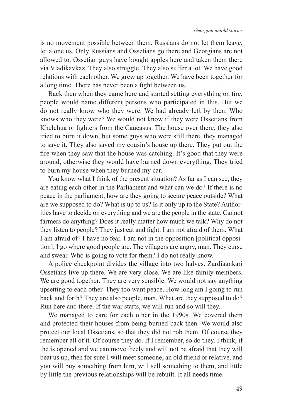is no movement possible between them. Russians do not let them leave, let alone us. Only Russians and Ossetians go there and Georgians are not allowed to. Ossetian guys have bought apples here and taken them there via Vladikavkaz. They also struggle. They also suffer a lot. We have good relations with each other. We grew up together. We have been together for a long time. There has never been a fight between us.

Back then when they came here and started setting everything on fire, people would name different persons who participated in this. But we do not really know who they were. We had already left by then. Who knows who they were? We would not know if they were Ossetians from Khelchua or fighters from the Caucasus. The house over there, they also tried to burn it down, but some guys who were still there, they managed to save it. They also saved my cousin's house up there. They put out the fire when they saw that the house was catching. It's good that they were around, otherwise they would have burned down everything. They tried to burn my house when they burned my car.

You know what I think of the present situation? As far as I can see, they are eating each other in the Parliament and what can we do? If there is no peace in the parliament, how are they going to secure peace outside? What are we supposed to do? What is up to us? Is it only up to the State? Authorities have to decide on everything and we are the people in the state. Cannot farmers do anything? Does it really matter how much we talk? Why do not they listen to people? They just eat and fight. I am not afraid of them. What I am afraid of? I have no fear. I am not in the opposition [political opposition]. I go where good people are. The villagers are angry, man. They curse and swear. Who is going to vote for them? I do not really know.

A police checkpoint divides the village into two halves. Zardiaankari Ossetians live up there. We are very close. We are like family members. We are good together. They are very sensible. We would not say anything upsetting to each other. They too want peace. How long am I going to run back and forth? They are also people, man. What are they supposed to do? Run here and there. If the war starts, we will run and so will they.

We managed to care for each other in the 1990s. We covered them and protected their houses from being burned back then. We would also protect our local Ossetians, so that they did not rob them. Of course they remember all of it. Of course they do. If I remember, so do they. I think, if the is opened and we can move freely and will not be afraid that they will beat us up, then for sure I will meet someone, an old friend or relative, and you will buy something from him, will sell something to them, and little by little the previous relationships will be rebuilt. It all needs time.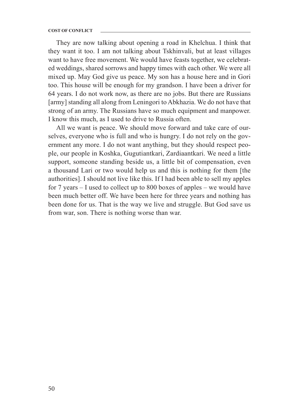They are now talking about opening a road in Khelchua. I think that they want it too. I am not talking about Tskhinvali, but at least villages want to have free movement. We would have feasts together, we celebrated weddings, shared sorrows and happy times with each other. We were all mixed up. May God give us peace. My son has a house here and in Gori too. This house will be enough for my grandson. I have been a driver for 64 years. I do not work now, as there are no jobs. But there are Russians [army] standing all along from Leningori to Abkhazia. We do not have that strong of an army. The Russians have so much equipment and manpower. I know this much, as I used to drive to Russia often.

All we want is peace. We should move forward and take care of ourselves, everyone who is full and who is hungry. I do not rely on the government any more. I do not want anything, but they should respect people, our people in Koshka, Gugutiantkari, Zardiaantkari. We need a little support, someone standing beside us, a little bit of compensation, even a thousand Lari or two would help us and this is nothing for them [the authorities]. I should not live like this. If I had been able to sell my apples for 7 years – I used to collect up to 800 boxes of apples – we would have been much better off. We have been here for three years and nothing has been done for us. That is the way we live and struggle. But God save us from war, son. There is nothing worse than war.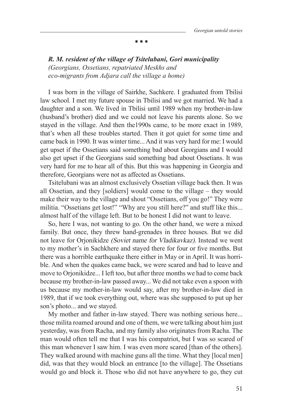### **\* \* \***

*R. M. resident of the village of Tsitelubani, Gori municipality (Georgians, Ossetians, repatriated Meskhs and eco-migrants from Adjara call the village a home)*

I was born in the village of Sairkhe, Sachkere. I graduated from Tbilisi law school. I met my future spouse in Tbilisi and we got married. We had a daughter and a son. We lived in Tbilisi until 1989 when my brother-in-law (husband's brother) died and we could not leave his parents alone. So we stayed in the village. And then the1990s came, to be more exact in 1989, that's when all these troubles started. Then it got quiet for some time and came back in 1990. It was winter time... And it was very hard for me: I would get upset if the Ossetians said something bad about Georgians and I would also get upset if the Georgians said something bad about Ossetians. It was very hard for me to hear all of this. But this was happening in Georgia and therefore, Georgians were not as affected as Ossetians.

Tsitelubani was an almost exclusively Ossetian village back then. It was all Ossetian, and they [soldiers] would come to the village – they would make their way to the village and shout "Ossetians, off you go!" They were militia. "Ossetians get lost!" "Why are you still here?" and stuff like this... almost half of the village left. But to be honest I did not want to leave.

So, here I was, not wanting to go. On the other hand, we were a mixed family. But once, they threw hand-grenades in three houses. But we did not leave for Orjonikidze (Soviet name for Vladikavkaz). Instead we went to my mother's in Sachkhere and stayed there for four or five months. But there was a horrible earthquake there either in May or in April. It was horrible. And when the quakes came back, we were scared and had to leave and move to Orjonikidze... I left too, but after three months we had to come back because my brother-in-law passed away... We did not take even a spoon with us because my mother-in-law would say, after my brother-in-law died in 1989, that if we took everything out, where was she supposed to put up her son's photo... and we stayed.

My mother and father in-law stayed. There was nothing serious here... those milita roamed around and one of them, we were talking about him just yesterday, was from Racha, and my family also originates from Racha. The man would often tell me that I was his compatriot, but I was so scared of this man whenever I saw him. I was even more scared [than of the others]. They walked around with machine guns all the time. What they [local men] did, was that they would block an entrance [to the village]. The Ossetians would go and block it. Those who did not have anywhere to go, they cut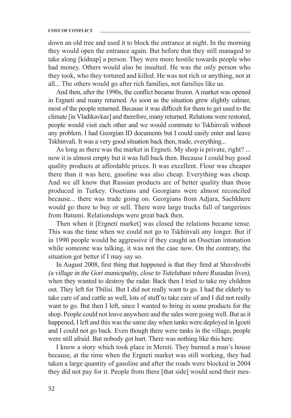down an old tree and used it to block the entrance at night. In the morning they would open the entrance again. But before that they still managed to take along [kidnap] a person. They were more hostile towards people who had money. Others would also be insulted. He was the only person who they took, who they tortured and killed. He was not rich or anything, not at all... The others would go after rich families, not families like us.

And then, after the 1990s, the conflict became frozen. A market was opened in Ergneti and many returned. As soon as the situation grew slightly calmer, most of the people returned. Because it was difficult for them to get used to the climate [in Vladikavkaz] and therefore, many returned. Relations were restored, people would visit each other and we would commute to Tskhinvali without any problem. I had Georgian ID documents but I could easily enter and leave Tskhinvali. It was a very good situation back then, trade, everything...

As long as there was the market in Ergneti. My shop is private, right? ... now it is almost empty but it was full back then. Because I could buy good quality products at affordable prices. It was excellent. Flour was cheaper there than it was here, gasoline was also cheap. Everything was cheap. And we all know that Russian products are of better quality than those produced in Turkey. Ossetians and Georgians were almost reconciled because... there was trade going on. Georgians from Adjara, Sachkhere would go there to buy or sell. There were large trucks full of tangerines from Batumi. Relationships were great back then.

Then when it [Ergneti market] was closed the relations became tense. This was the time when we could not go to Tskhinvali any longer. But if in 1990 people would be aggressive if they caught an Ossetian intonation while someone was talking, it was not the case now. On the contrary, the situation got better if I may say so.

In August 2008, first thing that happened is that they fired at Shavshvebi (a village in the Gori municipality, close to Tsitelubani where Rusudan lives), when they wanted to destroy the radar. Back then I tried to take my children out. They left for Tbilisi. But I did not really want to go. I had the elderly to take care of and cattle as well, lots of stuff to take care of and I did not really want to go. But then I left, since I wanted to bring in some products for the shop. People could not leave anywhere and the sales were going well. But as it happened, I left and this was the same day when tanks were deployed in Igoeti and I could not go back. Even though there were tanks in the village, people were still afraid. But nobody got hurt. There was nothing like this here.

I know a story which took place in Mereti. They burned a man's house because, at the time when the Ergneti market was still working, they had taken a large quantity of gasoline and after the roads were blocked in 2004 they did not pay for it. People from there [that side] would send their mes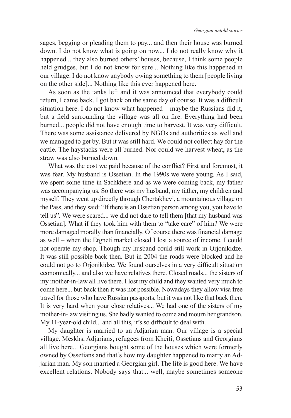sages, begging or pleading them to pay... and then their house was burned down. I do not know what is going on now... I do not really know why it happened... they also burned others' houses, because, I think some people held grudges, but I do not know for sure... Nothing like this happened in our village. I do not know anybody owing something to them [people living on the other side]... Nothing like this ever happened here.

As soon as the tanks left and it was announced that everybody could return, I came back. I got back on the same day of course. It was a difficult situation here. I do not know what happened – maybe the Russians did it, but a field surrounding the village was all on fire. Everything had been burned... people did not have enough time to harvest. It was very difficult. There was some assistance delivered by NGOs and authorities as well and we managed to get by. But it was still hard. We could not collect hay for the cattle. The haystacks were all burned. Nor could we harvest wheat, as the straw was also burned down.

What was the cost we paid because of the conflict? First and foremost, it was fear. My husband is Ossetian. In the 1990s we were young. As I said, we spent some time in Sachkhere and as we were coming back, my father was accompanying us. So there was my husband, my father, my children and myself. They went up directly through Chertakhevi, a mountainous village on the Pass, and they said: "If there is an Ossetian person among you, you have to tell us". We were scared... we did not dare to tell them [that my husband was Ossetian]. What if they took him with them to "take care" of him? We were more damaged morally than financially. Of course there was financial damage as well – when the Ergneti market closed I lost a source of income. I could not operate my shop. Though my husband could still work in Orjonikidze. It was still possible back then. But in 2004 the roads were blocked and he could not go to Orjonikidze. We found ourselves in a very difficult situation economically... and also we have relatives there. Closed roads... the sisters of my mother-in-law all live there. I lost my child and they wanted very much to come here... but back then it was not possible. Nowadays they allow visa free travel for those who have Russian passports, but it was not like that back then. It is very hard when your close relatives... We had one of the sisters of my mother-in-law visiting us. She badly wanted to come and mourn her grandson. My 11-year-old child... and all this, it's so difficult to deal with.

My daughter is married to an Adjarian man. Our village is a special village. Meskhs, Adjarians, refugees from Kheiti, Ossetians and Georgians all live here... Georgians bought some of the houses which were formerly owned by Ossetians and that's how my daughter happened to marry an Adjarian man. My son married a Georgian girl. The life is good here. We have excellent relations. Nobody says that... well, maybe sometimes someone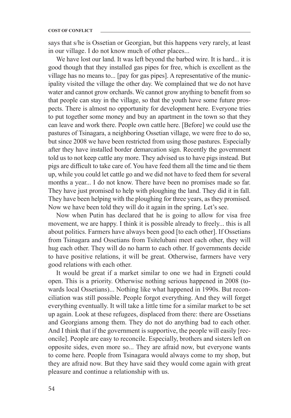says that s/he is Ossetian or Georgian, but this happens very rarely, at least in our village. I do not know much of other places...

We have lost our land. It was left beyond the barbed wire. It is hard... it is good though that they installed gas pipes for free, which is excellent as the village has no means to... [pay for gas pipes]. A representative of the municipality visited the village the other day. We complained that we do not have water and cannot grow orchards. We cannot grow anything to benefit from so that people can stay in the village, so that the youth have some future prospects. There is almost no opportunity for development here. Everyone tries to put together some money and buy an apartment in the town so that they can leave and work there. People own cattle here. [Before] we could use the pastures of Tsinagara, a neighboring Ossetian village, we were free to do so, but since 2008 we have been restricted from using those pastures. Especially after they have installed border demarcation sign. Recently the government told us to not keep cattle any more. They advised us to have pigs instead. But pigs are difficult to take care of. You have feed them all the time and tie them up, while you could let cattle go and we did not have to feed them for several months a year... I do not know. There have been no promises made so far. They have just promised to help with ploughing the land. They did it in fall. They have been helping with the ploughing for three years, as they promised. Now we have been told they will do it again in the spring. Let's see.

Now when Putin has declared that he is going to allow for visa free movement, we are happy. I think it is possible already to freely... this is all about politics. Farmers have always been good [to each other]. If Ossetians from Tsinagara and Ossetians from Tsitelubani meet each other, they will hug each other. They will do no harm to each other. If governments decide to have positive relations, it will be great. Otherwise, farmers have very good relations with each other.

It would be great if a market similar to one we had in Ergneti could open. This is a priority. Otherwise nothing serious happened in 2008 (towards local Ossetians)... Nothing like what happened in 1990s. But reconciliation was still possible. People forgot everything. And they will forget everything eventually. It will take a little time for a similar market to be set up again. Look at these refugees, displaced from there: there are Ossetians and Georgians among them. They do not do anything bad to each other. And I think that if the government is supportive, the people will easily [reconcile]. People are easy to reconcile. Especially, brothers and sisters left on opposite sides, even more so... They are afraid now, but everyone wants to come here. People from Tsinagara would always come to my shop, but they are afraid now. But they have said they would come again with great pleasure and continue a relationship with us.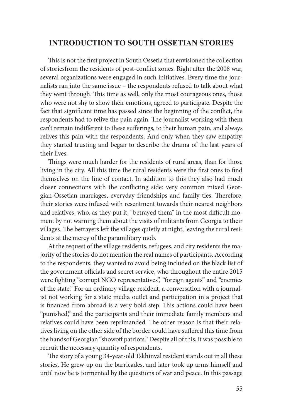# **INTRODUCTION TO SOUTH OSSETIAN STORIES**

This is not the first project in South Ossetia that envisioned the collection of storiesfrom the residents of post-conflict zones. Right after the 2008 war, several organizations were engaged in such initiatives. Every time the journalists ran into the same issue – the respondents refused to talk about what they went through. This time as well, only the most courageous ones, those who were not shy to show their emotions, agreed to participate. Despite the fact that significant time has passed since the beginning of the conflict, the respondents had to relive the pain again. The journalist working with them can't remain indifferent to these sufferings, to their human pain, and always relives this pain with the respondents. And only when they saw empathy, they started trusting and began to describe the drama of the last years of their lives.

Things were much harder for the residents of rural areas, than for those living in the city. All this time the rural residents were the first ones to find themselves on the line of contact. In addition to this they also had much closer connections with the conflicting side: very common mixed Georgian-Ossetian marriages, everyday friendships and family ties. Therefore, their stories were infused with resentment towards their nearest neighbors and relatives, who, as they put it, "betrayed them" in the most difficult moment by not warning them about the visits of militants from Georgia to their villages. The betrayers left the villages quietly at night, leaving the rural residents at the mercy of the paramilitary mob.

At the request of the village residents, refugees, and city residents the majority of the stories do not mention the real names of participants. According to the respondents, they wanted to avoid being included on the black list of the government officials and secret service, who throughout the entire 2015 were fighting "corrupt NGO representatives", "foreign agents" and "enemies of the state." For an ordinary village resident, a conversation with a journalist not working for a state media outlet and participation in a project that is financed from abroad is a very bold step. This actions could have been "punished," and the participants and their immediate family members and relatives could have been reprimanded. The other reason is that their relatives living on the other side of the border could have suffered this time from the handsof Georgian "showoff patriots." Despite all of this, it was possible to recruit the necessary quantity of respondents.

The story of a young 34-year-old Tskhinval resident stands out in all these stories. He grew up on the barricades, and later took up arms himself and until now he is tormented by the questions of war and peace. In this passage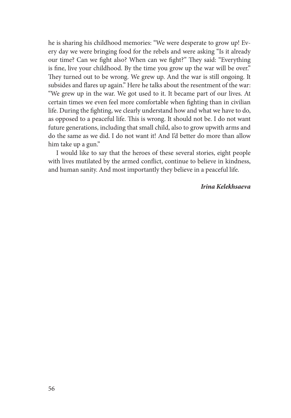he is sharing his childhood memories: "We were desperate to grow up! Every day we were bringing food for the rebels and were asking "Is it already our time? Can we fight also? When can we fight?" They said: "Everything is fine, live your childhood. By the time you grow up the war will be over." They turned out to be wrong. We grew up. And the war is still ongoing. It subsides and flares up again." Here he talks about the resentment of the war: "We grew up in the war. We got used to it. It became part of our lives. At certain times we even feel more comfortable when fighting than in civilian life. During the fighting, we clearly understand how and what we have to do, as opposed to a peaceful life. This is wrong. It should not be. I do not want future generations, including that small child, also to grow upwith arms and do the same as we did. I do not want it! And I'd better do more than allow him take up a gun."

I would like to say that the heroes of these several stories, eight people with lives mutilated by the armed conflict, continue to believe in kindness, and human sanity. And most importantly they believe in a peaceful life.

# *Irina Kelekhsaeva*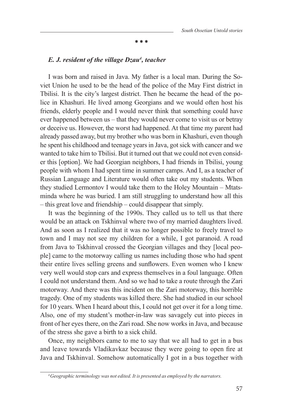### **\* \* \***

## *E. J. resident of the village Dzau4 , teacher*

I was born and raised in Java. My father is a local man. During the Soviet Union he used to be the head of the police of the May First district in Tbilisi. It is the city's largest district. Then he became the head of the police in Khashuri. He lived among Georgians and we would often host his friends, elderly people and I would never think that something could have ever happened between us – that they would never come to visit us or betray or deceive us. However, the worst had happened. At that time my parent had already passed away, but my brother who was born in Khashuri, even though he spent his childhood and teenage years in Java, got sick with cancer and we wanted to take him to Tbilisi. But it turned out that we could not even consider this [option]. We had Georgian neighbors, I had friends in Tbilisi, young people with whom I had spent time in summer camps. And I, as a teacher of Russian Language and Literature would often take out my students. When they studied Lermontov I would take them to the Holey Mountain – Mtatsminda where he was buried. I am still struggling to understand how all this – this great love and friendship – could disappear that simply.

It was the beginning of the 1990s. They called us to tell us that there would be an attack on Tskhinval where two of my married daughters lived. And as soon as I realized that it was no longer possible to freely travel to town and I may not see my children for a while, I got paranoid. A road from Java to Tskhinval crossed the Georgian villages and they [local people] came to the motorway calling us names including those who had spent their entire lives selling greens and sunflowers. Even women who I knew very well would stop cars and express themselves in a foul language. Often I could not understand them. And so we had to take a route through the Zari motorway. And there was this incident on the Zari motorway, this horrible tragedy. One of my students was killed there. She had studied in our school for 10 years. When I heard about this, I could not get over it for a long time. Also, one of my student's mother-in-law was savagely cut into pieces in front of her eyes there, on the Zari road. She now works in Java, and because of the stress she gave a birth to a sick child.

Once, my neighbors came to me to say that we all had to get in a bus and leave towards Vladikavkaz because they were going to open fire at Java and Tskhinval. Somehow automatically I got in a bus together with

*<sup>4</sup> Geographic terminology was not edited. It is presented as employed by the narrators.*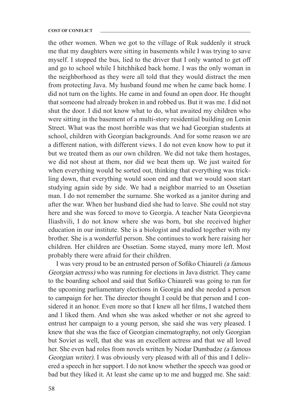the other women. When we got to the village of Ruk suddenly it struck me that my daughters were sitting in basements while I was trying to save myself. I stopped the bus, lied to the driver that I only wanted to get off and go to school while I hitchhiked back home. I was the only woman in the neighborhood as they were all told that they would distract the men from protecting Java. My husband found me when he came back home. I did not turn on the lights. He came in and found an open door. He thought that someone had already broken in and robbed us. But it was me. I did not shut the door. I did not know what to do, what awaited my children who were sitting in the basement of a multi-story residential building on Lenin Street. What was the most horrible was that we had Georgian students at school, children with Georgian backgrounds. And for some reason we are a different nation, with different views. I do not even know how to put it but we treated them as our own children. We did not take them hostages, we did not shout at them, nor did we beat them up. We just waited for when everything would be sorted out, thinking that everything was trickling down, that everything would soon end and that we would soon start studying again side by side. We had a neighbor married to an Ossetian man. I do not remember the surname. She worked as a janitor during and after the war. When her husband died she had to leave. She could not stay here and she was forced to move to Georgia. A teacher Nata Georgievna Iliashvili, I do not know where she was born, but she received higher education in our institute. She is a biologist and studied together with my brother. She is a wonderful person. She continues to work here raising her children. Her children are Ossetian. Some stayed, many more left. Most probably there were afraid for their children.

I was very proud to be an entrusted person of Sofiko Chiaureli (a famous Georgian actress) who was running for elections in Java district. They came to the boarding school and said that Sofiko Chiaureli was going to run for the upcoming parliamentary elections in Georgia and she needed a person to campaign for her. The director thought I could be that person and I considered it an honor. Even more so that I knew all her films, I watched them and I liked them. And when she was asked whether or not she agreed to entrust her campaign to a young person, she said she was very pleased. I knew that she was the face of Georgian cinematography, not only Georgian but Soviet as well, that she was an excellent actress and that we all loved her. She even had roles from novels written by Nodar Dumbadze (a famous Georgian writer). I was obviously very pleased with all of this and I delivered a speech in her support. I do not know whether the speech was good or bad but they liked it. At least she came up to me and hugged me. She said: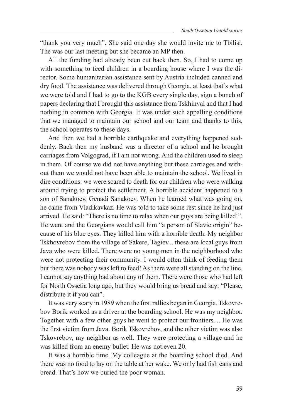"thank you very much". She said one day she would invite me to Tbilisi. The was our last meeting but she became an MP then.

All the funding had already been cut back then. So, I had to come up with something to feed children in a boarding house where I was the director. Some humanitarian assistance sent by Austria included canned and dry food. The assistance was delivered through Georgia, at least that's what we were told and I had to go to the KGB every single day, sign a bunch of papers declaring that I brought this assistance from Tskhinval and that I had nothing in common with Georgia. It was under such appalling conditions that we managed to maintain our school and our team and thanks to this, the school operates to these days.

And then we had a horrible earthquake and everything happened suddenly. Back then my husband was a director of a school and he brought carriages from Volgograd, if I am not wrong. And the children used to sleep in them. Of course we did not have anything but these carriages and without them we would not have been able to maintain the school. We lived in dire conditions: we were scared to death for our children who were walking around trying to protect the settlement. A horrible accident happened to a son of Sanakoev, Genadi Sanakoev. When he learned what was going on, he came from Vladikavkaz. He was told to take some rest since he had just arrived. He said: "There is no time to relax when our guys are being killed!". He went and the Georgians would call him "a person of Slavic origin" because of his blue eyes. They killed him with a horrible death. My neighbor Tskhovrebov from the village of Sakere, Tagiev... these are local guys from Java who were killed. There were no young men in the neighborhood who were not protecting their community. I would often think of feeding them but there was nobody was left to feed! As there were all standing on the line. I cannot say anything bad about any of them. There were those who had left for North Ossetia long ago, but they would bring us bread and say: "Please, distribute it if you can".

It was very scary in 1989 when the first rallies began in Georgia. Tskovrebov Borik worked as a driver at the boarding school. He was my neighbor. Together with a few other guys he went to protect our frontiers.... He was the first victim from Java. Borik Tskovrebov, and the other victim was also Tskovrebov, my neighbor as well. They were protecting a village and he was killed from an enemy bullet. He was not even 20.

It was a horrible time. My colleague at the boarding school died. And there was no food to lay on the table at her wake. We only had fish cans and bread. That's how we buried the poor woman.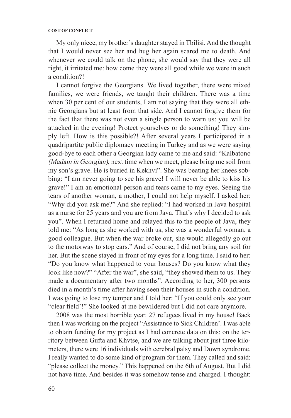My only niece, my brother's daughter stayed in Tbilisi. And the thought that I would never see her and hug her again scared me to death. And whenever we could talk on the phone, she would say that they were all right, it irritated me: how come they were all good while we were in such a condition?!

I cannot forgive the Georgians. We lived together, there were mixed families, we were friends, we taught their children. There was a time when 30 per cent of our students, I am not saying that they were all ethnic Georgians but at least from that side. And I cannot forgive them for the fact that there was not even a single person to warn us: you will be attacked in the evening! Protect yourselves or do something! They simply left. How is this possible?! After several years I participated in a quadripartite public diplomacy meeting in Turkey and as we were saying good-bye to each other a Georgian lady came to me and said: "Kalbatono (Madam in Georgian), next time when we meet, please bring me soil from my son's grave. He is buried in Kekhvi". She was beating her knees sobbing: "I am never going to see his grave! I will never be able to kiss his grave!" I am an emotional person and tears came to my eyes. Seeing the tears of another woman, a mother, I could not help myself. I asked her: "Why did you ask me?" And she replied: "I had worked in Java hospital as a nurse for 25 years and you are from Java. That's why I decided to ask you". When I returned home and relayed this to the people of Java, they told me: "As long as she worked with us, she was a wonderful woman, a good colleague. But when the war broke out, she would allegedly go out to the motorway to stop cars." And of course, I did not bring any soil for her. But the scene stayed in front of my eyes for a long time. I said to her: "Do you know what happened to your houses? Do you know what they look like now?" "After the war", she said, "they showed them to us. They made a documentary after two months". According to her, 300 persons died in a month's time after having seen their houses in such a condition. I was going to lose my temper and I told her: "If you could only see your "clear field'!" She looked at me bewildered but I did not care anymore.

2008 was the most horrible year. 27 refugees lived in my house! Back then I was working on the project "Assistance to Sick Children'. I was able to obtain funding for my project as I had concrete data on this: on the territory between Gufta and Khvtse, and we are talking about just three kilometers, there were 16 individuals with cerebral palsy and Down syndrome. I really wanted to do some kind of program for them. They called and said: "please collect the money." This happened on the 6th of August. But I did not have time. And besides it was somehow tense and charged. I thought: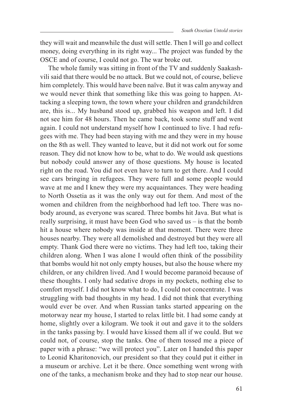they will wait and meanwhile the dust will settle. Then I will go and collect money, doing everything in its right way... The project was funded by the OSCE and of course, I could not go. The war broke out.

The whole family was sitting in front of the TV and suddenly Saakashvili said that there would be no attack. But we could not, of course, believe him completely. This would have been naïve. But it was calm anyway and we would never think that something like this was going to happen. Attacking a sleeping town, the town where your children and grandchildren are, this is... My husband stood up, grabbed his weapon and left. I did not see him for 48 hours. Then he came back, took some stuff and went again. I could not understand myself how I continued to live. I had refugees with me. They had been staying with me and they were in my house on the 8th as well. They wanted to leave, but it did not work out for some reason. They did not know how to be, what to do. We would ask questions but nobody could answer any of those questions. My house is located right on the road. You did not even have to turn to get there. And I could see cars bringing in refugees. They were full and some people would wave at me and I knew they were my acquaintances. They were heading to North Ossetia as it was the only way out for them. And most of the women and children from the neighborhood had left too. There was nobody around, as everyone was scared. Three bombs hit Java. But what is really surprising, it must have been God who saved us – is that the bomb hit a house where nobody was inside at that moment. There were three houses nearby. They were all demolished and destroyed but they were all empty. Thank God there were no victims. They had left too, taking their children along. When I was alone I would often think of the possibility that bombs would hit not only empty houses, but also the house where my children, or any children lived. And I would become paranoid because of these thoughts. I only had sedative drops in my pockets, nothing else to comfort myself. I did not know what to do, I could not concentrate. I was struggling with bad thoughts in my head. I did not think that everything would ever be over. And when Russian tanks started appearing on the motorway near my house, I started to relax little bit. I had some candy at home, slightly over a kilogram. We took it out and gave it to the solders in the tanks passing by. I would have kissed them all if we could. But we could not, of course, stop the tanks. One of them tossed me a piece of paper with a phrase: "we will protect you". Later on I handed this paper to Leonid Kharitonovich, our president so that they could put it either in a museum or archive. Let it be there. Once something went wrong with one of the tanks, a mechanism broke and they had to stop near our house.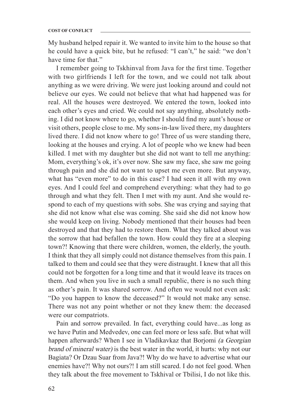My husband helped repair it. We wanted to invite him to the house so that he could have a quick bite, but he refused: "I can't," he said: "we don't have time for that."

I remember going to Tskhinval from Java for the first time. Together with two girlfriends I left for the town, and we could not talk about anything as we were driving. We were just looking around and could not believe our eyes. We could not believe that what had happened was for real. All the houses were destroyed. We entered the town, looked into each other's eyes and cried. We could not say anything, absolutely nothing. I did not know where to go, whether I should find my aunt's house or visit others, people close to me. My sons-in-law lived there, my daughters lived there. I did not know where to go! Three of us were standing there, looking at the houses and crying. A lot of people who we knew had been killed. I met with my daughter but she did not want to tell me anything: Mom, everything's ok, it's over now. She saw my face, she saw me going through pain and she did not want to upset me even more. But anyway, what has "even more" to do in this case? I had seen it all with my own eyes. And I could feel and comprehend everything: what they had to go through and what they felt. Then I met with my aunt. And she would respond to each of my questions with sobs. She was crying and saying that she did not know what else was coming. She said she did not know how she would keep on living. Nobody mentioned that their houses had been destroyed and that they had to restore them. What they talked about was the sorrow that had befallen the town. How could they fire at a sleeping town?! Knowing that there were children, women, the elderly, the youth. I think that they all simply could not distance themselves from this pain. I talked to them and could see that they were distraught. I knew that all this could not be forgotten for a long time and that it would leave its traces on them. And when you live in such a small republic, there is no such thing as other's pain. It was shared sorrow. And often we would not even ask: "Do you happen to know the deceased?" It would not make any sense. There was not any point whether or not they knew them: the deceased were our compatriots.

Pain and sorrow prevailed. In fact, everything could have...as long as we have Putin and Medvedev, one can feel more or less safe. But what will happen afterwards? When I see in Vladikavkaz that Borjomi (a Georgian brand of mineral water) is the best water in the world, it hurts: why not our Bagiata? Or Dzau Suar from Java?! Why do we have to advertise what our enemies have?! Why not ours?! I am still scared. I do not feel good. When they talk about the free movement to Tskhival or Tbilisi, I do not like this.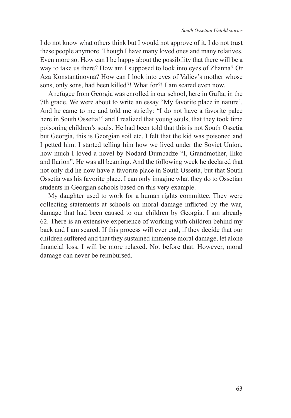I do not know what others think but I would not approve of it. I do not trust these people anymore. Though I have many loved ones and many relatives. Even more so. How can I be happy about the possibility that there will be a way to take us there? How am I supposed to look into eyes of Zhanna? Or Aza Konstantinovna? How can I look into eyes of Valiev's mother whose sons, only sons, had been killed?! What for?! I am scared even now.

A refugee from Georgia was enrolled in our school, here in Gufta, in the 7th grade. We were about to write an essay "My favorite place in nature'. And he came to me and told me strictly: "I do not have a favorite palce here in South Ossetia!" and I realized that young souls, that they took time poisoning children's souls. He had been told that this is not South Ossetia but Georgia, this is Georgian soil etc. I felt that the kid was poisoned and I petted him. I started telling him how we lived under the Soviet Union, how much I loved a novel by Nodard Dumbadze "I, Grandmother, Iliko and Ilarion". He was all beaming. And the following week he declared that not only did he now have a favorite place in South Ossetia, but that South Ossetia was his favorite place. I can only imagine what they do to Ossetian students in Georgian schools based on this very example.

My daughter used to work for a human rights committee. They were collecting statements at schools on moral damage inflicted by the war, damage that had been caused to our children by Georgia. I am already 62. There is an extensive experience of working with children behind my back and I am scared. If this process will ever end, if they decide that our children suffered and that they sustained immense moral damage, let alone financial loss, I will be more relaxed. Not before that. However, moral damage can never be reimbursed.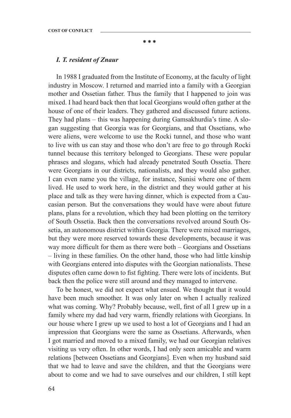**\* \* \***

## *I. T. resident of Znaur*

In 1988 I graduated from the Institute of Economy, at the faculty of light industry in Moscow. I returned and married into a family with a Georgian mother and Ossetian father. Thus the family that I happened to join was mixed. I had heard back then that local Georgians would often gather at the house of one of their leaders. They gathered and discussed future actions. They had plans – this was happening during Gamsakhurdia's time. A slogan suggesting that Georgia was for Georgians, and that Ossetians, who were aliens, were welcome to use the Rocki tunnel, and those who want to live with us can stay and those who don't are free to go through Rocki tunnel because this territory belonged to Georgians. These were popular phrases and slogans, which had already penetrated South Ossetia. There were Georgians in our districts, nationalists, and they would also gather. I can even name you the village, for instance, Sunisi where one of them lived. He used to work here, in the district and they would gather at his place and talk as they were having dinner, which is expected from a Caucasian person. But the conversations they would have were about future plans, plans for a revolution, which they had been plotting on the territory of South Ossetia. Back then the conversations revolved around South Ossetia, an autonomous district within Georgia. There were mixed marriages, but they were more reserved towards these developments, because it was way more difficult for them as there were both – Georgians and Ossetians – living in these families. On the other hand, those who had little kinship with Georgians entered into disputes with the Georgian nationalists. These disputes often came down to fist fighting. There were lots of incidents. But back then the police were still around and they managed to intervene.

To be honest, we did not expect what ensued. We thought that it would have been much smoother. It was only later on when I actually realized what was coming. Why? Probably because, well, first of all I grew up in a family where my dad had very warm, friendly relations with Georgians. In our house where I grew up we used to host a lot of Georgians and I had an impression that Georgians were the same as Ossetians. Afterwards, when I got married and moved to a mixed family, we had our Georgian relatives visiting us very often. In other words, I had only seen amicable and warm relations [between Ossetians and Georgians]. Even when my husband said that we had to leave and save the children, and that the Georgians were about to come and we had to save ourselves and our children, I still kept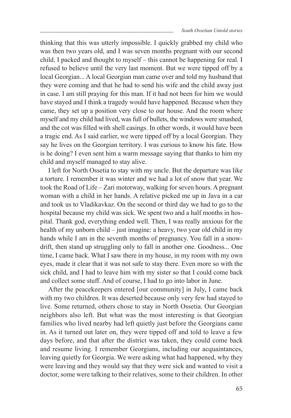thinking that this was utterly impossible. I quickly grabbed my child who was then two years old, and I was seven months pregnant with our second child. I packed and thought to myself – this cannot be happening for real. I refused to believe until the very last moment. But we were tipped off by a local Georgian... A local Georgian man came over and told my husband that they were coming and that he had to send his wife and the child away just in case. I am still praying for this man. If it had not been for him we would have stayed and I think a tragedy would have happened. Because when they came, they set up a position very close to our house. And the room where myself and my child had lived, was full of bullets, the windows were smashed, and the cot was filled with shell casings. In other words, it would have been a tragic end. As I said earlier, we were tipped off by a local Georgian. They say he lives on the Georgian territory. I was curious to know his fate. How is he doing? I even sent him a warm message saying that thanks to him my child and myself managed to stay alive.

I left for North Ossetia to stay with my uncle. But the departure was like a torture. I remember it was winter and we had a lot of snow that year. We took the Road of Life – Zari motorway, walking for seven hours. A pregnant woman with a child in her hands. A relative picked me up in Java in a car and took us to Vladikavkaz. On the second or third day we had to go to the hospital because my child was sick. We spent two and a half months in hospital. Thank god, everything ended well. Then, I was really anxious for the health of my unborn child – just imagine: a heavy, two year old child in my hands while I am in the seventh months of pregnancy. You fall in a snowdrift, then stand up struggling only to fall in another one. Goodness... One time, I came back. What I saw there in my house, in my room with my own eyes, made it clear that it was not safe to stay there. Even more so with the sick child, and I had to leave him with my sister so that I could come back and collect some stuff. And of course, I had to go into labor in June.

After the peacekeepers entered [our community] in July, I came back with my two children. It was deserted because only very few had stayed to live. Some returned, others chose to stay in North Ossetia. Our Georgian neighbors also left. But what was the most interesting is that Georgian families who lived nearby had left quietly just before the Georgians came in. As it turned out later on, they were tipped off and told to leave a few days before, and that after the district was taken, they could come back and resume living. I remember Georgians, including our acquaintances, leaving quietly for Georgia. We were asking what had happened, why they were leaving and they would say that they were sick and wanted to visit a doctor, some were talking to their relatives, some to their children. In other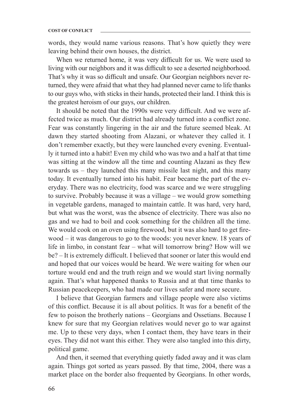words, they would name various reasons. That's how quietly they were leaving behind their own houses, the district.

When we returned home, it was very difficult for us. We were used to living with our neighbors and it was difficult to see a deserted neighborhood. That's why it was so difficult and unsafe. Our Georgian neighbors never returned, they were afraid that what they had planned never came to life thanks to our guys who, with sticks in their hands, protected their land. I think this is the greatest heroism of our guys, our children.

It should be noted that the 1990s were very difficult. And we were affected twice as much. Our district had already turned into a conflict zone. Fear was constantly lingering in the air and the future seemed bleak. At dawn they started shooting from Alazani, or whatever they called it. I don't remember exactly, but they were launched every evening. Eventually it turned into a habit! Even my child who was two and a half at that time was sitting at the window all the time and counting Alazani as they flew towards us – they launched this many missile last night, and this many today. It eventually turned into his habit. Fear became the part of the everyday. There was no electricity, food was scarce and we were struggling to survive. Probably because it was a village – we would grow something in vegetable gardens, managed to maintain cattle. It was hard, very hard, but what was the worst, was the absence of electricity. There was also no gas and we had to boil and cook something for the children all the time. We would cook on an oven using firewood, but it was also hard to get firewood – it was dangerous to go to the woods: you never knew. 18 years of life in limbo, in constant fear – what will tomorrow bring? How will we be? – It is extremely difficult. I believed that sooner or later this would end and hoped that our voices would be heard. We were waiting for when our torture would end and the truth reign and we would start living normally again. That's what happened thanks to Russia and at that time thanks to Russian peacekeepers, who had made our lives safer and more secure.

I believe that Georgian farmers and village people were also victims of this conflict. Because it is all about politics. It was for a benefit of the few to poison the brotherly nations – Georgians and Ossetians. Because I knew for sure that my Georgian relatives would never go to war against me. Up to these very days, when I contact them, they have tears in their eyes. They did not want this either. They were also tangled into this dirty, political game.

And then, it seemed that everything quietly faded away and it was clam again. Things got sorted as years passed. By that time, 2004, there was a market place on the border also frequented by Georgians. In other words,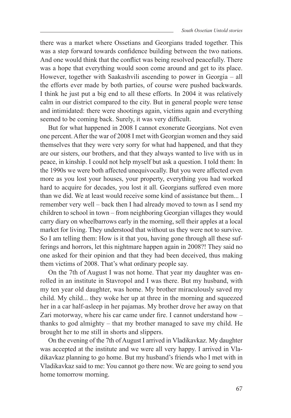there was a market where Ossetians and Georgians traded together. This was a step forward towards confidence building between the two nations. And one would think that the conflict was being resolved peacefully. There was a hope that everything would soon come around and get to its place. However, together with Saakashvili ascending to power in Georgia – all the efforts ever made by both parties, of course were pushed backwards. I think he just put a big end to all these efforts. In 2004 it was relatively calm in our district compared to the city. But in general people were tense and intimidated: there were shootings again, victims again and everything seemed to be coming back. Surely, it was very difficult.

But for what happened in 2008 I cannot exonerate Georgians. Not even one percent. After the war of 2008 I met with Georgian women and they said themselves that they were very sorry for what had happened, and that they are our sisters, our brothers, and that they always wanted to live with us in peace, in kinship. I could not help myself but ask a question. I told them: In the 1990s we were both affected unequivocally. But you were affected even more as you lost your houses, your property, everything you had worked hard to acquire for decades, you lost it all. Georgians suffered even more than we did. We at least would receive some kind of assistance but them... I remember very well – back then I had already moved to town as I send my children to school in town – from neighboring Georgian villages they would carry diary on wheelbarrows early in the morning, sell their apples at a local market for living. They understood that without us they were not to survive. So I am telling them: How is it that you, having gone through all these sufferings and horrors, let this nightmare happen again in 2008?! They said no one asked for their opinion and that they had been deceived, thus making them victims of 2008. That's what ordinary people say.

On the 7th of August I was not home. That year my daughter was enrolled in an institute in Stavropol and I was there. But my husband, with my ten year old daughter, was home. My brother miraculously saved my child. My child... they woke her up at three in the morning and squeezed her in a car half-asleep in her pajamas. My brother drove her away on that Zari motorway, where his car came under fire. I cannot understand how – thanks to god almighty – that my brother managed to save my child. He brought her to me still in shorts and slippers.

On the evening of the 7th of August I arrived in Vladikavkaz. My daughter was accepted at the institute and we were all very happy. I arrived in Vladikavkaz planning to go home. But my husband's friends who I met with in Vladikavkaz said to me: You cannot go there now. We are going to send you home tomorrow morning.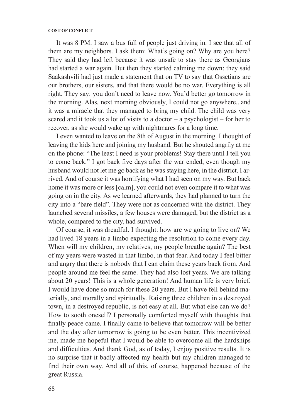It was 8 PM. I saw a bus full of people just driving in. I see that all of them are my neighbors. I ask them: What's going on? Why are you here? They said they had left because it was unsafe to stay there as Georgians had started a war again. But then they started calming me down: they said Saakashvili had just made a statement that on TV to say that Ossetians are our brothers, our sisters, and that there would be no war. Everything is all right. They say: you don't need to leave now. You'd better go tomorrow in the morning. Alas, next morning obviously, I could not go anywhere...and it was a miracle that they managed to bring my child. The child was very scared and it took us a lot of visits to a doctor – a psychologist – for her to recover, as she would wake up with nightmares for a long time.

I even wanted to leave on the 8th of August in the morning. I thought of leaving the kids here and joining my husband. But he shouted angrily at me on the phone: "The least I need is your problems! Stay there until I tell you to come back." I got back five days after the war ended, even though my husband would not let me go back as he was staying here, in the district. I arrived. And of course it was horrifying what I had seen on my way. But back home it was more or less [calm], you could not even compare it to what was going on in the city. As we learned afterwards, they had planned to turn the city into a "bare field". They were not as concerned with the district. They launched several missiles, a few houses were damaged, but the district as a whole, compared to the city, had survived.

Of course, it was dreadful. I thought: how are we going to live on? We had lived 18 years in a limbo expecting the resolution to come every day. When will my children, my relatives, my people breathe again? The best of my years were wasted in that limbo, in that fear. And today I feel bitter and angry that there is nobody that I can claim these years back from. And people around me feel the same. They had also lost years. We are talking about 20 years! This is a whole generation! And human life is very brief. I would have done so much for these 20 years. But I have fell behind materially, and morally and spiritually. Raising three children in a destroyed town, in a destroyed republic, is not easy at all. But what else can we do? How to sooth oneself? I personally comforted myself with thoughts that finally peace came. I finally came to believe that tomorrow will be better and the day after tomorrow is going to be even better. This incentivized me, made me hopeful that I would be able to overcome all the hardships and difficulties. And thank God, as of today, I enjoy positive results. It is no surprise that it badly affected my health but my children managed to find their own way. And all of this, of course, happened because of the great Russia.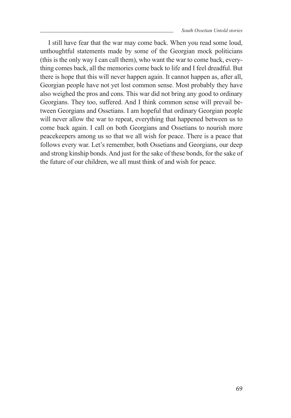I still have fear that the war may come back. When you read some loud, unthoughtful statements made by some of the Georgian mock politicians (this is the only way I can call them), who want the war to come back, everything comes back, all the memories come back to life and I feel dreadful. But there is hope that this will never happen again. It cannot happen as, after all, Georgian people have not yet lost common sense. Most probably they have also weighed the pros and cons. This war did not bring any good to ordinary Georgians. They too, suffered. And I think common sense will prevail between Georgians and Ossetians. I am hopeful that ordinary Georgian people will never allow the war to repeat, everything that happened between us to come back again. I call on both Georgians and Ossetians to nourish more peacekeepers among us so that we all wish for peace. There is a peace that follows every war. Let's remember, both Ossetians and Georgians, our deep and strong kinship bonds. And just for the sake of these bonds, for the sake of the future of our children, we all must think of and wish for peace.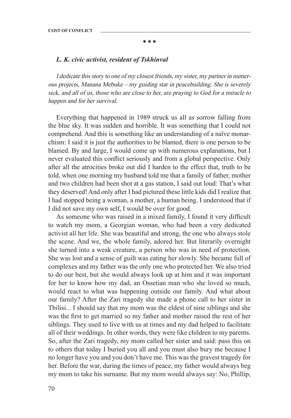**\* \* \***

## *L. K. civic activist, resident of Tskhinval*

I dedicate this story to one of my closest friends, my sister, my partner in numerous projects, Manana Mebuke – my guiding star in peacebuilding. She is severely sick, and all of us, those who are close to her, are praying to God for a miracle to happen and for her survival.

Everything that happened in 1989 struck us all as sorrow falling from the blue sky. It was sudden and horrible. It was something that I could not comprehend. And this is something like an understanding of a naïve monarchism: I said it is just the authorities to be blamed, there is one person to be blamed. By and large, I would come up with numerous explanations, but I never evaluated this conflict seriously and from a global perspective. Only after all the atrocities broke out did I harden to the effect that, truth to be told, when one morning my husband told me that a family of father, mother and two children had been shot at a gas station, I said out loud: That's what they deserved! And only after I had pictured these little kids did I realize that I had stopped being a woman, a mother, a human being. I understood that if I did not save my own self, I would be over for good.

As someone who was raised in a mixed family, I found it very difficult to watch my mom, a Georgian woman, who had been a very dedicated activist all her life. She was beautiful and strong, the one who always stole the scene. And we, the whole family, adored her. But literarily overnight she turned into a weak creature, a person who was in need of protection. She was lost and a sense of guilt was eating her slowly. She became full of complexes and my father was the only one who protected her. We also tried to do our best, but she would always look up at him and it was important for her to know how my dad, an Ossetian man who she loved so much, would react to what was happening outside our family. And what about our family? After the Zari tragedy she made a phone call to her sister in Tbilisi... I should say that my mom was the eldest of nine siblings and she was the first to get married so my father and mother raised the rest of her siblings. They used to live with us at times and my dad helped to facilitate all of their weddings. In other words, they were like children to my parents. So, after the Zari tragedy, my mom called her sister and said: pass this on to others that today I buried you all and you must also bury me because I no longer have you and you don't have me. This was the gravest tragedy for her. Before the war, during the times of peace, my father would always beg my mom to take his surname. But my mom would always say: No, Phillip,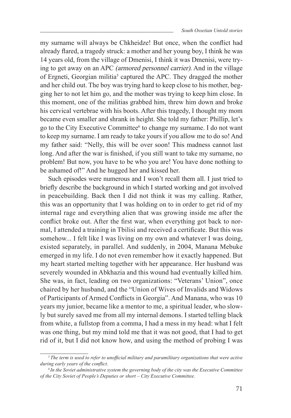my surname will always be Chkheidze! But once, when the conflict had already flared, a tragedy struck: a mother and her young boy, I think he was 14 years old, from the village of Dmenisi, I think it was Dmenisi, were trying to get away on an APC (armored personnel carrier). And in the village of Ergneti, Georgian militia<sup>5</sup> captured the APC. They dragged the mother and her child out. The boy was trying hard to keep close to his mother, begging her to not let him go, and the mother was trying to keep him close. In this moment, one of the militias grabbed him, threw him down and broke his cervical vertebrae with his boots. After this tragedy, I thought my mom became even smaller and shrank in height. She told my father: Phillip, let's go to the City Executive Committee<sup>6</sup> to change my surname. I do not want to keep my surname. I am ready to take yours if you allow me to do so! And my father said: "Nelly, this will be over soon! This madness cannot last long. And after the war is finished, if you still want to take my surname, no problem! But now, you have to be who you are! You have done nothing to be ashamed of!" And he hugged her and kissed her.

Such episodes were numerous and I won't recall them all. I just tried to briefly describe the background in which I started working and got involved in peacebuilding. Back then I did not think it was my calling. Rather, this was an opportunity that I was holding on to in order to get rid of my internal rage and everything alien that was growing inside me after the conflict broke out. After the first war, when everything got back to normal, I attended a training in Tbilisi and received a certificate. But this was somehow... I felt like I was living on my own and whatever I was doing, existed separately, in parallel. And suddenly, in 2004, Manana Mebuke emerged in my life. I do not even remember how it exactly happened. But my heart started melting together with her appearance. Her husband was severely wounded in Abkhazia and this wound had eventually killed him. She was, in fact, leading on two organizations: "Veterans' Union", once chaired by her husband, and the "Union of Wives of Invalids and Widows of Participants of Armed Conflicts in Georgia". And Manana, who was 10 years my junior, became like a mentor to me, a spiritual leader, who slowly but surely saved me from all my internal demons. I started telling black from white, a fullstop from a comma, I had a mess in my head: what I felt was one thing, but my mind told me that it was not good, that I had to get rid of it, but I did not know how, and using the method of probing I was

*<sup>5</sup> The term is used to refer to unofficial military and paramilitary organizations that were active during early years of the conflict.*

*<sup>6</sup> In the Soviet administrative system the governing body of the city was the Executive Committee of the City Soviet of People's Deputies or short* – *City Executive Committee.*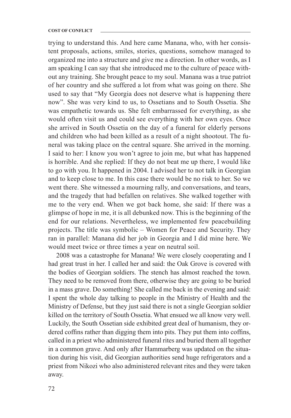trying to understand this. And here came Manana, who, with her consistent proposals, actions, smiles, stories, questions, somehow managed to organized me into a structure and give me a direction. In other words, as I am speaking I can say that she introduced me to the culture of peace without any training. She brought peace to my soul. Manana was a true patriot of her country and she suffered a lot from what was going on there. She used to say that "My Georgia does not deserve what is happening there now". She was very kind to us, to Ossetians and to South Ossetia. She was empathetic towards us. She felt embarrassed for everything, as she would often visit us and could see everything with her own eyes. Once she arrived in South Ossetia on the day of a funeral for elderly persons and children who had been killed as a result of a night shootout. The funeral was taking place on the central square. She arrived in the morning. I said to her: I know you won't agree to join me, but what has happened is horrible. And she replied: If they do not beat me up there, I would like to go with you. It happened in 2004. I advised her to not talk in Georgian and to keep close to me. In this case there would be no risk to her. So we went there. She witnessed a mourning rally, and conversations, and tears, and the tragedy that had befallen on relatives. She walked together with me to the very end. When we got back home, she said: If there was a glimpse of hope in me, it is all debunked now. This is the beginning of the end for our relations. Nevertheless, we implemented few peacebuilding projects. The title was symbolic – Women for Peace and Security. They ran in parallel: Manana did her job in Georgia and I did mine here. We would meet twice or three times a year on neutral soil.

2008 was a catastrophe for Manana! We were closely cooperating and I had great trust in her. I called her and said: the Oak Grove is covered with the bodies of Georgian soldiers. The stench has almost reached the town. They need to be removed from there, otherwise they are going to be buried in a mass grave. Do something! She called me back in the evening and said: I spent the whole day talking to people in the Ministry of Health and the Ministry of Defense, but they just said there is not a single Georgian soldier killed on the territory of South Ossetia. What ensued we all know very well. Luckily, the South Ossetian side exhibited great deal of humanism, they ordered coffins rather than digging them into pits. They put them into coffins, called in a priest who administered funeral rites and buried them all together in a common grave. And only after Hammarberg was updated on the situation during his visit, did Georgian authorities send huge refrigerators and a priest from Nikozi who also administered relevant rites and they were taken away.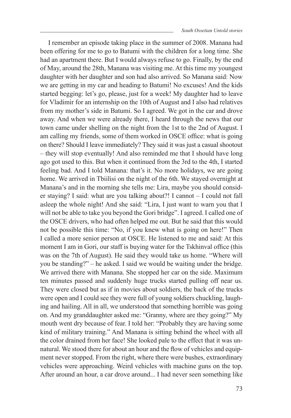I remember an episode taking place in the summer of 2008. Manana had been offering for me to go to Batumi with the children for a long time. She had an apartment there. But I would always refuse to go. Finally, by the end of May, around the 28th, Manana was visiting me. At this time my youngest daughter with her daughter and son had also arrived. So Manana said: Now we are getting in my car and heading to Batumi! No excuses! And the kids started begging: let's go, please, just for a week! My daughter had to leave for Vladimir for an internship on the 10th of August and I also had relatives from my mother's side in Batumi. So I agreed. We got in the car and drove away. And when we were already there, I heard through the news that our town came under shelling on the night from the 1st to the 2nd of August. I am calling my friends, some of them worked in OSCE office: what is going on there? Should I leave immediately? They said it was just a casual shootout – they will stop eventually! And also reminded me that I should have long ago got used to this. But when it continued from the 3rd to the 4th, I started feeling bad. And I told Manana: that's it. No more holidays, we are going home. We arrived in Tbiilisi on the night of the 6th. We stayed overnight at Manana's and in the morning she tells me: Lira, maybe you should consider staying? I said: what are you talking about?! I cannot – I could not fall asleep the whole night! And she said: "Lira, I just want to warn you that I will not be able to take you beyond the Gori bridge". I agreed. I called one of the OSCE drivers, who had often helped me out. But he said that this would not be possible this time: "No, if you knew what is going on here!" Then I called a more senior person at OSCE. He listened to me and said: At this moment I am in Gori, our staff is buying water for the Tskhinval office (this was on the 7th of August). He said they would take us home. "Where will you be standing?" – he asked. I said we would be waiting under the bridge. We arrived there with Manana. She stopped her car on the side. Maximum ten minutes passed and suddenly huge trucks started pulling off near us. They were closed but as if in movies about soldiers, the back of the trucks were open and I could see they were full of young soldiers chuckling, laughing and hailing. All in all, we understood that something horrible was going on. And my granddaughter asked me: "Granny, where are they going?" My mouth went dry because of fear. I told her: "Probably they are having some kind of military training." And Manana is sitting behind the wheel with all the color drained from her face! She looked pale to the effect that it was unnatural. We stood there for about an hour and the flow of vehicles and equipment never stopped. From the right, where there were bushes, extraordinary vehicles were approaching. Weird vehicles with machine guns on the top. After around an hour, a car drove around... I had never seen something like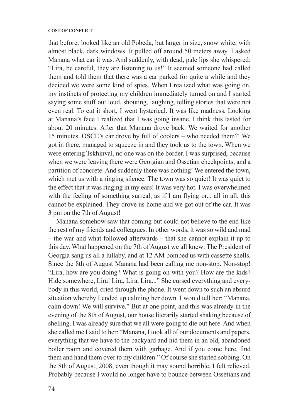that before: looked like an old Pobeda, but larger in size, snow white, with almost black, dark windows. It pulled off around 50 meters away. I asked Manana what car it was. And suddenly, with dead, pale lips she whispered: "Lira, be careful, they are listening to us!" It seemed someone had called them and told them that there was a car parked for quite a while and they decided we were some kind of spies. When I realized what was going on, my instincts of protecting my children immediately turned on and I started saying some stuff out loud, shouting, laughing, telling stories that were not even real. To cut it short, I went hysterical. It was like madness. Looking at Manana's face I realized that I was going insane. I think this lasted for about 20 minutes. After that Manana drove back. We waited for another 15 minutes. OSCE's car drove by full of coolers – who needed them?! We got in there, managed to squeeze in and they took us to the town. When we were entering Tskhinval, no one was on the border. I was surprised, because when we were leaving there were Georgian and Ossetian checkpoints, and a partition of concrete. And suddenly there was nothing! We entered the town, which met us with a ringing silence. The town was so quiet! It was quiet to the effect that it was ringing in my ears! It was very hot. I was overwhelmed with the feeling of something surreal, as if I am flying or... all in all, this cannot be explained. They drove us home and we got out of the car. It was 3 pm on the 7th of August!

Manana somehow saw that coming but could not believe to the end like the rest of my friends and colleagues. In other words, it was so wild and mad – the war and what followed afterwards – that she cannot explain it up to this day. What happened on the 7th of August we all knew: The President of Georgia sang us all a lullaby, and at 12 AM bombed us with cassette shells. Since the 8th of August Manana had been calling me non-stop. Non-stop! "Lira, how are you doing? What is going on with you? How are the kids? Hide somewhere, Lira! Lira, Lira, Lira..." She cursed everything and everybody in this world, cried through the phone. It went down to such an absurd situation whereby I ended up calming her down. I would tell her: "Manana, calm down! We will survive." But at one point, and this was already in the evening of the 8th of August, our house literarily started shaking because of shelling. I was already sure that we all were going to die out here. And when she called me I said to her: "Manana, I took all of our documents and papers, everything that we have to the backyard and hid them in an old, abandoned boiler room and covered them with garbage. And if you come here, find them and hand them over to my children." Of course she started sobbing. On the 8th of August, 2008, even though it may sound horrible, I felt relieved. Probably because I would no longer have to bounce between Ossetians and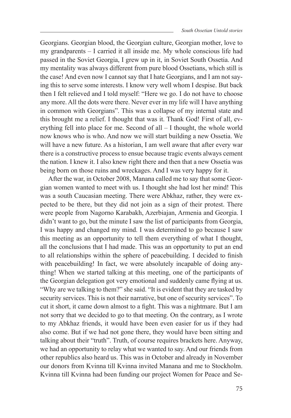Georgians. Georgian blood, the Georgian culture, Georgian mother, love to my grandparents – I carried it all inside me. My whole conscious life had passed in the Soviet Georgia, I grew up in it, in Soviet South Ossetia. And my mentality was always different from pure blood Ossetians, which still is the case! And even now I cannot say that I hate Georgians, and I am not saying this to serve some interests. I know very well whom I despise. But back then I felt relieved and I told myself: "Here we go. I do not have to choose any more. All the dots were there. Never ever in my life will I have anything in common with Georgians". This was a collapse of my internal state and this brought me a relief. I thought that was it. Thank God! First of all, everything fell into place for me. Second of all – I thought, the whole world now knows who is who. And now we will start building a new Ossetia. We will have a new future. As a historian, I am well aware that after every war there is a constructive process to ensue because tragic events always cement the nation. I knew it. I also knew right there and then that a new Ossetia was being born on those ruins and wreckages. And I was very happy for it.

After the war, in October 2008, Manana called me to say that some Georgian women wanted to meet with us. I thought she had lost her mind! This was a south Caucasian meeting. There were Abkhaz, rather, they were expected to be there, but they did not join as a sign of their protest. There were people from Nagorno Karabakh, Azerbiajan, Armenia and Georgia. I didn't want to go, but the minute I saw the list of participants from Georgia, I was happy and changed my mind. I was determined to go because I saw this meeting as an opportunity to tell them everything of what I thought, all the conclusions that I had made. This was an opportunity to put an end to all relationships within the sphere of peacebuilding. I decided to finish with peacebuilding! In fact, we were absolutely incapable of doing anything! When we started talking at this meeting, one of the participants of the Georgian delegation got very emotional and suddenly came flying at us. "Why are we talking to them?" she said. "It is evident that they are tasked by security services. This is not their narrative, but one of security services". To cut it short, it came down almost to a fight. This was a nightmare. But I am not sorry that we decided to go to that meeting. On the contrary, as I wrote to my Abkhaz friends, it would have been even easier for us if they had also come. But if we had not gone there, they would have been sitting and talking about their "truth". Truth, of course requires brackets here. Anyway, we had an opportunity to relay what we wanted to say. And our friends from other republics also heard us. This was in October and already in November our donors from Kvinna till Kvinna invited Manana and me to Stockholm. Kvinna till Kvinna had been funding our project Women for Peace and Se-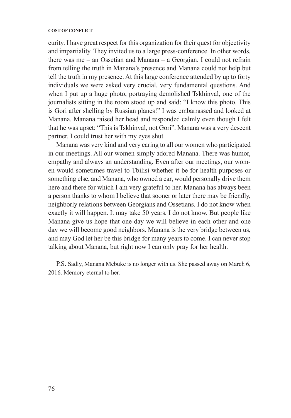curity. I have great respect for this organization for their quest for objectivity and impartiality. They invited us to a large press-conference. In other words, there was me – an Ossetian and Manana – a Georgian. I could not refrain from telling the truth in Manana's presence and Manana could not help but tell the truth in my presence. At this large conference attended by up to forty individuals we were asked very crucial, very fundamental questions. And when I put up a huge photo, portraying demolished Tskhinval, one of the journalists sitting in the room stood up and said: "I know this photo. This is Gori after shelling by Russian planes!" I was embarrassed and looked at Manana. Manana raised her head and responded calmly even though I felt that he was upset: "This is Tskhinval, not Gori". Manana was a very descent partner. I could trust her with my eyes shut.

Manana was very kind and very caring to all our women who participated in our meetings. All our women simply adored Manana. There was humor, empathy and always an understanding. Even after our meetings, our women would sometimes travel to Tbilisi whether it be for health purposes or something else, and Manana, who owned a car, would personally drive them here and there for which I am very grateful to her. Manana has always been a person thanks to whom I believe that sooner or later there may be friendly, neighborly relations between Georgians and Ossetians. I do not know when exactly it will happen. It may take 50 years. I do not know. But people like Manana give us hope that one day we will believe in each other and one day we will become good neighbors. Manana is the very bridge between us, and may God let her be this bridge for many years to come. I can never stop talking about Manana, but right now I can only pray for her health.

P.S. Sadly, Manana Mebuke is no longer with us. She passed away on March 6, 2016. Memory eternal to her.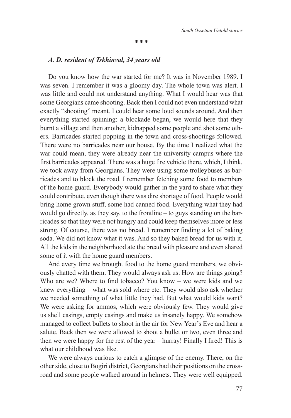**\* \* \***

## *A. D. resident of Tskhinval, 34 years old*

Do you know how the war started for me? It was in November 1989. I was seven. I remember it was a gloomy day. The whole town was alert. I was little and could not understand anything. What I would hear was that some Georgians came shooting. Back then I could not even understand what exactly "shooting" meant. I could hear some loud sounds around. And then everything started spinning: a blockade began, we would here that they burnt a village and then another, kidnapped some people and shot some others. Barricades started popping in the town and cross-shootings followed. There were no barricades near our house. By the time I realized what the war could mean, they were already near the university campus where the first barricades appeared. There was a huge fire vehicle there, which, I think, we took away from Georgians. They were using some trolleybuses as barricades and to block the road. I remember fetching some food to members of the home guard. Everybody would gather in the yard to share what they could contribute, even though there was dire shortage of food. People would bring home grown stuff, some had canned food. Everything what they had would go directly, as they say, to the frontline – to guys standing on the barricades so that they were not hungry and could keep themselves more or less strong. Of course, there was no bread. I remember finding a lot of baking soda. We did not know what it was. And so they baked bread for us with it. All the kids in the neighborhood ate the bread with pleasure and even shared some of it with the home guard members.

And every time we brought food to the home guard members, we obviously chatted with them. They would always ask us: How are things going? Who are we? Where to find tobacco? You know – we were kids and we knew everything – what was sold where etc. They would also ask whether we needed something of what little they had. But what would kids want? We were asking for ammos, which were obviously few. They would give us shell casings, empty casings and make us insanely happy. We somehow managed to collect bullets to shoot in the air for New Year's Eve and hear a salute. Back then we were allowed to shoot a bullet or two, even three and then we were happy for the rest of the year – hurray! Finally I fired! This is what our childhood was like.

We were always curious to catch a glimpse of the enemy. There, on the other side, close to Bogiri district, Georgians had their positions on the crossroad and some people walked around in helmets. They were well equipped.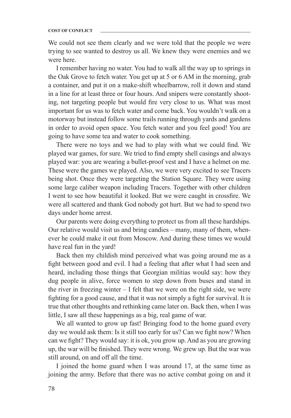#### **COST OF CONFLICT**

We could not see them clearly and we were told that the people we were trying to see wanted to destroy us all. We knew they were enemies and we were here.

I remember having no water. You had to walk all the way up to springs in the Oak Grove to fetch water. You get up at 5 or 6 AM in the morning, grab a container, and put it on a make-shift wheelbarrow, roll it down and stand in a line for at least three or four hours. And snipers were constantly shooting, not targeting people but would fire very close to us. What was most important for us was to fetch water and come back. You wouldn't walk on a motorway but instead follow some trails running through yards and gardens in order to avoid open space. You fetch water and you feel good! You are going to have some tea and water to cook something.

There were no toys and we had to play with what we could find. We played war games, for sure. We tried to find empty shell casings and always played war: you are wearing a bullet-proof vest and I have a helmet on me. These were the games we played. Also, we were very excited to see Tracers being shot. Once they were targeting the Station Square. They were using some large caliber weapon including Tracers. Together with other children I went to see how beautiful it looked. But we were caught in crossfire. We were all scattered and thank God nobody got hurt. But we had to spend two days under home arrest.

Our parents were doing everything to protect us from all these hardships. Our relative would visit us and bring candies – many, many of them, whenever he could make it out from Moscow. And during these times we would have real fun in the yard!

Back then my childish mind perceived what was going around me as a fight between good and evil. I had a feeling that after what I had seen and heard, including those things that Georgian militias would say: how they dug people in alive, force women to step down from buses and stand in the river in freezing winter – I felt that we were on the right side, we were fighting for a good cause, and that it was not simply a fight for survival. It is true that other thoughts and rethinking came later on. Back then, when I was little, I saw all these happenings as a big, real game of war.

We all wanted to grow up fast! Bringing food to the home guard every day we would ask them: Is it still too early for us? Can we fight now? When can we fight? They would say: it is ok, you grow up. And as you are growing up, the war will be finished. They were wrong. We grew up. But the war was still around, on and off all the time.

I joined the home guard when I was around 17, at the same time as joining the army. Before that there was no active combat going on and it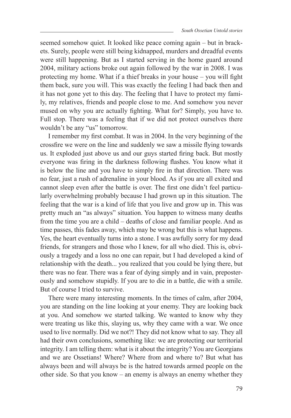seemed somehow quiet. It looked like peace coming again – but in brackets. Surely, people were still being kidnapped, murders and dreadful events were still happening. But as I started serving in the home guard around 2004, military actions broke out again followed by the war in 2008. I was protecting my home. What if a thief breaks in your house – you will fight them back, sure you will. This was exactly the feeling I had back then and it has not gone yet to this day. The feeling that I have to protect my family, my relatives, friends and people close to me. And somehow you never mused on why you are actually fighting. What for? Simply, you have to. Full stop. There was a feeling that if we did not protect ourselves there wouldn't be any "us" tomorrow.

I remember my first combat. It was in 2004. In the very beginning of the crossfire we were on the line and suddenly we saw a missile flying towards us. It exploded just above us and our guys started firing back. But mostly everyone was firing in the darkness following flashes. You know what it is below the line and you have to simply fire in that direction. There was no fear, just a rush of adrenaline in your blood. As if you are all exited and cannot sleep even after the battle is over. The first one didn't feel particularly overwhelming probably because I had grown up in this situation. The feeling that the war is a kind of life that you live and grow up in. This was pretty much an "as always" situation. You happen to witness many deaths from the time you are a child – deaths of close and familiar people. And as time passes, this fades away, which may be wrong but this is what happens. Yes, the heart eventually turns into a stone. I was awfully sorry for my dead friends, for strangers and those who I knew, for all who died. This is, obviously a tragedy and a loss no one can repair, but I had developed a kind of relationship with the death... you realized that you could be lying there, but there was no fear. There was a fear of dying simply and in vain, preposterously and somehow stupidly. If you are to die in a battle, die with a smile. But of course I tried to survive.

There were many interesting moments. In the times of calm, after 2004, you are standing on the line looking at your enemy. They are looking back at you. And somehow we started talking. We wanted to know why they were treating us like this, slaying us, why they came with a war. We once used to live normally. Did we not?! They did not know what to say. They all had their own conclusions, something like: we are protecting our territorial integrity. I am telling them: what is it about the integrity? You are Georgians and we are Ossetians! Where? Where from and where to? But what has always been and will always be is the hatred towards armed people on the other side. So that you know – an enemy is always an enemy whether they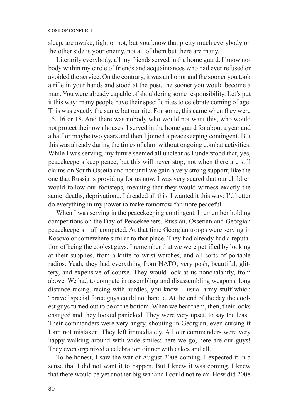sleep, are awake, fight or not, but you know that pretty much everybody on the other side is your enemy, not all of them but there are many.

Literarily everybody, all my friends served in the home guard. I know nobody within my circle of friends and acquaintances who had ever refused or avoided the service. On the contrary, it was an honor and the sooner you took a rifle in your hands and stood at the post, the sooner you would become a man. You were already capable of shouldering some responsibility. Let's put it this way: many people have their specific rites to celebrate coming of age. This was exactly the same, but our rite. For some, this came when they were 15, 16 or 18. And there was nobody who would not want this, who would not protect their own houses. I served in the home guard for about a year and a half or maybe two years and then I joined a peacekeeping contingent. But this was already during the times of clam without ongoing combat activities. While I was serving, my future seemed all unclear as I understood that, yes, peacekeepers keep peace, but this will never stop, not when there are still claims on South Ossetia and not until we gain a very strong support, like the one that Russia is providing for us now. I was very scared that our children would follow our footsteps, meaning that they would witness exactly the same: deaths, deprivation... I dreaded all this. I wanted it this way: I'd better do everything in my power to make tomorrow far more peaceful.

When I was serving in the peacekeeping contingent, I remember holding competitions on the Day of Peacekeepers. Russian, Ossetian and Georgian peacekeepers – all competed. At that time Georgian troops were serving in Kosovo or somewhere similar to that place. They had already had a reputation of being the coolest guys. I remember that we were petrified by looking at their supplies, from a knife to wrist watches, and all sorts of portable radios. Yeah, they had everything from NATO, very posh, beautiful, glittery, and expensive of course. They would look at us nonchalantly, from above. We had to compete in assembling and disassembling weapons, long distance racing, racing with hurdles, you know – usual army stuff which "brave" special force guys could not handle. At the end of the day the coolest guys turned out to be at the bottom. When we beat them, then, their looks changed and they looked panicked. They were very upset, to say the least. Their commanders were very angry, shouting in Georgian, even cursing if I am not mistaken. They left immediately. All our commanders were very happy walking around with wide smiles: here we go, here are our guys! They even organized a celebration dinner with cakes and all.

To be honest, I saw the war of August 2008 coming. I expected it in a sense that I did not want it to happen. But I knew it was coming. I knew that there would be yet another big war and I could not relax. How did 2008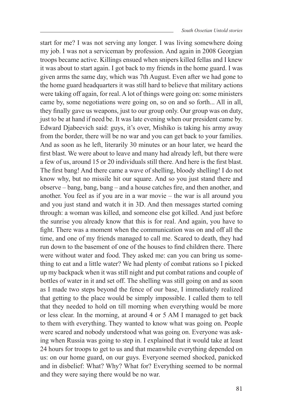start for me? I was not serving any longer. I was living somewhere doing my job. I was not a serviceman by profession. And again in 2008 Georgian troops became active. Killings ensued when snipers killed fellas and I knew it was about to start again. I got back to my friends in the home guard. I was given arms the same day, which was 7th August. Even after we had gone to the home guard headquarters it was still hard to believe that military actions were taking off again, for real. A lot of things were going on: some ministers came by, some negotiations were going on, so on and so forth... All in all, they finally gave us weapons, just to our group only. Our group was on duty, just to be at hand if need be. It was late evening when our president came by. Edward Djabeevich said: guys, it's over, Mishiko is taking his army away from the border, there will be no war and you can get back to your families. And as soon as he left, literarily 30 minutes or an hour later, we heard the first blast. We were about to leave and many had already left, but there were a few of us, around 15 or 20 individuals still there. And here is the first blast. The first bang! And there came a wave of shelling, bloody shelling! I do not know why, but no missile hit our square. And so you just stand there and observe – bang, bang, bang – and a house catches fire, and then another, and another. You feel as if you are in a war movie – the war is all around you and you just stand and watch it in 3D. And then messages started coming through: a woman was killed, and someone else got killed. And just before the sunrise you already know that this is for real. And again, you have to fight. There was a moment when the communication was on and off all the time, and one of my friends managed to call me. Scared to death, they had run down to the basement of one of the houses to find children there. There were without water and food. They asked me: can you can bring us something to eat and a little water? We had plenty of combat rations so I picked up my backpack when it was still night and put combat rations and couple of bottles of water in it and set off. The shelling was still going on and as soon as I made two steps beyond the fence of our base, I immediately realized that getting to the place would be simply impossible. I called them to tell that they needed to hold on till morning when everything would be more or less clear. In the morning, at around 4 or 5 AM I managed to get back to them with everything. They wanted to know what was going on. People were scared and nobody understood what was going on. Everyone was asking when Russia was going to step in. I explained that it would take at least 24 hours for troops to get to us and that meanwhile everything depended on us: on our home guard, on our guys. Everyone seemed shocked, panicked and in disbelief: What? Why? What for? Everything seemed to be normal and they were saying there would be no war.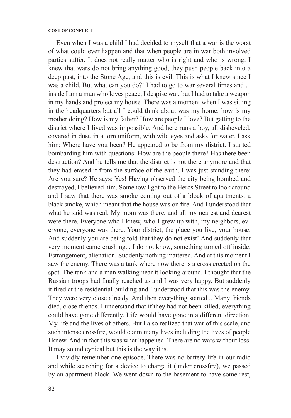Even when I was a child I had decided to myself that a war is the worst of what could ever happen and that when people are in war both involved parties suffer. It does not really matter who is right and who is wrong. I knew that wars do not bring anything good, they push people back into a deep past, into the Stone Age, and this is evil. This is what I knew since I was a child. But what can you do?! I had to go to war several times and ... inside I am a man who loves peace, I despise war, but I had to take a weapon in my hands and protect my house. There was a moment when I was sitting in the headquarters but all I could think about was my home: how is my mother doing? How is my father? How are people I love? But getting to the district where I lived was impossible. And here runs a boy, all disheveled, covered in dust, in a torn uniform, with wild eyes and asks for water. I ask him: Where have you been? He appeared to be from my district. I started bombarding him with questions: How are the people there? Has there been destruction? And he tells me that the district is not there anymore and that they had erased it from the surface of the earth. I was just standing there: Are you sure? He says: Yes! Having observed the city being bombed and destroyed, I believed him. Somehow I got to the Heros Street to look around and I saw that there was smoke coming out of a block of apartments, a black smoke, which meant that the house was on fire. And I understood that what he said was real. My mom was there, and all my nearest and dearest were there. Everyone who I knew, who I grew up with, my neighbors, everyone, everyone was there. Your district, the place you live, your house. And suddenly you are being told that they do not exist! And suddenly that very moment came crushing... I do not know, something turned off inside. Estrangement, alienation. Suddenly nothing mattered. And at this moment I saw the enemy. There was a tank where now there is a cross erected on the spot. The tank and a man walking near it looking around. I thought that the Russian troops had finally reached us and I was very happy. But suddenly it fired at the residential building and I understood that this was the enemy. They were very close already. And then everything started... Many friends died, close friends. I understand that if they had not been killed, everything could have gone differently. Life would have gone in a different direction. My life and the lives of others. But I also realized that war of this scale, and such intense crossfire, would claim many lives including the lives of people I knew. And in fact this was what happened. There are no wars without loss. It may sound cynical but this is the way it is.

I vividly remember one episode. There was no battery life in our radio and while searching for a device to charge it (under crossfire), we passed by an apartment block. We went down to the basement to have some rest,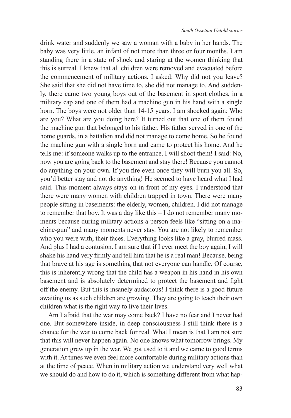drink water and suddenly we saw a woman with a baby in her hands. The baby was very little, an infant of not more than three or four months. I am standing there in a state of shock and staring at the women thinking that this is surreal. I knew that all children were removed and evacuated before the commencement of military actions. I asked: Why did not you leave? She said that she did not have time to, she did not manage to. And suddenly, there came two young boys out of the basement in sport clothes, in a military cap and one of them had a machine gun in his hand with a single horn. The boys were not older than 14-15 years. I am shocked again: Who are you? What are you doing here? It turned out that one of them found the machine gun that belonged to his father. His father served in one of the home guards, in a battalion and did not manage to come home. So he found the machine gun with a single horn and came to protect his home. And he tells me: if someone walks up to the entrance, I will shoot them! I said: No, now you are going back to the basement and stay there! Because you cannot do anything on your own. If you fire even once they will burn you all. So, you'd better stay and not do anything! He seemed to have heard what I had said. This moment always stays on in front of my eyes. I understood that there were many women with children trapped in town. There were many people sitting in basements: the elderly, women, children. I did not manage to remember that boy. It was a day like this – I do not remember many moments because during military actions a person feels like "sitting on a machine-gun" and many moments never stay. You are not likely to remember who you were with, their faces. Everything looks like a gray, blurred mass. And plus I had a contusion. I am sure that if I ever meet the boy again, I will shake his hand very firmly and tell him that he is a real man! Because, being that brave at his age is something that not everyone can handle. Of course, this is inherently wrong that the child has a weapon in his hand in his own basement and is absolutely determined to protect the basement and fight off the enemy. But this is insanely audacious! I think there is a good future awaiting us as such children are growing. They are going to teach their own children what is the right way to live their lives.

Am I afraid that the war may come back? I have no fear and I never had one. But somewhere inside, in deep consciousness I still think there is a chance for the war to come back for real. What I mean is that I am not sure that this will never happen again. No one knows what tomorrow brings. My generation grew up in the war. We got used to it and we came to good terms with it. At times we even feel more comfortable during military actions than at the time of peace. When in military action we understand very well what we should do and how to do it, which is something different from what hap-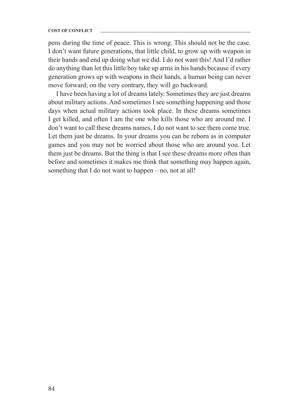#### **COST OF CONFLICT**

pens during the time of peace. This is wrong. This should not be the case. I don't want future generations, that little child, to grow up with weapon in their hands and end up doing what we did. I do not want this! And I'd rather do anything than let this little boy take up arms in his hands because if every generation grows up with weapons in their hands, a human being can never move forward; on the very contrary, they will go backward.

I have been having a lot of dreams lately. Sometimes they are just dreams about military actions. And sometimes I see something happening and those days when actual military actions took place. In these dreams sometimes I get killed, and often I am the one who kills those who are around me. I don't want to call these dreams names, I do not want to see them come true. Let them just be dreams. In your dreams you can be reborn as in computer games and you may not be worried about those who are around you. Let them just be dreams. But the thing is that I see these dreams more often than before and sometimes it makes me think that something may happen again, something that I do not want to happen – no, not at all!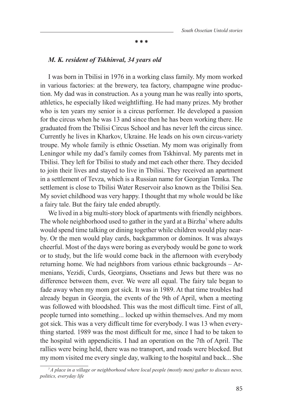#### **\* \* \***

## *M. K. resident of Tskhinval, 34 years old*

I was born in Tbilisi in 1976 in a working class family. My mom worked in various factories: at the brewery, tea factory, champagne wine production. My dad was in construction. As a young man he was really into sports, athletics, he especially liked weightlifting. He had many prizes. My brother who is ten years my senior is a circus performer. He developed a passion for the circus when he was 13 and since then he has been working there. He graduated from the Tbilisi Circus School and has never left the circus since. Currently he lives in Kharkov, Ukraine. He leads on his own circus-variety troupe. My whole family is ethnic Ossetian. My mom was originally from Leningor while my dad's family comes from Tskhinval. My parents met in Tbilisi. They left for Tbilisi to study and met each other there. They decided to join their lives and stayed to live in Tbilisi. They received an apartment in a settlement of Tevza, which is a Russian name for Georgian Temka. The settlement is close to Tbilisi Water Reservoir also known as the Tbilisi Sea. My soviet childhood was very happy. I thought that my whole would be like a fairy tale. But the fairy tale ended abruptly.

We lived in a big multi-story block of apartments with friendly neighbors. The whole neighborhood used to gather in the yard at a Birzha<sup>7</sup> where adults would spend time talking or dining together while children would play nearby. Or the men would play cards, backgammon or dominos. It was always cheerful. Most of the days were boring as everybody would be gone to work or to study, but the life would come back in the afternoon with everybody returning home. We had neighbors from various ethnic backgrounds – Armenians, Yezidi, Curds, Georgians, Ossetians and Jews but there was no difference between them, ever. We were all equal. The fairy tale began to fade away when my mom got sick. It was in 1989. At that time troubles had already begun in Georgia, the events of the 9th of April, when a meeting was followed with bloodshed. This was the most difficult time. First of all, people turned into something... locked up within themselves. And my mom got sick. This was a very difficult time for everybody. I was 13 when everything started. 1989 was the most difficult for me, since I had to be taken to the hospital with appendicitis. I had an operation on the 7th of April. The rallies were being held, there was no transport, and roads were blocked. But my mom visited me every single day, walking to the hospital and back... She

*<sup>7</sup>A place in a village or neighborhood where local people (mostly men) gather to discuss news, politics, everyday life*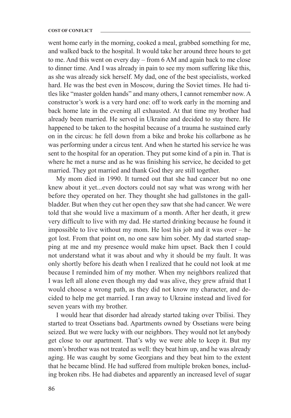went home early in the morning, cooked a meal, grabbed something for me, and walked back to the hospital. It would take her around three hours to get to me. And this went on every day – from 6 AM and again back to me close to dinner time. And I was already in pain to see my mom suffering like this, as she was already sick herself. My dad, one of the best specialists, worked hard. He was the best even in Moscow, during the Soviet times. He had titles like "master golden hands" and many others, I cannot remember now. A constructor's work is a very hard one: off to work early in the morning and back home late in the evening all exhausted. At that time my brother had already been married. He served in Ukraine and decided to stay there. He happened to be taken to the hospital because of a trauma he sustained early on in the circus: he fell down from a bike and broke his collarbone as he was performing under a circus tent. And when he started his service he was sent to the hospital for an operation. They put some kind of a pin in. That is where he met a nurse and as he was finishing his service, he decided to get married. They got married and thank God they are still together.

My mom died in 1990. It turned out that she had cancer but no one knew about it yet...even doctors could not say what was wrong with her before they operated on her. They thought she had gallstones in the gallbladder. But when they cut her open they saw that she had cancer. We were told that she would live a maximum of a month. After her death, it grew very difficult to live with my dad. He started drinking because he found it impossible to live without my mom. He lost his job and it was over – he got lost. From that point on, no one saw him sober. My dad started snapping at me and my presence would make him upset. Back then I could not understand what it was about and why it should be my fault. It was only shortly before his death when I realized that he could not look at me because I reminded him of my mother. When my neighbors realized that I was left all alone even though my dad was alive, they grew afraid that I would choose a wrong path, as they did not know my character, and decided to help me get married. I ran away to Ukraine instead and lived for seven years with my brother.

I would hear that disorder had already started taking over Tbilisi. They started to treat Ossetians bad. Apartments owned by Ossetians were being seized. But we were lucky with our neighbors. They would not let anybody get close to our apartment. That's why we were able to keep it. But my mom's brother was not treated as well: they beat him up, and he was already aging. He was caught by some Georgians and they beat him to the extent that he became blind. He had suffered from multiple broken bones, including broken ribs. He had diabetes and apparently an increased level of sugar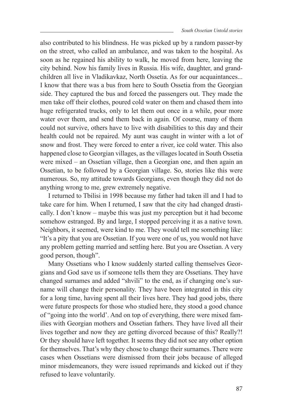also contributed to his blindness. He was picked up by a random passer-by on the street, who called an ambulance, and was taken to the hospital. As soon as he regained his ability to walk, he moved from here, leaving the city behind. Now his family lives in Russia. His wife, daughter, and grandchildren all live in Vladikavkaz, North Ossetia. As for our acquaintances... I know that there was a bus from here to South Ossetia from the Georgian side. They captured the bus and forced the passengers out. They made the men take off their clothes, poured cold water on them and chased them into huge refrigerated trucks, only to let them out once in a while, pour more water over them, and send them back in again. Of course, many of them could not survive, others have to live with disabilities to this day and their health could not be repaired. My aunt was caught in winter with a lot of snow and frost. They were forced to enter a river, ice cold water. This also happened close to Georgian villages, as the villages located in South Ossetia were mixed – an Ossetian village, then a Georgian one, and then again an Ossetian, to be followed by a Georgian village. So, stories like this were numerous. So, my attitude towards Georgians, even though they did not do anything wrong to me, grew extremely negative.

I returned to Tbilisi in 1998 because my father had taken ill and I had to take care for him. When I returned, I saw that the city had changed drastically. I don't know – maybe this was just my perception but it had become somehow estranged. By and large, I stopped perceiving it as a native town. Neighbors, it seemed, were kind to me. They would tell me something like: "It's a pity that you are Ossetian. If you were one of us, you would not have any problem getting married and settling here. But you are Ossetian. A very good person, though".

Many Ossetians who I know suddenly started calling themselves Georgians and God save us if someone tells them they are Ossetians. They have changed surnames and added "shvili" to the end, as if changing one's surname will change their personality. They have been integrated in this city for a long time, having spent all their lives here. They had good jobs, there were future prospects for those who studied here, they stood a good chance of "going into the world'. And on top of everything, there were mixed families with Georgian mothers and Ossetian fathers. They have lived all their lives together and now they are getting divorced because of this? Really?! Or they should have left together. It seems they did not see any other option for themselves. That's why they chose to change their surnames. There were cases when Ossetians were dismissed from their jobs because of alleged minor misdemeanors, they were issued reprimands and kicked out if they refused to leave voluntarily.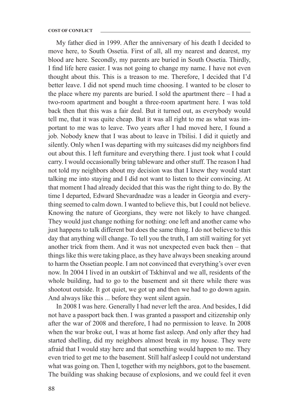My father died in 1999. After the anniversary of his death I decided to move here, to South Ossetia. First of all, all my nearest and dearest, my blood are here. Secondly, my parents are buried in South Ossetia. Thirdly, I find life here easier. I was not going to change my name. I have not even thought about this. This is a treason to me. Therefore, I decided that I'd better leave. I did not spend much time choosing. I wanted to be closer to the place where my parents are buried. I sold the apartment there – I had a two-room apartment and bought a three-room apartment here. I was told back then that this was a fair deal. But it turned out, as everybody would tell me, that it was quite cheap. But it was all right to me as what was important to me was to leave. Two years after I had moved here, I found a job. Nobody knew that I was about to leave in Tbilisi. I did it quietly and silently. Only when I was departing with my suitcases did my neighbors find out about this. I left furniture and everything there. I just took what I could carry. I would occasionally bring tableware and other stuff. The reason I had not told my neighbors about my decision was that I knew they would start talking me into staying and I did not want to listen to their convincing. At that moment I had already decided that this was the right thing to do. By the time I departed, Edward Shevardnadze was a leader in Georgia and everything seemed to calm down. I wanted to believe this, but I could not believe. Knowing the nature of Georgians, they were not likely to have changed. They would just change nothing for nothing: one left and another came who just happens to talk different but does the same thing. I do not believe to this day that anything will change. To tell you the truth, I am still waiting for yet another trick from them. And it was not unexpected even back then – that things like this were taking place, as they have always been sneaking around to harm the Ossetian people. I am not convinced that everything's over even now. In 2004 I lived in an outskirt of Tskhinval and we all, residents of the whole building, had to go to the basement and sit there while there was shootout outside. It got quiet, we got up and then we had to go down again. And always like this ... before they went silent again.

In 2008 I was here. Generally I had never left the area. And besides, I did not have a passport back then. I was granted a passport and citizenship only after the war of 2008 and therefore, I had no permission to leave. In 2008 when the war broke out, I was at home fast asleep. And only after they had started shelling, did my neighbors almost break in my house. They were afraid that I would stay here and that something would happen to me. They even tried to get me to the basement. Still half asleep I could not understand what was going on. Then I, together with my neighbors, got to the basement. The building was shaking because of explosions, and we could feel it even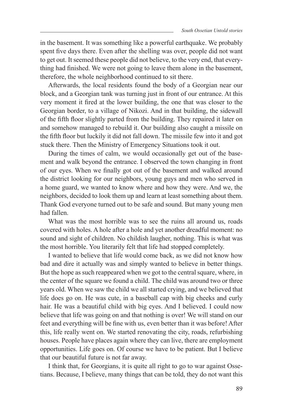in the basement. It was something like a powerful earthquake. We probably spent five days there. Even after the shelling was over, people did not want to get out. It seemed these people did not believe, to the very end, that everything had finished. We were not going to leave them alone in the basement, therefore, the whole neighborhood continued to sit there.

Afterwards, the local residents found the body of a Georgian near our block, and a Georgian tank was turning just in front of our entrance. At this very moment it fired at the lower building, the one that was closer to the Georgian border, to a village of Nikozi. And in that building, the sidewall of the fifth floor slightly parted from the building. They repaired it later on and somehow managed to rebuild it. Our building also caught a missile on the fifth floor but luckily it did not fall down. The missile few into it and got stuck there. Then the Ministry of Emergency Situations took it out.

During the times of calm, we would occasionally get out of the basement and walk beyond the entrance. I observed the town changing in front of our eyes. When we finally got out of the basement and walked around the district looking for our neighbors, young guys and men who served in a home guard, we wanted to know where and how they were. And we, the neighbors, decided to look them up and learn at least something about them. Thank God everyone turned out to be safe and sound. But many young men had fallen.

What was the most horrible was to see the ruins all around us, roads covered with holes. A hole after a hole and yet another dreadful moment: no sound and sight of children. No childish laugher, nothing. This is what was the most horrible. You literarily felt that life had stopped completely.

I wanted to believe that life would come back, as we did not know how bad and dire it actually was and simply wanted to believe in better things. But the hope as such reappeared when we got to the central square, where, in the center of the square we found a child. The child was around two or three years old. When we saw the child we all started crying, and we believed that life does go on. He was cute, in a baseball cap with big cheeks and curly hair. He was a beautiful child with big eyes. And I believed. I could now believe that life was going on and that nothing is over! We will stand on our feet and everything will be fine with us, even better than it was before! After this, life really went on. We started renovating the city, roads, refurbishing houses. People have places again where they can live, there are employment opportunities. Life goes on. Of course we have to be patient. But I believe that our beautiful future is not far away.

I think that, for Georgians, it is quite all right to go to war against Ossetians. Because, I believe, many things that can be told, they do not want this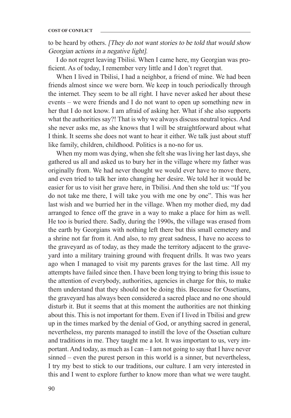to be heard by others. [They do not want stories to be told that would show Georgian actions in a negative light].

I do not regret leaving Tbilisi. When I came here, my Georgian was proficient. As of today, I remember very little and I don't regret that.

When I lived in Tbilisi, I had a neighbor, a friend of mine. We had been friends almost since we were born. We keep in touch periodically through the internet. They seem to be all right. I have never asked her about these events – we were friends and I do not want to open up something new in her that I do not know. I am afraid of asking her. What if she also supports what the authorities say?! That is why we always discuss neutral topics. And she never asks me, as she knows that I will be straightforward about what I think. It seems she does not want to hear it either. We talk just about stuff like family, children, childhood. Politics is a no-no for us.

When my mom was dying, when she felt she was living her last days, she gathered us all and asked us to bury her in the village where my father was originally from. We had never thought we would ever have to move there, and even tried to talk her into changing her desire. We told her it would be easier for us to visit her grave here, in Tbilisi. And then she told us: "If you do not take me there, I will take you with me one by one". This was her last wish and we burried her in the village. When my mother died, my dad arranged to fence off the grave in a way to make a place for him as well. He too is buried there. Sadly, during the 1990s, the village was erased from the earth by Georgians with nothing left there but this small cemetery and a shrine not far from it. And also, to my great sadness, I have no access to the graveyard as of today, as they made the territory adjacent to the graveyard into a military training ground with frequent drills. It was two years ago when I managed to visit my parents graves for the last time. All my attempts have failed since then. I have been long trying to bring this issue to the attention of everybody, authorities, agencies in charge for this, to make them understand that they should not be doing this. Because for Ossetians, the graveyard has always been considered a sacred place and no one should disturb it. But it seems that at this moment the authorities are not thinking about this. This is not important for them. Even if I lived in Tbilisi and grew up in the times marked by the denial of God, or anything sacred in general, nevertheless, my parents managed to instill the love of the Ossetian culture and traditions in me. They taught me a lot. It was important to us, very important. And today, as much as I can – I am not going to say that I have never sinned – even the purest person in this world is a sinner, but nevertheless, I try my best to stick to our traditions, our culture. I am very interested in this and I went to explore further to know more than what we were taught.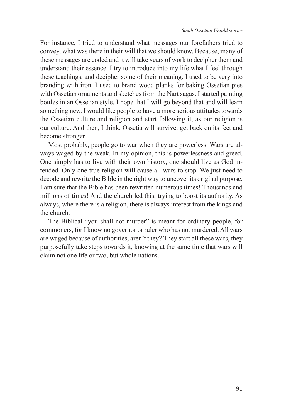For instance, I tried to understand what messages our forefathers tried to convey, what was there in their will that we should know. Because, many of these messages are coded and it will take years of work to decipher them and understand their essence. I try to introduce into my life what I feel through these teachings, and decipher some of their meaning. I used to be very into branding with iron. I used to brand wood planks for baking Ossetian pies with Ossetian ornaments and sketches from the Nart sagas. I started painting bottles in an Ossetian style. I hope that I will go beyond that and will learn something new. I would like people to have a more serious attitudes towards the Ossetian culture and religion and start following it, as our religion is our culture. And then, I think, Ossetia will survive, get back on its feet and become stronger.

Most probably, people go to war when they are powerless. Wars are always waged by the weak. In my opinion, this is powerlessness and greed. One simply has to live with their own history, one should live as God intended. Only one true religion will cause all wars to stop. We just need to decode and rewrite the Bible in the right way to uncover its original purpose. I am sure that the Bible has been rewritten numerous times! Thousands and millions of times! And the church led this, trying to boost its authority. As always, where there is a religion, there is always interest from the kings and the church.

The Biblical "you shall not murder" is meant for ordinary people, for commoners, for I know no governor or ruler who has not murdered. All wars are waged because of authorities, aren't they? They start all these wars, they purposefully take steps towards it, knowing at the same time that wars will claim not one life or two, but whole nations.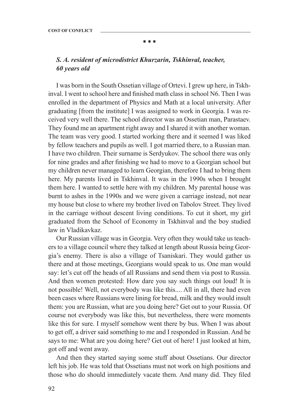**\* \* \***

# *S. A. resident of microdistrict Khurzarin, Tskhinval, teacher, 60 years old*

I was born in the South Ossetian village of Ortevi. I grew up here, in Tskhinval. I went to school here and finished math class in school N6. Then I was enrolled in the department of Physics and Math at a local university. After graduating [from the institute] I was assigned to work in Georgia. I was received very well there. The school director was an Ossetian man, Parastaev. They found me an apartment right away and I shared it with another woman. The team was very good. I started working there and it seemed I was liked by fellow teachers and pupils as well. I got married there, to a Russian man. I have two children. Their surname is Serdyukov. The school there was only for nine grades and after finishing we had to move to a Georgian school but my children never managed to learn Georgian, therefore I had to bring them here. My parents lived in Tskhinval. It was in the 1990s when I brought them here. I wanted to settle here with my children. My parental house was burnt to ashes in the 1990s and we were given a carriage instead, not near my house but close to where my brother lived on Tabolov Street. They lived in the carriage without descent living conditions. To cut it short, my girl graduated from the School of Economy in Tskhinval and the boy studied law in Vladikavkaz.

Our Russian village was in Georgia. Very often they would take us teachers to a village council where they talked at length about Russia being Georgia's enemy. There is also a village of Tsaniskari. They would gather us there and at those meetings, Georgians would speak to us. One man would say: let's cut off the heads of all Russians and send them via post to Russia. And then women protested: How dare you say such things out loud! It is not possible! Well, not everybody was like this.... All in all, there had even been cases where Russians were lining for bread, milk and they would insult them: you are Russian, what are you doing here? Get out to your Russia. Of course not everybody was like this, but nevertheless, there were moments like this for sure. I myself somehow went there by bus. When I was about to get off, a driver said something to me and I responded in Russian. And he says to me: What are you doing here? Get out of here! I just looked at him, got off and went away.

And then they started saying some stuff about Ossetians. Our director left his job. He was told that Ossetians must not work on high positions and those who do should immediately vacate them. And many did. They filed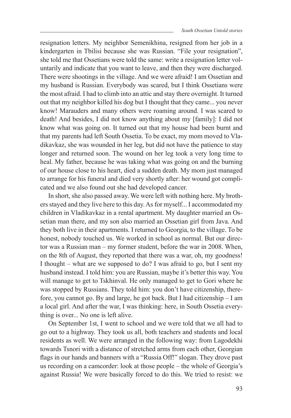resignation letters. My neighbor Semenikhina, resigned from her job in a kindergarten in Tbilisi because she was Russian. "File your resignation", she told me that Ossetians were told the same: write a resignation letter voluntarily and indicate that you want to leave, and then they were discharged. There were shootings in the village. And we were afraid! I am Ossetian and my husband is Russian. Everybody was scared, but I think Ossetians were the most afraid. I had to climb into an attic and stay there overnight. It turned out that my neighbor killed his dog but I thought that they came... you never know! Marauders and many others were roaming around. I was scared to death! And besides, I did not know anything about my [family]: I did not know what was going on. It turned out that my house had been burnt and that my parents had left South Ossetia. To be exact, my mom moved to Vladikavkaz, she was wounded in her leg, but did not have the patience to stay longer and returned soon. The wound on her leg took a very long time to heal. My father, because he was taking what was going on and the burning of our house close to his heart, died a sudden death. My mom just managed to arrange for his funeral and died very shortly after: her wound got complicated and we also found out she had developed cancer.

In short, she also passed away. We were left with nothing here. My brothers stayed and they live here to this day. As for myself... I accommodated my children in Vladikavkaz in a rental apartment. My daughter married an Ossetian man there, and my son also married an Ossetian girl from Java. And they both live in their apartments. I returned to Georgia, to the village. To be honest, nobody touched us. We worked in school as normal. But our director was a Russian man – my former student, before the war in 2008. When, on the 8th of August, they reported that there was a war, oh, my goodness! I thought – what are we supposed to do? I was afraid to go, but I sent my husband instead. I told him: you are Russian, maybe it's better this way. You will manage to get to Tskhinval. He only managed to get to Gori where he was stopped by Russians. They told him: you don't have citizenship, therefore, you cannot go. By and large, he got back. But I had citizenship – I am a local girl. And after the war, I was thinking: here, in South Ossetia everything is over... No one is left alive.

On September 1st, I went to school and we were told that we all had to go out to a highway. They took us all, both teachers and students and local residents as well. We were arranged in the following way: from Lagodekhi towards Tsnori with a distance of stretched arms from each other, Georgian flags in our hands and banners with a "Russia Off!" slogan. They drove past us recording on a camcorder: look at those people – the whole of Georgia's against Russia! We were basically forced to do this. We tried to resist: we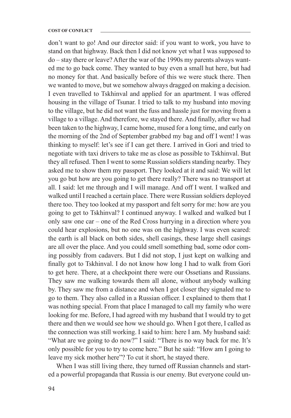don't want to go! And our director said: if you want to work, you have to stand on that highway. Back then I did not know yet what I was supposed to do – stay there or leave? After the war of the 1990s my parents always wanted me to go back come. They wanted to buy even a small hut here, but had no money for that. And basically before of this we were stuck there. Then we wanted to move, but we somehow always dragged on making a decision. I even travelled to Tskhinval and applied for an apartment. I was offered housing in the village of Tsunar. I tried to talk to my husband into moving to the village, but he did not want the fuss and hassle just for moving from a village to a village. And therefore, we stayed there. And finally, after we had been taken to the highway, I came home, mused for a long time, and early on the morning of the 2nd of September grabbed my bag and off I went! I was thinking to myself: let's see if I can get there. I arrived in Gori and tried to negotiate with taxi drivers to take me as close as possible to Tskhinval. But they all refused. Then I went to some Russian soldiers standing nearby. They asked me to show them my passport. They looked at it and said: We will let you go but how are you going to get there really? There was no transport at all. I said: let me through and I will manage. And off I went. I walked and walked until I reached a certain place. There were Russian soldiers deployed there too. They too looked at my passport and felt sorry for me: how are you going to get to Tskhinval? I continued anyway. I walked and walked but I only saw one car – one of the Red Cross hurrying in a direction where you could hear explosions, but no one was on the highway. I was even scared: the earth is all black on both sides, shell casings, these large shell casings are all over the place. And you could smell something bad, some odor coming possibly from cadavers. But I did not stop, I just kept on walking and finally got to Tskhinval. I do not know how long I had to walk from Gori to get here. There, at a checkpoint there were our Ossetians and Russians. They saw me walking towards them all alone, without anybody walking by. They saw me from a distance and when I got closer they signaled me to go to them. They also called in a Russian officer. I explained to them that I was nothing special. From that place I managed to call my family who were looking for me. Before, I had agreed with my husband that I would try to get there and then we would see how we should go. When I got there, I called as the connection was still working. I said to him: here I am. My husband said: "What are we going to do now?" I said: "There is no way back for me. It's only possible for you to try to come here." But he said: "How am I going to leave my sick mother here"? To cut it short, he stayed there.

When I was still living there, they turned off Russian channels and started a powerful propaganda that Russia is our enemy. But everyone could un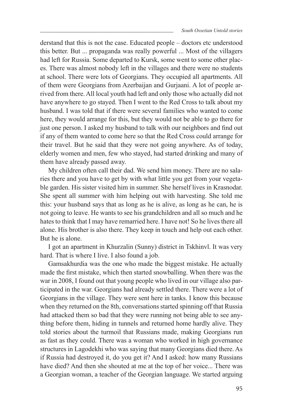derstand that this is not the case. Educated people – doctors etc understood this better. But ... propaganda was really powerful ... Most of the villagers had left for Russia. Some departed to Kursk, some went to some other places. There was almost nobody left in the villages and there were no students at school. There were lots of Georgians. They occupied all apartments. All of them were Georgians from Azerbaijan and Gurjaani. A lot of people arrived from there. All local youth had left and only those who actually did not have anywhere to go stayed. Then I went to the Red Cross to talk about my husband. I was told that if there were several families who wanted to come here, they would arrange for this, but they would not be able to go there for just one person. I asked my husband to talk with our neighbors and find out if any of them wanted to come here so that the Red Cross could arrange for their travel. But he said that they were not going anywhere. As of today, elderly women and men, few who stayed, had started drinking and many of them have already passed away.

My children often call their dad. We send him money. There are no salaries there and you have to get by with what little you get from your vegetable garden. His sister visited him in summer. She herself lives in Krasnodar. She spent all summer with him helping out with harvesting. She told me this: your husband says that as long as he is alive, as long as he can, he is not going to leave. He wants to see his grandchildren and all so much and he hates to think that I may have remarried here. I have not! So he lives there all alone. His brother is also there. They keep in touch and help out each other. But he is alone.

I got an apartment in Khurzalin (Sunny) district in Tskhinvl. It was very hard. That is where I live. I also found a job.

Gamsakhurdia was the one who made the biggest mistake. He actually made the first mistake, which then started snowballing. When there was the war in 2008, I found out that young people who lived in our village also participated in the war. Georgians had already settled there. There were a lot of Georgians in the village. They were sent here in tanks. I know this because when they returned on the 8th, conversations started spinning off that Russia had attacked them so bad that they were running not being able to see anything before them, hiding in tunnels and returned home hardly alive. They told stories about the turmoil that Russians made, making Georgians run as fast as they could. There was a woman who worked in high governance structures in Lagodekhi who was saying that many Georgians died there. As if Russia had destroyed it, do you get it? And I asked: how many Russians have died? And then she shouted at me at the top of her voice... There was a Georgian woman, a teacher of the Georgian language. We started arguing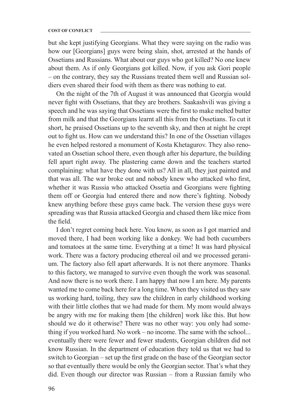#### **COST OF CONFLICT**

but she kept justifying Georgians. What they were saying on the radio was how our [Georgians] guys were being slain, shot, arrested at the hands of Ossetians and Russians. What about our guys who got killed? No one knew about them. As if only Georgians got killed. Now, if you ask Gori people – on the contrary, they say the Russians treated them well and Russian soldiers even shared their food with them as there was nothing to eat.

On the night of the 7th of August it was announced that Georgia would never fight with Ossetians, that they are brothers. Saakashvili was giving a speech and he was saying that Ossetians were the first to make melted butter from milk and that the Georgians learnt all this from the Ossetians. To cut it short, he praised Ossetians up to the seventh sky, and then at night he crept out to fight us. How can we understand this? In one of the Ossetian villages he even helped restored a monument of Kosta Khetagurov. They also renovated an Ossetian school there, even though after his departure, the building fell apart right away. The plastering came down and the teachers started complaining: what have they done with us? All in all, they just painted and that was all. The war broke out and nobody knew who attacked who first, whether it was Russia who attacked Ossetia and Georgians were fighting them off or Georgia had entered there and now there's fighting. Nobody knew anything before these guys came back. The version these guys were spreading was that Russia attacked Georgia and chased them like mice from the field.

I don't regret coming back here. You know, as soon as I got married and moved there, I had been working like a donkey. We had both cucumbers and tomatoes at the same time. Everything at a time! It was hard physical work. There was a factory producing ethereal oil and we processed geranium. The factory also fell apart afterwards. It is not there anymore. Thanks to this factory, we managed to survive even though the work was seasonal. And now there is no work there. I am happy that now I am here. My parents wanted me to come back here for a long time. When they visited us they saw us working hard, toiling, they saw the children in early childhood working with their little clothes that we had made for them. My mom would always be angry with me for making them [the children] work like this. But how should we do it otherwise? There was no other way: you only had something if you worked hard. No work – no income. The same with the school... eventually there were fewer and fewer students, Georgian children did not know Russian. In the department of education they told us that we had to switch to Georgian – set up the first grade on the base of the Georgian sector so that eventually there would be only the Georgian sector. That's what they did. Even though our director was Russian – from a Russian family who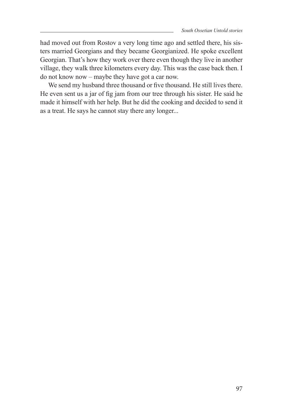had moved out from Rostov a very long time ago and settled there, his sisters married Georgians and they became Georgianized. He spoke excellent Georgian. That's how they work over there even though they live in another village, they walk three kilometers every day. This was the case back then. I do not know now – maybe they have got a car now.

We send my husband three thousand or five thousand. He still lives there. He even sent us a jar of fig jam from our tree through his sister. He said he made it himself with her help. But he did the cooking and decided to send it as a treat. He says he cannot stay there any longer...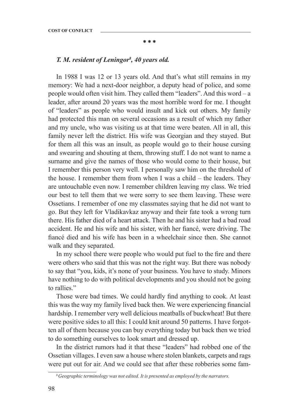#### **\* \* \***

## *T. M. resident of Leningor8 , 40 years old.*

In 1988 I was 12 or 13 years old. And that's what still remains in my memory: We had a next-door neighbor, a deputy head of police, and some people would often visit him. They called them "leaders". And this word – a leader, after around 20 years was the most horrible word for me. I thought of "leaders" as people who would insult and kick out others. My family had protected this man on several occasions as a result of which my father and my uncle, who was visiting us at that time were beaten. All in all, this family never left the district. His wife was Georgian and they stayed. But for them all this was an insult, as people would go to their house cursing and swearing and shouting at them, throwing stuff. I do not want to name a surname and give the names of those who would come to their house, but I remember this person very well. I personally saw him on the threshold of the house. I remember them from when I was a child – the leaders. They are untouchable even now. I remember children leaving my class. We tried our best to tell them that we were sorry to see them leaving. These were Ossetians. I remember of one my classmates saying that he did not want to go. But they left for Vladikavkaz anyway and their fate took a wrong turn there. His father died of a heart attack. Then he and his sister had a bad road accident. He and his wife and his sister, with her fiancé, were driving. The fiancé died and his wife has been in a wheelchair since then. She cannot walk and they separated.

In my school there were people who would put fuel to the fire and there were others who said that this was not the right way. But there was nobody to say that "you, kids, it's none of your business. You have to study. Minors have nothing to do with political developments and you should not be going to rallies."

Those were bad times. We could hardly find anything to cook. At least this was the way my family lived back then. We were experiencing financial hardship. I remember very well delicious meatballs of buckwheat! But there were positive sides to all this: I could knit around 50 patterns. I have forgotten all of them because you can buy everything today but back then we tried to do something ourselves to look smart and dressed up.

In the district rumors had it that these "leaders" had robbed one of the Ossetian villages. I even saw a house where stolen blankets, carpets and rags were put out for air. And we could see that after these robberies some fam-

*<sup>8</sup>Geographic terminology was not edited. It is presented as employed by the narrators.*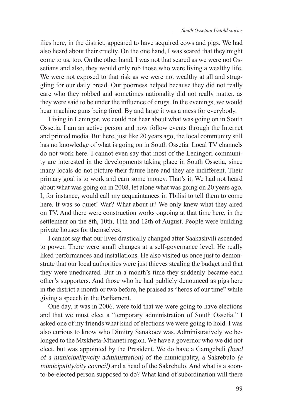ilies here, in the district, appeared to have acquired cows and pigs. We had also heard about their cruelty. On the one hand, I was scared that they might come to us, too. On the other hand, I was not that scared as we were not Ossetians and also, they would only rob those who were living a wealthy life. We were not exposed to that risk as we were not wealthy at all and struggling for our daily bread. Our poorness helped because they did not really care who they robbed and sometimes nationality did not really matter, as they were said to be under the influence of drugs. In the evenings, we would hear machine guns being fired. By and large it was a mess for everybody.

Living in Leningor, we could not hear about what was going on in South Ossetia. I am an active person and now follow events through the Internet and printed media. But here, just like 20 years ago, the local community still has no knowledge of what is going on in South Ossetia. Local TV channels do not work here. I cannot even say that most of the Leningori community are interested in the developments taking place in South Ossetia, since many locals do not picture their future here and they are indifferent. Their primary goal is to work and earn some money. That's it. We had not heard about what was going on in 2008, let alone what was going on 20 years ago. I, for instance, would call my acquaintances in Tbilisi to tell them to come here. It was so quiet! War? What about it? We only knew what they aired on TV. And there were construction works ongoing at that time here, in the settlement on the 8th, 10th, 11th and 12th of August. People were building private houses for themselves.

I cannot say that our lives drastically changed after Saakashvili ascended to power. There were small changes at a self-governance level. He really liked performances and installations. He also visited us once just to demonstrate that our local authorities were just thieves stealing the budget and that they were uneducated. But in a month's time they suddenly became each other's supporters. And those who he had publicly denounced as pigs here in the district a month or two before, he praised as "heros of our time" while giving a speech in the Parliament.

One day, it was in 2006, were told that we were going to have elections and that we must elect a "temporary administration of South Ossetia." I asked one of my friends what kind of elections we were going to hold. I was also curious to know who Dimitry Sanakoev was. Administratively we belonged to the Mtskheta-Mtianeti region. We have a governor who we did not elect, but was appointed by the President. We do have a Gamgebeli (head of a municipality/city administration) of the municipality, a Sakrebulo (a municipality/city council) and a head of the Sakrebulo. And what is a soonto-be-elected person supposed to do? What kind of subordination will there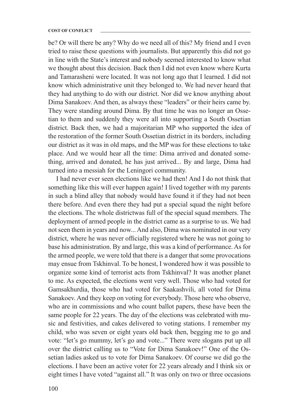be? Or will there be any? Why do we need all of this? My friend and I even tried to raise these questions with journalists. But apparently this did not go in line with the State's interest and nobody seemed interested to know what we thought about this decision. Back then I did not even know where Kurta and Tamarasheni were located. It was not long ago that I learned. I did not know which administrative unit they belonged to. We had never heard that they had anything to do with our district. Nor did we know anything about Dima Sanakoev. And then, as always these "leaders" or their heirs came by. They were standing around Dima. By that time he was no longer an Ossetian to them and suddenly they were all into supporting a South Ossetian district. Back then, we had a majoritarian MP who supported the idea of the restoration of the former South Ossetian district in its borders, including our district as it was in old maps, and the MP was for these elections to take place. And we would hear all the time: Dima arrived and donated something, arrived and donated, he has just arrived... By and large, Dima had turned into a messiah for the Leningori community.

I had never ever seen elections like we had then! And I do not think that something like this will ever happen again! I lived together with my parents in such a blind alley that nobody would have found it if they had not been there before. And even there they had put a special squad the night before the elections. The whole districtwas full of the special squad members. The deployment of armed people in the district came as a surprise to us. We had not seen them in years and now... And also, Dima was nominated in our very district, where he was never officially registered where he was not going to base his administration. By and large, this was a kind of performance. As for the armed people, we were told that there is a danger that some provocations may ensue from Tskhinval. To be honest, I wondered how it was possible to organize some kind of terrorist acts from Tskhinval? It was another planet to me. As expected, the elections went very well. Those who had voted for Gamsakhurdia, those who had voted for Saakashvili, all voted for Dima Sanakoev. And they keep on voting for everybody. Those here who observe, who are in commissions and who count ballot papers, these have been the same people for 22 years. The day of the elections was celebrated with music and festivities, and cakes delivered to voting stations. I remember my child, who was seven or eight years old back then, begging me to go and vote: "let's go mummy, let's go and vote..." There were slogans put up all over the district calling us to "Vote for Dima Sanakoev!" One of the Ossetian ladies asked us to vote for Dima Sanakoev. Of course we did go the elections. I have been an active voter for 22 years already and I think six or eight times I have voted "against all." It was only on two or three occasions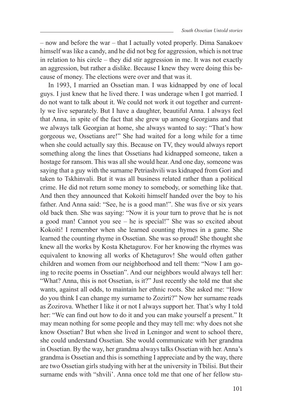– now and before the war – that I actually voted properly. Dima Sanakoev himself was like a candy, and he did not beg for aggression, which is not true in relation to his circle – they did stir aggression in me. It was not exactly an aggression, but rather a dislike. Because I knew they were doing this because of money. The elections were over and that was it.

In 1993, I married an Ossetian man. I was kidnapped by one of local guys. I just knew that he lived there. I was underage when I got married. I do not want to talk about it. We could not work it out together and currently we live separately. But I have a daughter, beautiful Anna. I always feel that Anna, in spite of the fact that she grew up among Georgians and that we always talk Georgian at home, she always wanted to say: "That's how gorgeous we, Ossetians are!" She had waited for a long while for a time when she could actually say this. Because on TV, they would always report something along the lines that Ossetians had kidnapped someone, taken a hostage for ransom. This was all she would hear. And one day, someone was saying that a guy with the surname Petriashvili was kidnaped from Gori and taken to Tskhinvali. But it was all business related rather than a political crime. He did not return some money to somebody, or something like that. And then they announced that Kokoiti himself handed over the boy to his father. And Anna said: "See, he is a good man!". She was five or six years old back then. She was saying: "Now it is your turn to prove that he is not a good man! Cannot you see – he is special!" She was so excited about Kokoiti! I remember when she learned counting rhymes in a game. She learned the counting rhyme in Ossetian. She was so proud! She thought she knew all the works by Kosta Khetagurov. For her knowing the rhymes was equivalent to knowing all works of Khetagurov! She would often gather children and women from our neighborhood and tell them: "Now I am going to recite poems in Ossetian". And our neighbors would always tell her: "What? Anna, this is not Ossetian, is it?" Just recently she told me that she wants, against all odds, to maintain her ethnic roots. She asked me: "How do you think I can change my surname to Zozirti?" Now her surname reads as Zozirova. Whether I like it or not I always support her. That's why I told her: "We can find out how to do it and you can make yourself a present." It may mean nothing for some people and they may tell me: why does not she know Ossetian? But when she lived in Leningor and went to school there, she could understand Ossetian. She would communicate with her grandma in Ossetian. By the way, her grandma always talks Ossetian with her. Anna's grandma is Ossetian and this is something I appreciate and by the way, there are two Ossetian girls studying with her at the university in Tbilisi. But their surname ends with "shvili'. Anna once told me that one of her fellow stu-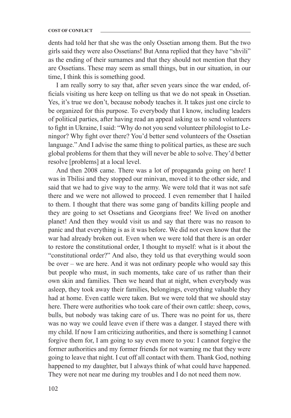### **COST OF CONFLICT**

dents had told her that she was the only Ossetian among them. But the two girls said they were also Ossetians! But Anna replied that they have "shvili" as the ending of their surnames and that they should not mention that they are Ossetians. These may seem as small things, but in our situation, in our time, I think this is something good.

I am really sorry to say that, after seven years since the war ended, officials visiting us here keep on telling us that we do not speak in Ossetian. Yes, it's true we don't, because nobody teaches it. It takes just one circle to be organized for this purpose. To everybody that I know, including leaders of political parties, after having read an appeal asking us to send volunteers to fight in Ukraine, I said: "Why do not you send volunteer philologist to Leningor? Why fight over there? You'd better send volunteers of the Ossetian language." And I advise the same thing to political parties, as these are such global problems for them that they will never be able to solve. They'd better resolve [problems] at a local level.

And then 2008 came. There was a lot of propaganda going on here! I was in Tbilisi and they stopped our minivan, moved it to the other side, and said that we had to give way to the army. We were told that it was not safe there and we were not allowed to proceed. I even remember that I hailed to them. I thought that there was some gang of bandits killing people and they are going to set Ossetians and Georgians free! We lived on another planet! And then they would visit us and say that there was no reason to panic and that everything is as it was before. We did not even know that the war had already broken out. Even when we were told that there is an order to restore the constitutional order, I thought to myself: what is it about the "constitutional order?" And also, they told us that everything would soon be over – we are here. And it was not ordinary people who would say this but people who must, in such moments, take care of us rather than their own skin and families. Then we heard that at night, when everybody was asleep, they took away their families, belongings, everything valuable they had at home. Even cattle were taken. But we were told that we should stay here. There were authorities who took care of their own cattle: sheep, cows, bulls, but nobody was taking care of us. There was no point for us, there was no way we could leave even if there was a danger. I stayed there with my child. If now I am criticizing authorities, and there is something I cannot forgive them for, I am going to say even more to you: I cannot forgive the former authorities and my former friends for not warning me that they were going to leave that night. I cut off all contact with them. Thank God, nothing happened to my daughter, but I always think of what could have happened. They were not near me during my troubles and I do not need them now.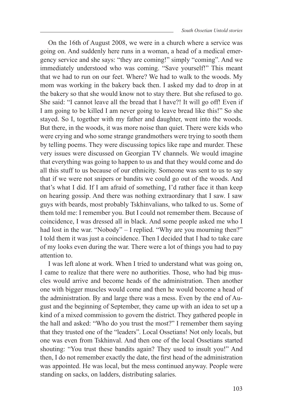On the 16th of August 2008, we were in a church where a service was going on. And suddenly here runs in a woman, a head of a medical emergency service and she says: "they are coming!" simply "coming". And we immediately understood who was coming. "Save yourself!" This meant that we had to run on our feet. Where? We had to walk to the woods. My mom was working in the bakery back then. I asked my dad to drop in at the bakery so that she would know not to stay there. But she refused to go. She said: "I cannot leave all the bread that I have?! It will go off! Even if I am going to be killed I am never going to leave bread like this!" So she stayed. So I, together with my father and daughter, went into the woods. But there, in the woods, it was more noise than quiet. There were kids who were crying and who some strange grandmothers were trying to sooth them by telling poems. They were discussing topics like rape and murder. These very issues were discussed on Georgian TV channels. We would imagine that everything was going to happen to us and that they would come and do all this stuff to us because of our ethnicity. Someone was sent to us to say that if we were not snipers or bandits we could go out of the woods. And that's what I did. If I am afraid of something, I'd rather face it than keep on hearing gossip. And there was nothing extraordinary that I saw. I saw guys with beards, most probably Tskhinvalians, who talked to us. Some of them told me: I remember you. But I could not remember them. Because of coincidence, I was dressed all in black. And some people asked me who I had lost in the war. "Nobody" – I replied. "Why are you mourning then?" I told them it was just a coincidence. Then I decided that I had to take care of my looks even during the war. There were a lot of things you had to pay attention to.

I was left alone at work. When I tried to understand what was going on, I came to realize that there were no authorities. Those, who had big muscles would arrive and become heads of the administration. Then another one with bigger muscles would come and then he would become a head of the administration. By and large there was a mess. Even by the end of August and the beginning of September, they came up with an idea to set up a kind of a mixed commission to govern the district. They gathered people in the hall and asked: "Who do you trust the most?" I remember them saying that they trusted one of the "leaders". Local Ossetians! Not only locals, but one was even from Tskhinval. And then one of the local Ossetians started shouting: "You trust these bandits again? They used to insult you!" And then, I do not remember exactly the date, the first head of the administration was appointed. He was local, but the mess continued anyway. People were standing on sacks, on ladders, distributing salaries.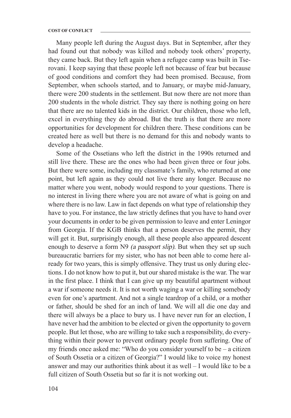Many people left during the August days. But in September, after they had found out that nobody was killed and nobody took others' property, they came back. But they left again when a refugee camp was built in Tserovani. I keep saying that these people left not because of fear but because of good conditions and comfort they had been promised. Because, from September, when schools started, and to January, or maybe mid-January, there were 200 students in the settlement. But now there are not more than 200 students in the whole district. They say there is nothing going on here that there are no talented kids in the district. Our children, those who left, excel in everything they do abroad. But the truth is that there are more opportunities for development for children there. These conditions can be created here as well but there is no demand for this and nobody wants to develop a headache.

Some of the Ossetians who left the district in the 1990s returned and still live there. These are the ones who had been given three or four jobs. But there were some, including my classmate's family, who returned at one point, but left again as they could not live there any longer. Because no matter where you went, nobody would respond to your questions. There is no interest in living there where you are not aware of what is going on and where there is no law. Law in fact depends on what type of relationship they have to you. For instance, the law strictly defines that you have to hand over your documents in order to be given permission to leave and enter Leningor from Georgia. If the KGB thinks that a person deserves the permit, they will get it. But, surprisingly enough, all these people also appeared descent enough to deserve a form N9 (a passport slip). But when they set up such bureaucratic barriers for my sister, who has not been able to come here already for two years, this is simply offensive. They trust us only during elections. I do not know how to put it, but our shared mistake is the war. The war in the first place. I think that I can give up my beautiful apartment without a war if someone needs it. It is not worth waging a war or killing somebody even for one's apartment. And not a single teardrop of a child, or a mother or father, should be shed for an inch of land. We will all die one day and there will always be a place to bury us. I have never run for an election, I have never had the ambition to be elected or given the opportunity to govern people. But let those, who are willing to take such a responsibility, do everything within their power to prevent ordinary people from suffering. One of my friends once asked me: "Who do you consider yourself to be – a citizen of South Ossetia or a citizen of Georgia?" I would like to voice my honest answer and may our authorities think about it as well – I would like to be a full citizen of South Ossetia but so far it is not working out.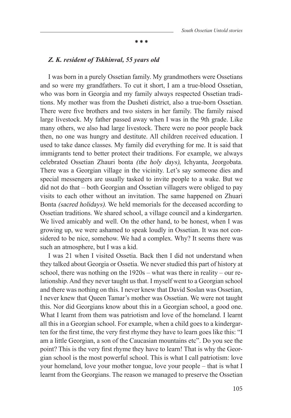**\* \* \***

## *Z. K. resident of Tskhinval, 55 years old*

I was born in a purely Ossetian family. My grandmothers were Ossetians and so were my grandfathers. To cut it short, I am a true-blood Ossetian, who was born in Georgia and my family always respected Ossetian traditions. My mother was from the Dusheti district, also a true-born Ossetian. There were five brothers and two sisters in her family. The family raised large livestock. My father passed away when I was in the 9th grade. Like many others, we also had large livestock. There were no poor people back then, no one was hungry and destitute. All children received education. I used to take dance classes. My family did everything for me. It is said that immigrants tend to better protect their traditions. For example, we always celebrated Ossetian Zhauri bonta (the holy days), Ichyanta, Jeorgobata. There was a Georgian village in the vicinity. Let's say someone dies and special messengers are usually tasked to invite people to a wake. But we did not do that – both Georgian and Ossetian villagers were obliged to pay visits to each other without an invitation. The same happened on Zhuari Bonta (sacred holidays). We held memorials for the deceased according to Ossetian traditions. We shared school, a village council and a kindergarten. We lived amicably and well. On the other hand, to be honest, when I was growing up, we were ashamed to speak loudly in Ossetian. It was not considered to be nice, somehow. We had a complex. Why? It seems there was such an atmosphere, but I was a kid.

I was 21 when I visited Ossetia. Back then I did not understand when they talked about Georgia or Ossetia. We never studied this part of history at school, there was nothing on the 1920s – what was there in reality – our relationship. And they never taught us that. I myself went to a Georgian school and there was nothing on this. I never knew that David Soslan was Ossetian, I never knew that Queen Tamar's mother was Ossetian. We were not taught this. Nor did Georgians know about this in a Georgian school, a good one. What I learnt from them was patriotism and love of the homeland. I learnt all this in a Georgian school. For example, when a child goes to a kindergarten for the first time, the very first rhyme they have to learn goes like this: "I am a little Georgian, a son of the Caucasian mountains etc". Do you see the point? This is the very first rhyme they have to learn! That is why the Georgian school is the most powerful school. This is what I call patriotism: love your homeland, love your mother tongue, love your people – that is what I learnt from the Georgians. The reason we managed to preserve the Ossetian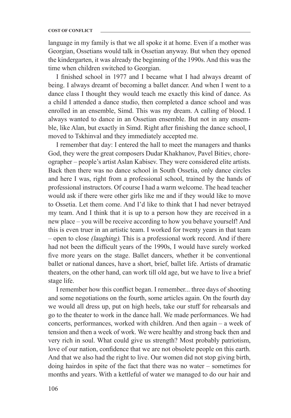#### **COST OF CONFLICT**

language in my family is that we all spoke it at home. Even if a mother was Georgian, Ossetians would talk in Ossetian anyway. But when they opened the kindergarten, it was already the beginning of the 1990s. And this was the time when children switched to Georgian.

I finished school in 1977 and I became what I had always dreamt of being. I always dreamt of becoming a ballet dancer. And when I went to a dance class I thought they would teach me exactly this kind of dance. As a child I attended a dance studio, then completed a dance school and was enrolled in an ensemble, Simd. This was my dream. A calling of blood. I always wanted to dance in an Ossetian ensemble. But not in any ensemble, like Alan, but exactly in Simd. Right after finishing the dance school, I moved to Tskhinval and they immediately accepted me.

I remember that day: I entered the hall to meet the managers and thanks God, they were the great composers Dudar Khakhanov, Pavel Bitiev, choreographer – people's artist Aslan Kabisev. They were considered elite artists. Back then there was no dance school in South Ossetia, only dance circles and here I was, right from a professional school, trained by the hands of professional instructors. Of course I had a warm welcome. The head teacher would ask if there were other girls like me and if they would like to move to Ossetia. Let them come. And I'd like to think that I had never betrayed my team. And I think that it is up to a person how they are received in a new place – you will be receive according to how you behave yourself! And this is even truer in an artistic team. I worked for twenty years in that team – open to close (laughing). This is a professional work record. And if there had not been the difficult years of the 1990s, I would have surely worked five more years on the stage. Ballet dancers, whether it be conventional ballet or national dances, have a short, brief, ballet life. Artists of dramatic theaters, on the other hand, can work till old age, but we have to live a brief stage life.

I remember how this conflict began. I remember... three days of shooting and some negotiations on the fourth, some articles again. On the fourth day we would all dress up, put on high heels, take our stuff for rehearsals and go to the theater to work in the dance hall. We made performances. We had concerts, performances, worked with children. And then again – a week of tension and then a week of work. We were healthy and strong back then and very rich in soul. What could give us strength? Most probably patriotism, love of our nation, confidence that we are not obsolete people on this earth. And that we also had the right to live. Our women did not stop giving birth, doing hairdos in spite of the fact that there was no water – sometimes for months and years. With a kettleful of water we managed to do our hair and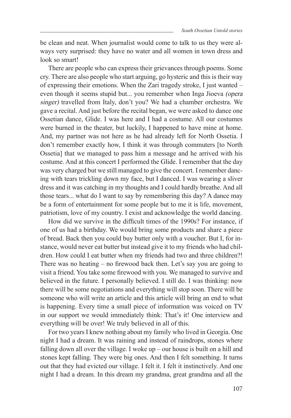be clean and neat. When journalist would come to talk to us they were always very surprised: they have no water and all women in town dress and look so smart!

There are people who can express their grievances through poems. Some cry. There are also people who start arguing, go hysteric and this is their way of expressing their emotions. When the Zari tragedy stroke, I just wanted – even though it seems stupid but... you remember when Inga Jioeva (opera singer) travelled from Italy, don't you? We had a chamber orchestra. We gave a recital. And just before the recital began, we were asked to dance one Ossetian dance, Glide. I was here and I had a costume. All our costumes were burned in the theater, but luckily, I happened to have mine at home. And, my partner was not here as he had already left for North Ossetia. I don't remember exactly how, I think it was through commuters [to North Ossetia] that we managed to pass him a message and he arrived with his costume. And at this concert I performed the Glide. I remember that the day was very charged but we still managed to give the concert. I remember dancing with tears trickling down my face, but I danced. I was wearing a sliver dress and it was catching in my thoughts and I could hardly breathe. And all those tears... what do I want to say by remembering this day? A dance may be a form of entertainment for some people but to me it is life, movement, patriotism, love of my country. I exist and acknowledge the world dancing.

How did we survive in the difficult times of the 1990s? For instance, if one of us had a birthday. We would bring some products and share a piece of bread. Back then you could buy butter only with a voucher. But I, for instance, would never eat butter but instead give it to my friends who had children. How could I eat butter when my friends had two and three children?! There was no heating – no firewood back then. Let's say you are going to visit a friend. You take some firewood with you. We managed to survive and believed in the future. I personally believed. I still do. I was thinking: now there will be some negotiations and everything will stop soon. There will be someone who will write an article and this article will bring an end to what is happening. Every time a small piece of information was voiced on TV in our support we would immediately think: That's it! One interview and everything will be over! We truly believed in all of this.

For two years I knew nothing about my family who lived in Georgia. One night I had a dream. It was raining and instead of raindrops, stones where falling down all over the village. I woke up – our house is built on a hill and stones kept falling. They were big ones. And then I felt something. It turns out that they had evicted our village. I felt it. I felt it instinctively. And one night I had a dream. In this dream my grandma, great grandma and all the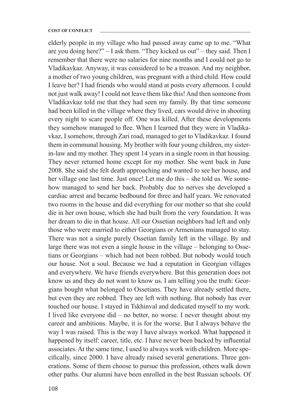elderly people in my village who had passed away came up to me. "What are you doing here?" – I ask them. "They kicked us out" – they said. Then I remember that there were no salaries for nine months and I could not go to Vladikavkaz. Anyway, it was considered to be a treason. And my neighbor, a mother of two young children, was pregnant with a third child. How could I leave her? I had friends who would stand at posts every afternoon. I could not just walk away! I could not leave them like this! And then someone from Vladikavkaz told me that they had seen my family. By that time someone had been killed in the village where they lived, cars would drive in shooting every night to scare people off. One was killed. After these developments they somehow managed to flee. When I learned that they were in Vladikavkaz, I somehow, through Zari road, managed to get to Vladikavkaz. I found them in communal housing. My brother with four young children, my sisterin-law and my mother. They spent 14 years in a single room in that housing. They never returned home except for my mother. She went back in June 2008. She said she felt death approaching and wanted to see her house, and her village one last time. Just once! Let me do this – she told us. We somehow managed to send her back. Probably due to nerves she developed a cardiac arrest and became bedbound for three and half years. We renovated two rooms in the house and did everything for our mother so that she could die in her own house, which she had built from the very foundation. It was her dream to die in that house. All our Ossetian neighbors had left and only those who were married to either Georgians or Armenians managed to stay. There was not a single purely Ossetian family left in the village. By and large there was not even a single house in the village – belonging to Ossetians or Georgians – which had not been robbed. But nobody would touch our house. Not a soul. Because we had a reputation in Georgian villages and everywhere. We have friends everywhere. But this generation does not know us and they do not want to know us. I am telling you the truth: Georgians bought what belonged to Ossetians. They have already settled there, but even they are robbed. They are left with nothing. But nobody has ever touched our house. I stayed in Tskhinval and dedicated myself to my work. I lived like everyone did – no better, no worse. I never thought about my career and ambitions. Maybe, it is for the worse. But I always behave the way I was raised. This is the way I have always worked. What happened it happened by itself: career, title, etc. I have never been backed by influential associates. At the same time, I used to always work with children. More specifically, since 2000. I have already raised several generations. Three generations. Some of them choose to pursue this profession, others walk down other paths. Our alumni have been enrolled in the best Russian schools. Of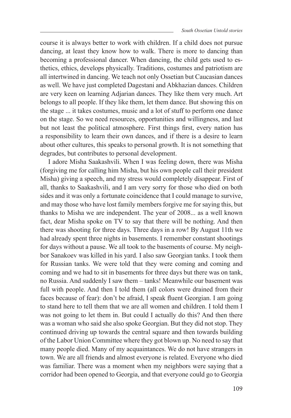course it is always better to work with children. If a child does not pursue dancing, at least they know how to walk. There is more to dancing than becoming a professional dancer. When dancing, the child gets used to esthetics, ethics, develops physically. Traditions, costumes and patriotism are all intertwined in dancing. We teach not only Ossetian but Caucasian dances as well. We have just completed Dagestani and Abkhazian dances. Children are very keen on learning Adjarian dances. They like them very much. Art belongs to all people. If they like them, let them dance. But showing this on the stage ... it takes costumes, music and a lot of stuff to perform one dance on the stage. So we need resources, opportunities and willingness, and last but not least the political atmosphere. First things first, every nation has a responsibility to learn their own dances, and if there is a desire to learn about other cultures, this speaks to personal growth. It is not something that degrades, but contributes to personal development.

I adore Misha Saakashvili. When I was feeling down, there was Misha (forgiving me for calling him Misha, but his own people call their president Misha) giving a speech, and my stress would completely disappear. First of all, thanks to Saakashvili, and I am very sorry for those who died on both sides and it was only a fortunate coincidence that I could manage to survive, and may those who have lost family members forgive me for saying this, but thanks to Misha we are independent. The year of 2008... as a well known fact, dear Misha spoke on TV to say that there will be nothing. And then there was shooting for three days. Three days in a row! By August 11th we had already spent three nights in basements. I remember constant shootings for days without a pause. We all took to the basements of course. My neighbor Sanakoev was killed in his yard. I also saw Georgian tanks. I took them for Russian tanks. We were told that they were coming and coming and coming and we had to sit in basements for three days but there was on tank, no Russia. And suddenly I saw them – tanks! Meanwhile our basement was full with people. And then I told them (all colors were drained from their faces because of fear): don't be afraid, I speak fluent Georgian. I am going to stand here to tell them that we are all women and children. I told them I was not going to let them in. But could I actually do this? And then there was a woman who said she also spoke Georgian. But they did not stop. They continued driving up towards the central square and then towards building of the Labor Union Committee where they got blown up. No need to say that many people died. Many of my acquaintances. We do not have strangers in town. We are all friends and almost everyone is related. Everyone who died was familiar. There was a moment when my neighbors were saying that a corridor had been opened to Georgia, and that everyone could go to Georgia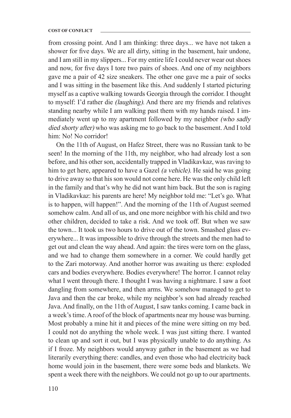## **COST OF CONFLICT**

from crossing point. And I am thinking: three days... we have not taken a shower for five days. We are all dirty, sitting in the basement, hair undone, and I am still in my slippers... For my entire life I could never wear out shoes and now, for five days I tore two pairs of shoes. And one of my neighbors gave me a pair of 42 size sneakers. The other one gave me a pair of socks and I was sitting in the basement like this. And suddenly I started picturing myself as a captive walking towards Georgia through the corridor. I thought to myself: I'd rather die (laughing). And there are my friends and relatives standing nearby while I am walking past them with my hands raised. I immediately went up to my apartment followed by my neighbor (who sadly died shorty after) who was asking me to go back to the basement. And I told him: No! No corridor!

On the 11th of August, on Hafez Street, there was no Russian tank to be seen! In the morning of the 11th, my neighbor, who had already lost a son before, and his other son, accidentally trapped in Vladikavkaz, was raving to him to get here, appeared to have a Gazel (a vehicle). He said he was going to drive away so that his son would not come here. He was the only child left in the family and that's why he did not want him back. But the son is raging in Vladikavkaz: his parents are here! My neighbor told me: "Let's go. What is to happen, will happen!". And the morning of the 11th of August seemed somehow calm. And all of us, and one more neighbor with his child and two other children, decided to take a risk. And we took off. But when we saw the town... It took us two hours to drive out of the town. Smashed glass everywhere... It was impossible to drive through the streets and the men had to get out and clean the way ahead. And again: the tires were torn on the glass, and we had to change them somewhere in a corner. We could hardly get to the Zari motorway. And another horror was awaiting us there: exploded cars and bodies everywhere. Bodies everywhere! The horror. I cannot relay what I went through there. I thought I was having a nightmare. I saw a foot dangling from somewhere, and then arms. We somehow managed to get to Java and then the car broke, while my neighbor's son had already reached Java. And finally, on the 11th of August, I saw tanks coming. I came back in a week's time. A roof of the block of apartments near my house was burning. Most probably a mine hit it and pieces of the mine were sitting on my bed. I could not do anything the whole week. I was just sitting there. I wanted to clean up and sort it out, but I was physically unable to do anything. As if I froze. My neighbors would anyway gather in the basement as we had literarily everything there: candles, and even those who had electricity back home would join in the basement, there were some beds and blankets. We spent a week there with the neighbors. We could not go up to our apartments.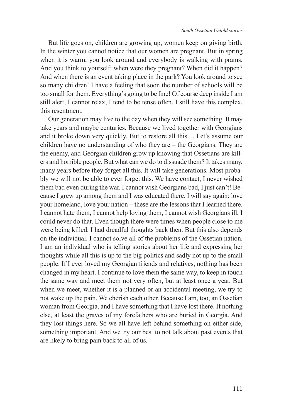But life goes on, children are growing up, women keep on giving birth. In the winter you cannot notice that our women are pregnant. But in spring when it is warm, you look around and everybody is walking with prams. And you think to yourself: when were they pregnant? When did it happen? And when there is an event taking place in the park? You look around to see so many children! I have a feeling that soon the number of schools will be too small for them. Everything's going to be fine! Of course deep inside I am still alert, I cannot relax, I tend to be tense often. I still have this complex, this resentment.

Our generation may live to the day when they will see something. It may take years and maybe centuries. Because we lived together with Georgians and it broke down very quickly. But to restore all this ... Let's assume our children have no understanding of who they are – the Georgians. They are the enemy, and Georgian children grow up knowing that Ossetians are killers and horrible people. But what can we do to dissuade them? It takes many, many years before they forget all this. It will take generations. Most probably we will not be able to ever forget this. We have contact, I never wished them bad even during the war. I cannot wish Georgians bad, I just can't! Because I grew up among them and I was educated there. I will say again: love your homeland, love your nation – these are the lessons that I learned there. I cannot hate them, I cannot help loving them, I cannot wish Georgians ill, I could never do that. Even though there were times when people close to me were being killed. I had dreadful thoughts back then. But this also depends on the individual. I cannot solve all of the problems of the Ossetian nation. I am an individual who is telling stories about her life and expressing her thoughts while all this is up to the big politics and sadly not up to the small people. If I ever loved my Georgian friends and relatives, nothing has been changed in my heart. I continue to love them the same way, to keep in touch the same way and meet them not very often, but at least once a year. But when we meet, whether it is a planned or an accidental meeting, we try to not wake up the pain. We cherish each other. Because I am, too, an Ossetian woman from Georgia, and I have something that I have lost there. If nothing else, at least the graves of my forefathers who are buried in Georgia. And they lost things here. So we all have left behind something on either side, something important. And we try our best to not talk about past events that are likely to bring pain back to all of us.